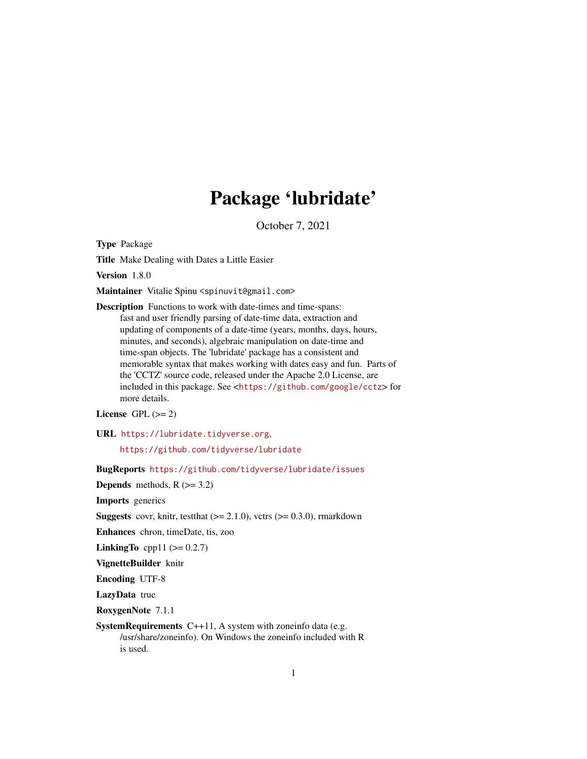# Package 'lubridate'

October 7, 2021

<span id="page-0-0"></span>Type Package

Title Make Dealing with Dates a Little Easier

Version 1.8.0

Maintainer Vitalie Spinu <spinuvit@gmail.com>

Description Functions to work with date-times and time-spans: fast and user friendly parsing of date-time data, extraction and updating of components of a date-time (years, months, days, hours, minutes, and seconds), algebraic manipulation on date-time and time-span objects. The 'lubridate' package has a consistent and memorable syntax that makes working with dates easy and fun. Parts of the 'CCTZ' source code, released under the Apache 2.0 License, are included in this package. See <<https://github.com/google/cctz>> for more details.

License GPL  $(>= 2)$ 

URL <https://lubridate.tidyverse.org>,

<https://github.com/tidyverse/lubridate>

BugReports <https://github.com/tidyverse/lubridate/issues>

**Depends** methods,  $R$  ( $>= 3.2$ )

Imports generics

**Suggests** covr, knitr, testthat  $(>= 2.1.0)$ , vctrs  $(>= 0.3.0)$ , rmarkdown

Enhances chron, timeDate, tis, zoo

**LinkingTo** cpp11 ( $> = 0.2.7$ )

VignetteBuilder knitr

Encoding UTF-8

LazyData true

RoxygenNote 7.1.1

SystemRequirements C++11, A system with zoneinfo data (e.g. /usr/share/zoneinfo). On Windows the zoneinfo included with R is used.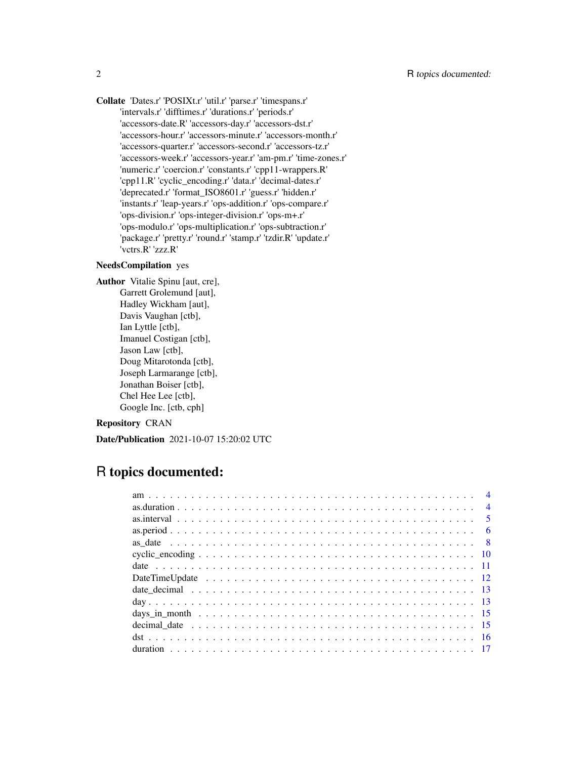Collate 'Dates.r' 'POSIXt.r' 'util.r' 'parse.r' 'timespans.r' 'intervals.r' 'difftimes.r' 'durations.r' 'periods.r' 'accessors-date.R' 'accessors-day.r' 'accessors-dst.r' 'accessors-hour.r' 'accessors-minute.r' 'accessors-month.r' 'accessors-quarter.r' 'accessors-second.r' 'accessors-tz.r' 'accessors-week.r' 'accessors-year.r' 'am-pm.r' 'time-zones.r' 'numeric.r' 'coercion.r' 'constants.r' 'cpp11-wrappers.R' 'cpp11.R' 'cyclic\_encoding.r' 'data.r' 'decimal-dates.r' 'deprecated.r' 'format\_ISO8601.r' 'guess.r' 'hidden.r' 'instants.r' 'leap-years.r' 'ops-addition.r' 'ops-compare.r' 'ops-division.r' 'ops-integer-division.r' 'ops-m+.r' 'ops-modulo.r' 'ops-multiplication.r' 'ops-subtraction.r' 'package.r' 'pretty.r' 'round.r' 'stamp.r' 'tzdir.R' 'update.r' 'vctrs.R' 'zzz.R'

### NeedsCompilation yes

Author Vitalie Spinu [aut, cre], Garrett Grolemund [aut], Hadley Wickham [aut], Davis Vaughan [ctb], Ian Lyttle [ctb], Imanuel Costigan [ctb], Jason Law [ctb], Doug Mitarotonda [ctb], Joseph Larmarange [ctb], Jonathan Boiser [ctb], Chel Hee Lee [ctb], Google Inc. [ctb, cph]

### Repository CRAN

Date/Publication 2021-10-07 15:20:02 UTC

## R topics documented:

| $\overline{4}$ |  |
|----------------|--|
|                |  |
|                |  |
|                |  |
|                |  |
|                |  |
|                |  |
|                |  |
|                |  |
|                |  |
|                |  |
|                |  |
|                |  |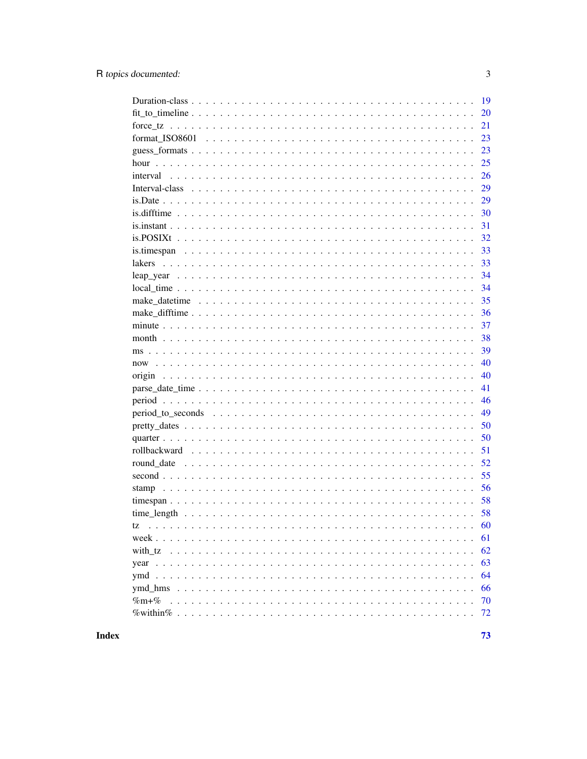|          | 19 |
|----------|----|
|          | 20 |
|          | 21 |
|          | 23 |
|          | 23 |
|          | 25 |
|          | 26 |
|          | 29 |
|          | 29 |
|          | 30 |
|          | 31 |
|          | 32 |
|          | 33 |
|          | 33 |
|          | 34 |
|          | 34 |
|          | 35 |
|          | 36 |
|          | 37 |
|          | 38 |
|          | 39 |
|          | 40 |
|          | 40 |
|          | 41 |
|          | 46 |
|          | 49 |
|          | 50 |
|          | 50 |
|          | 51 |
|          | 52 |
|          | 55 |
|          | 56 |
|          | 58 |
|          | 58 |
| tz       | 60 |
|          | 61 |
| with tz  | 62 |
|          | 63 |
|          | 64 |
|          | 66 |
| $\%m+$ % | 70 |
|          | 72 |
|          |    |

**Index** 

 $\overline{3}$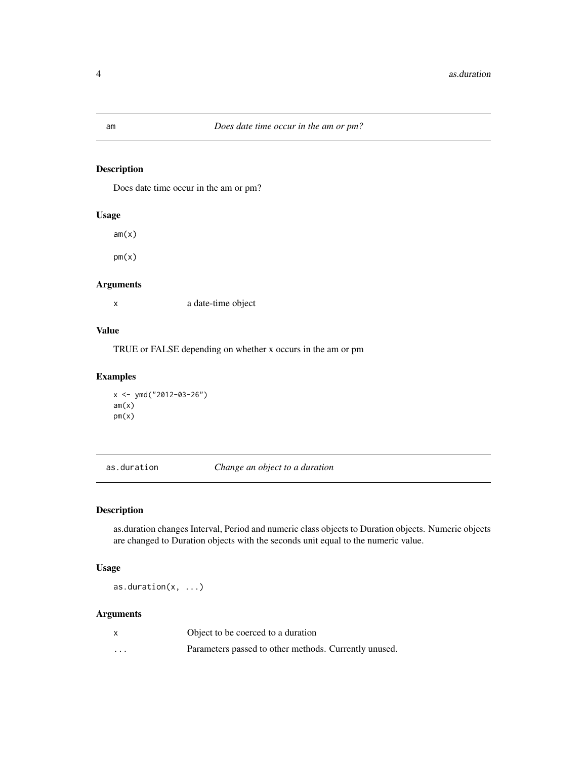Does date time occur in the am or pm?

### Usage

 $am(x)$ 

 $pm(x)$ 

### Arguments

x a date-time object

### Value

TRUE or FALSE depending on whether x occurs in the am or pm

### Examples

```
x <- ymd("2012-03-26")
am(x)pm(x)
```
<span id="page-3-1"></span>as.duration *Change an object to a duration*

### Description

as.duration changes Interval, Period and numeric class objects to Duration objects. Numeric objects are changed to Duration objects with the seconds unit equal to the numeric value.

### Usage

as.duration(x, ...)

### Arguments

|          | Object to be coerced to a duration                    |
|----------|-------------------------------------------------------|
| $\cdots$ | Parameters passed to other methods. Currently unused. |

<span id="page-3-0"></span>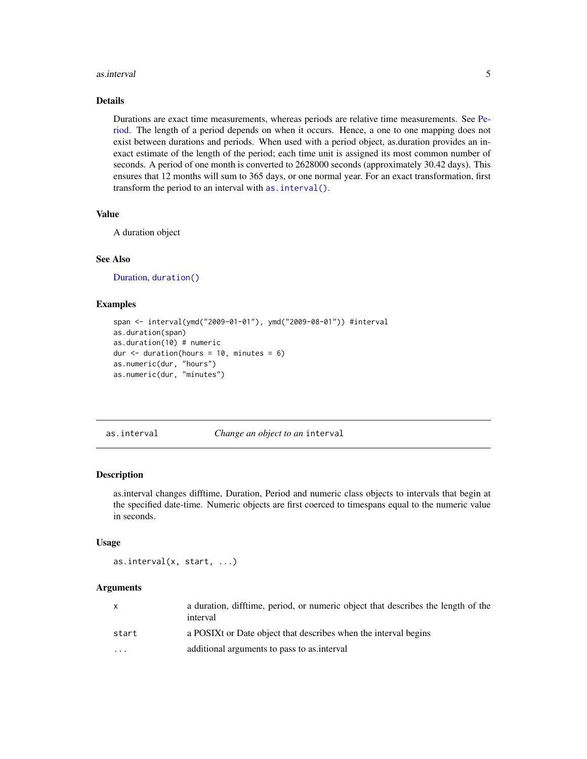#### <span id="page-4-0"></span>as.interval 5

### Details

Durations are exact time measurements, whereas periods are relative time measurements. See [Pe](#page-0-0)[riod.](#page-0-0) The length of a period depends on when it occurs. Hence, a one to one mapping does not exist between durations and periods. When used with a period object, as.duration provides an inexact estimate of the length of the period; each time unit is assigned its most common number of seconds. A period of one month is converted to 2628000 seconds (approximately 30.42 days). This ensures that 12 months will sum to 365 days, or one normal year. For an exact transformation, first transform the period to an interval with [as.interval\(\)](#page-4-1).

#### Value

A duration object

### See Also

[Duration,](#page-18-1) [duration\(\)](#page-16-1)

### Examples

```
span <- interval(ymd("2009-01-01"), ymd("2009-08-01")) #interval
as.duration(span)
as.duration(10) # numeric
dur \le duration(hours = 10, minutes = 6)
as.numeric(dur, "hours")
as.numeric(dur, "minutes")
```
<span id="page-4-1"></span>as.interval *Change an object to an* interval

#### Description

as.interval changes difftime, Duration, Period and numeric class objects to intervals that begin at the specified date-time. Numeric objects are first coerced to timespans equal to the numeric value in seconds.

#### Usage

as.interval(x, start, ...)

#### Arguments

| X     | a duration, difftime, period, or numeric object that describes the length of the<br>interval |
|-------|----------------------------------------------------------------------------------------------|
| start | a POSIX or Date object that describes when the interval begins                               |
| .     | additional arguments to pass to as interval                                                  |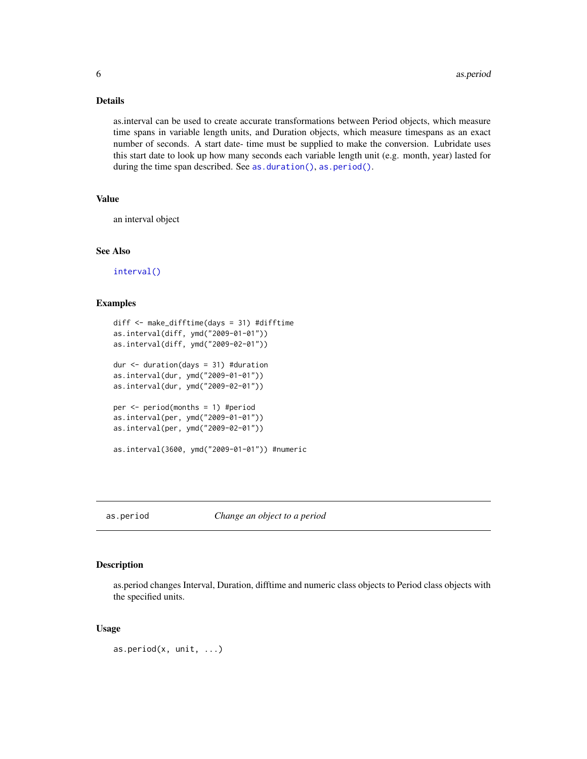### <span id="page-5-0"></span>Details

as.interval can be used to create accurate transformations between Period objects, which measure time spans in variable length units, and Duration objects, which measure timespans as an exact number of seconds. A start date- time must be supplied to make the conversion. Lubridate uses this start date to look up how many seconds each variable length unit (e.g. month, year) lasted for during the time span described. See [as.duration\(\)](#page-3-1), [as.period\(\)](#page-5-1).

#### Value

an interval object

### See Also

[interval\(\)](#page-25-1)

#### Examples

```
diff <- make_difftime(days = 31) #difftime
as.interval(diff, ymd("2009-01-01"))
as.interval(diff, ymd("2009-02-01"))
dur \leq duration(days = 31) #duration
as.interval(dur, ymd("2009-01-01"))
as.interval(dur, ymd("2009-02-01"))
per <- period(months = 1) #period
as.interval(per, ymd("2009-01-01"))
as.interval(per, ymd("2009-02-01"))
as.interval(3600, ymd("2009-01-01")) #numeric
```
### <span id="page-5-1"></span>as.period *Change an object to a period*

### Description

as.period changes Interval, Duration, difftime and numeric class objects to Period class objects with the specified units.

#### Usage

```
as.period(x, unit, ...)
```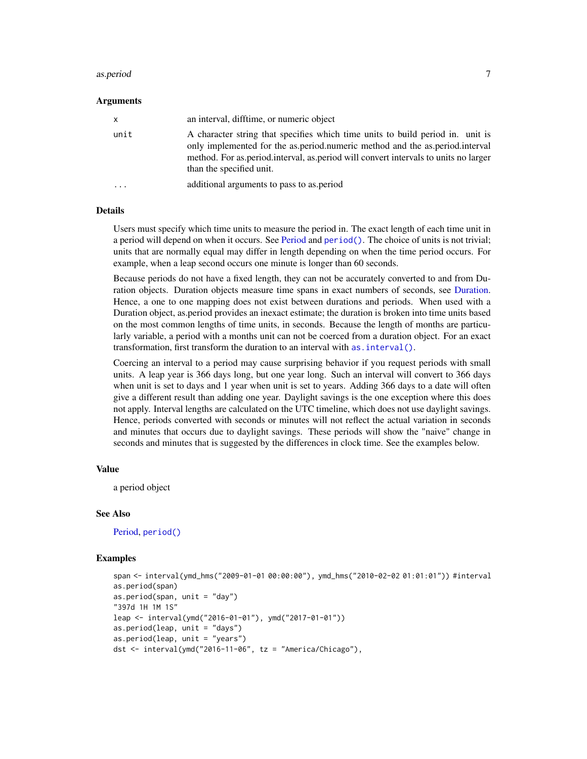#### as.period 7

#### Arguments

| x    | an interval, difftime, or numeric object                                                                                                                                                                                                                                          |
|------|-----------------------------------------------------------------------------------------------------------------------------------------------------------------------------------------------------------------------------------------------------------------------------------|
| unit | A character string that specifies which time units to build period in. unit is<br>only implemented for the as period numeric method and the as period interval<br>method. For as period interval, as period will convert intervals to units no larger<br>than the specified unit. |
| .    | additional arguments to pass to as period                                                                                                                                                                                                                                         |

### Details

Users must specify which time units to measure the period in. The exact length of each time unit in a period will depend on when it occurs. See [Period](#page-0-0) and [period\(\)](#page-45-1). The choice of units is not trivial; units that are normally equal may differ in length depending on when the time period occurs. For example, when a leap second occurs one minute is longer than 60 seconds.

Because periods do not have a fixed length, they can not be accurately converted to and from Duration objects. Duration objects measure time spans in exact numbers of seconds, see [Duration.](#page-18-1) Hence, a one to one mapping does not exist between durations and periods. When used with a Duration object, as.period provides an inexact estimate; the duration is broken into time units based on the most common lengths of time units, in seconds. Because the length of months are particularly variable, a period with a months unit can not be coerced from a duration object. For an exact transformation, first transform the duration to an interval with as. interval().

Coercing an interval to a period may cause surprising behavior if you request periods with small units. A leap year is 366 days long, but one year long. Such an interval will convert to 366 days when unit is set to days and 1 year when unit is set to years. Adding 366 days to a date will often give a different result than adding one year. Daylight savings is the one exception where this does not apply. Interval lengths are calculated on the UTC timeline, which does not use daylight savings. Hence, periods converted with seconds or minutes will not reflect the actual variation in seconds and minutes that occurs due to daylight savings. These periods will show the "naive" change in seconds and minutes that is suggested by the differences in clock time. See the examples below.

### Value

a period object

#### See Also

[Period,](#page-0-0) [period\(\)](#page-45-1)

```
span <- interval(ymd_hms("2009-01-01 00:00:00"), ymd_hms("2010-02-02 01:01:01")) #interval
as.period(span)
as.period(span, unit = "day")
"397d 1H 1M 1S"
leap <- interval(ymd("2016-01-01"), ymd("2017-01-01"))
as.period(leap, unit = "days")
as.period(leap, unit = "years")
dst <- interval(ymd("2016-11-06", tz = "America/Chicago"),
```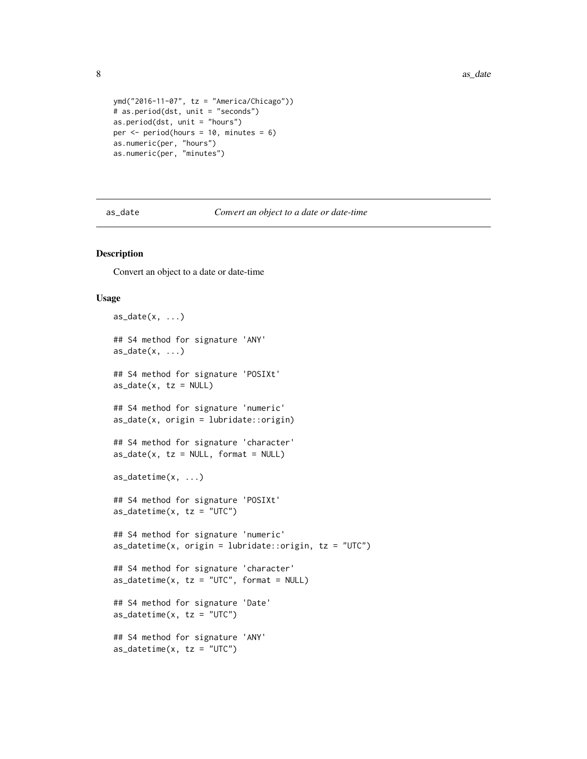```
ymd("2016-11-07", tz = "America/Chicago"))
# as.period(dst, unit = "seconds")
as.period(dst, unit = "hours")
per \leq period(hours = 10, minutes = 6)
as.numeric(per, "hours")
as.numeric(per, "minutes")
```
as\_date *Convert an object to a date or date-time*

### Description

Convert an object to a date or date-time

#### Usage

```
as\_date(x, \ldots)## S4 method for signature 'ANY'
as\_date(x, \ldots)## S4 method for signature 'POSIXt'
as\_date(x, tz = NULL)## S4 method for signature 'numeric'
as\_date(x, origin = lubridate::origin)## S4 method for signature 'character'
as\_date(x, tz = NULL, format = NULL)as_datetime(x, ...)
## S4 method for signature 'POSIXt'
as\_dattime(x, tz = "UTC")## S4 method for signature 'numeric'
as\_dattime(x, origin = lubridate::origin, tz = "UTC")## S4 method for signature 'character'
as\_dattime(x, tz = "UTC", format = NULL)## S4 method for signature 'Date'
as\_dattering(x, tz = "UTC")## S4 method for signature 'ANY'
as\_dattime(x, tz = "UTC")
```
<span id="page-7-0"></span>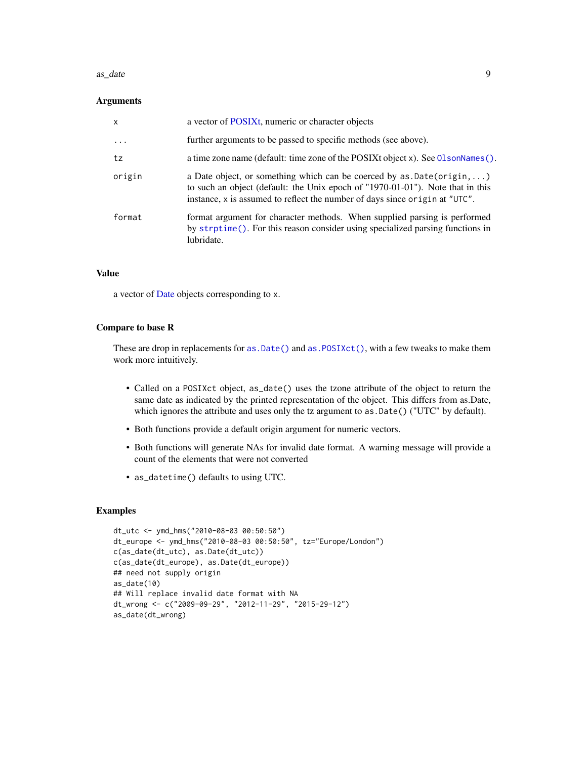#### as\_date 9

#### **Arguments**

| $\mathsf{x}$ | a vector of POSIXt, numeric or character objects                                                                                                                                                                                               |
|--------------|------------------------------------------------------------------------------------------------------------------------------------------------------------------------------------------------------------------------------------------------|
| $\ddotsc$    | further arguments to be passed to specific methods (see above).                                                                                                                                                                                |
| tz           | a time zone name (default: time zone of the POSIXt object x). See 01 sonNames ().                                                                                                                                                              |
| origin       | a Date object, or something which can be coerced by $as.Date(origin, \ldots)$<br>to such an object (default: the Unix epoch of "1970-01-01"). Note that in this<br>instance, x is assumed to reflect the number of days since origin at "UTC". |
| format       | format argument for character methods. When supplied parsing is performed<br>by strptime(). For this reason consider using specialized parsing functions in<br>lubridate.                                                                      |

### Value

a vector of [Date](#page-28-1) objects corresponding to x.

### Compare to base R

These are drop in replacements for as.  $Date()$  and as.  $PostXct()$ , with a few tweaks to make them work more intuitively.

- Called on a POSIXct object, as\_date() uses the tzone attribute of the object to return the same date as indicated by the printed representation of the object. This differs from as.Date, which ignores the attribute and uses only the tz argument to as.Date() ("UTC" by default).
- Both functions provide a default origin argument for numeric vectors.
- Both functions will generate NAs for invalid date format. A warning message will provide a count of the elements that were not converted
- as\_datetime() defaults to using UTC.

```
dt_utc <- ymd_hms("2010-08-03 00:50:50")
dt_europe <- ymd_hms("2010-08-03 00:50:50", tz="Europe/London")
c(as_date(dt_utc), as.Date(dt_utc))
c(as_date(dt_europe), as.Date(dt_europe))
## need not supply origin
as_date(10)
## Will replace invalid date format with NA
dt_wrong <- c("2009-09-29", "2012-11-29", "2015-29-12")
as_date(dt_wrong)
```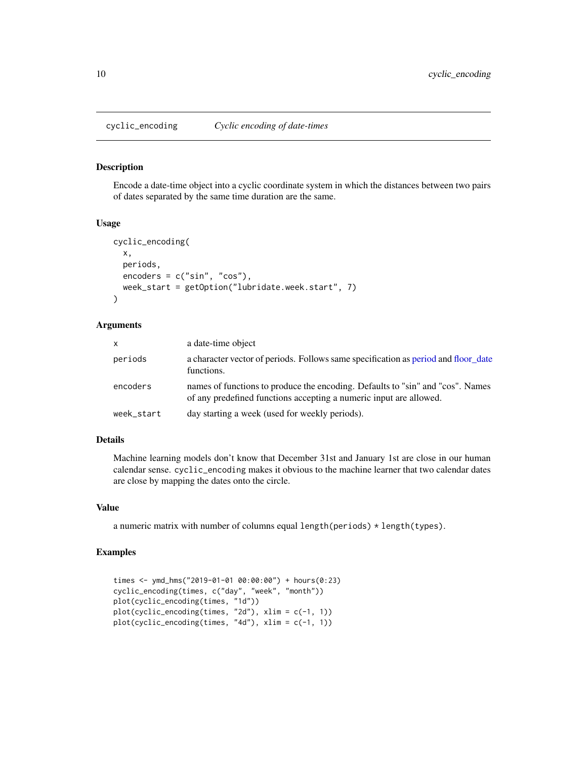Encode a date-time object into a cyclic coordinate system in which the distances between two pairs of dates separated by the same time duration are the same.

#### Usage

```
cyclic_encoding(
  x,
  periods,
  encoders = c("sin", "cos"),week_start = getOption("lubridate.week.start", 7)
\lambda
```
### Arguments

| $\mathsf{x}$ | a date-time object                                                                                                                                   |
|--------------|------------------------------------------------------------------------------------------------------------------------------------------------------|
| periods      | a character vector of periods. Follows same specification as period and floor date<br>functions.                                                     |
| encoders     | names of functions to produce the encoding. Defaults to "sin" and "cos". Names<br>of any predefined functions accepting a numeric input are allowed. |
| week_start   | day starting a week (used for weekly periods).                                                                                                       |

#### Details

Machine learning models don't know that December 31st and January 1st are close in our human calendar sense. cyclic\_encoding makes it obvious to the machine learner that two calendar dates are close by mapping the dates onto the circle.

#### Value

a numeric matrix with number of columns equal length(periods) \* length(types).

```
times <- ymd_hms("2019-01-01 00:00:00") + hours(0:23)
cyclic_encoding(times, c("day", "week", "month"))
plot(cyclic_encoding(times, "1d"))
plot(cyclic_encoding(times, "2d"), xlim = c(-1, 1))
plot(cyclic_encoding(times, "4d"), xlim = c(-1, 1))
```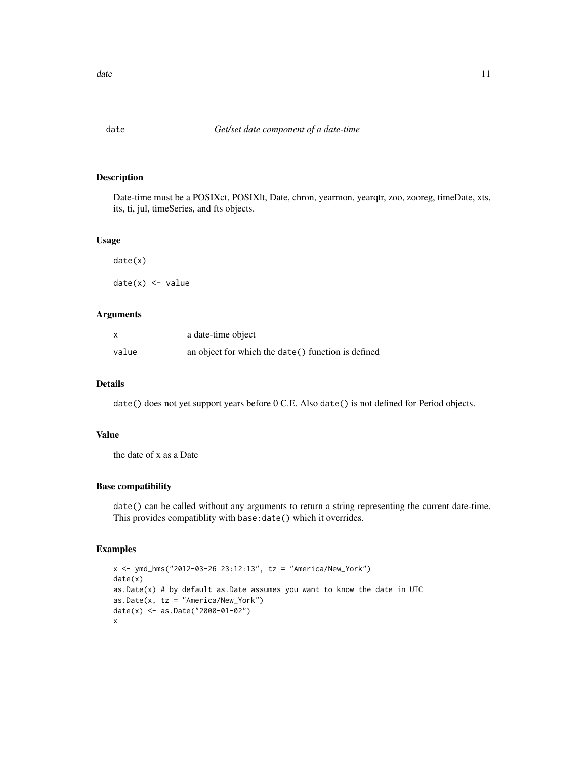<span id="page-10-0"></span>

Date-time must be a POSIXct, POSIXlt, Date, chron, yearmon, yearqtr, zoo, zooreg, timeDate, xts, its, ti, jul, timeSeries, and fts objects.

#### Usage

date(x) date(x) <- value

### Arguments

| x     | a date-time object                                  |
|-------|-----------------------------------------------------|
| value | an object for which the date () function is defined |

### Details

date() does not yet support years before 0 C.E. Also date() is not defined for Period objects.

### Value

the date of x as a Date

### Base compatibility

date() can be called without any arguments to return a string representing the current date-time. This provides compatiblity with base:date() which it overrides.

```
x <- ymd_hms("2012-03-26 23:12:13", tz = "America/New_York")
date(x)
as.Date(x) # by default as.Date assumes you want to know the date in UTC
as.Date(x, tz = "America/New_York")
date(x) <- as.Date("2000-01-02")
x
```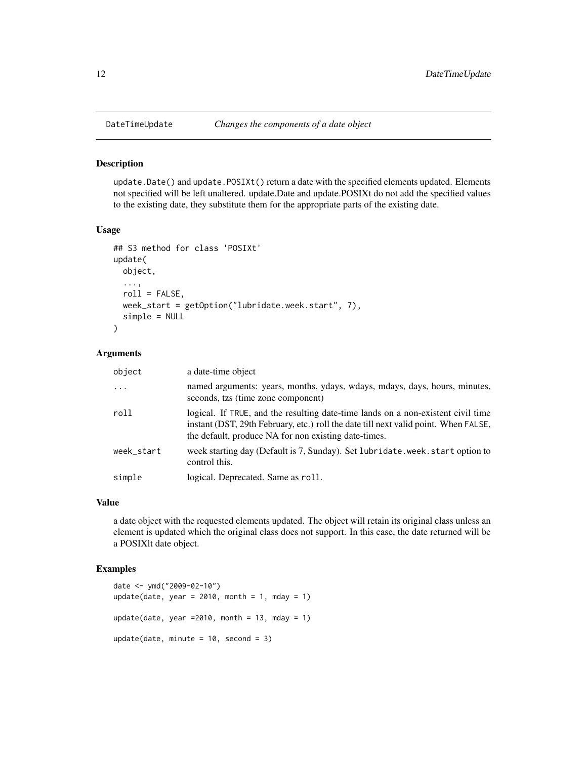update.Date() and update.POSIXt() return a date with the specified elements updated. Elements not specified will be left unaltered. update.Date and update.POSIXt do not add the specified values to the existing date, they substitute them for the appropriate parts of the existing date.

#### Usage

```
## S3 method for class 'POSIXt'
update(
 object,
  ...,
  roll = FALSE,week_start = getOption("lubridate.week.start", 7),
  simple = NULL
)
```
### Arguments

| object     | a date-time object                                                                                                                                                                                                              |
|------------|---------------------------------------------------------------------------------------------------------------------------------------------------------------------------------------------------------------------------------|
|            | named arguments: years, months, ydays, wdays, mdays, days, hours, minutes,<br>seconds, tzs (time zone component)                                                                                                                |
| roll       | logical. If TRUE, and the resulting date-time lands on a non-existent civil time<br>instant (DST, 29th February, etc.) roll the date till next valid point. When FALSE,<br>the default, produce NA for non existing date-times. |
| week_start | week starting day (Default is 7, Sunday). Set lubridate.week.start option to<br>control this.                                                                                                                                   |
| simple     | logical. Deprecated. Same as roll.                                                                                                                                                                                              |

#### Value

a date object with the requested elements updated. The object will retain its original class unless an element is updated which the original class does not support. In this case, the date returned will be a POSIXlt date object.

```
date <- ymd("2009-02-10")
update(date, year = 2010, month = 1, mday = 1)
update(date, year =2010, month = 13, mday = 1)
update(date, minute = 10, second = 3)
```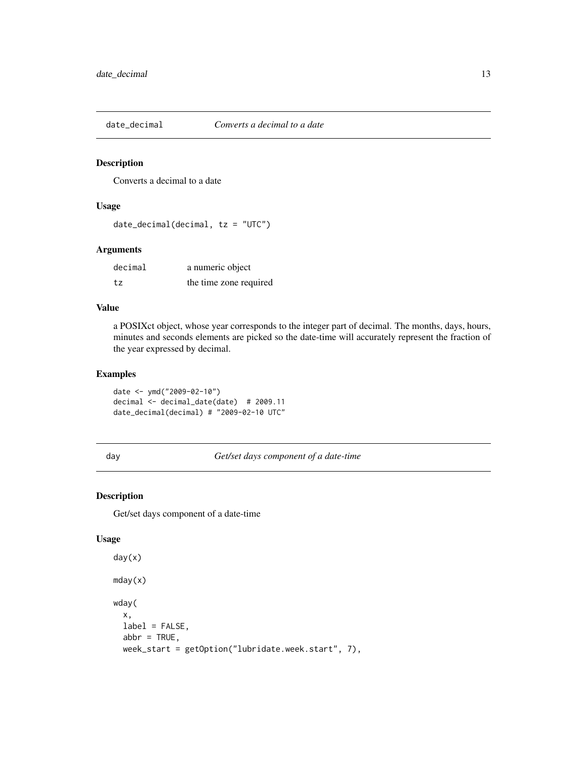<span id="page-12-0"></span>

Converts a decimal to a date

### Usage

```
date\_decimal(decimal, tz = "UTC")
```
### Arguments

| decimal | a numeric object       |
|---------|------------------------|
| tz      | the time zone required |

### Value

a POSIXct object, whose year corresponds to the integer part of decimal. The months, days, hours, minutes and seconds elements are picked so the date-time will accurately represent the fraction of the year expressed by decimal.

### Examples

date <- ymd("2009-02-10") decimal <- decimal\_date(date) # 2009.11 date\_decimal(decimal) # "2009-02-10 UTC"

day *Get/set days component of a date-time*

### Description

Get/set days component of a date-time

#### Usage

```
day(x)
mday(x)
wday(
  x,
  label = FALSE,
  abbr = TRUE,week_start = getOption("lubridate.week.start", 7),
```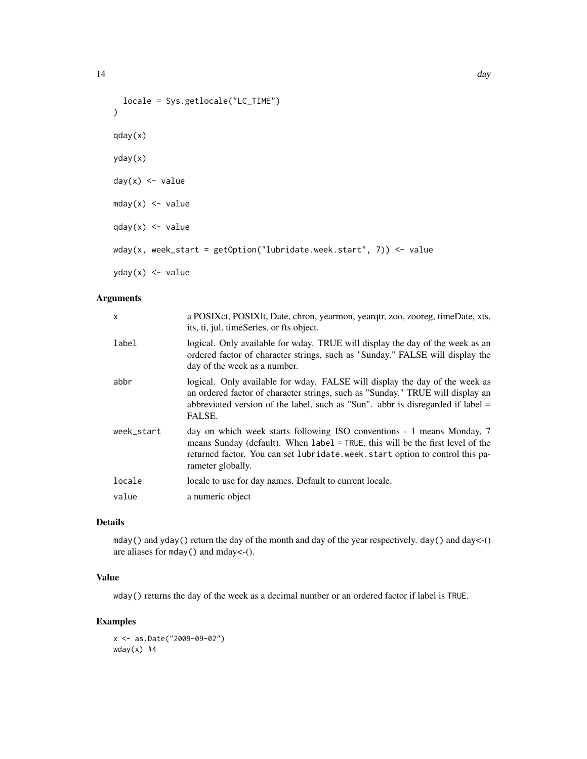```
locale = Sys.getlocale("LC_TIME")
\mathcal{L}qday(x)
yday(x)
day(x) <- value
mday(x) <- value
qday(x) <- value
wday(x, week_start = getOption("lubridate.week.start", 7)) <- value
yday(x) <- value
```
### Arguments

| $\mathsf{x}$ | a POSIX ct, POSIX lt, Date, chron, yearmon, yeargtr, zoo, zooreg, time Date, xts,<br>its, ti, jul, timeSeries, or fts object.                                                                                                                                 |
|--------------|---------------------------------------------------------------------------------------------------------------------------------------------------------------------------------------------------------------------------------------------------------------|
| label        | logical. Only available for wday. TRUE will display the day of the week as an<br>ordered factor of character strings, such as "Sunday." FALSE will display the<br>day of the week as a number.                                                                |
| abbr         | logical. Only available for wday. FALSE will display the day of the week as<br>an ordered factor of character strings, such as "Sunday." TRUE will display an<br>abbreviated version of the label, such as "Sun". abbr is disregarded if label $=$<br>FALSE.  |
| week start   | day on which week starts following ISO conventions - 1 means Monday, 7<br>means Sunday (default). When label = TRUE, this will be the first level of the<br>returned factor. You can set lubridate.week.start option to control this pa-<br>rameter globally. |
| locale       | locale to use for day names. Default to current locale.                                                                                                                                                                                                       |
| value        | a numeric object                                                                                                                                                                                                                                              |

### Details

mday() and yday() return the day of the month and day of the year respectively. day() and day<-() are aliases for mday() and mday<-().

### Value

wday() returns the day of the week as a decimal number or an ordered factor if label is TRUE.

### Examples

x <- as.Date("2009-09-02")  $wday(x)$  #4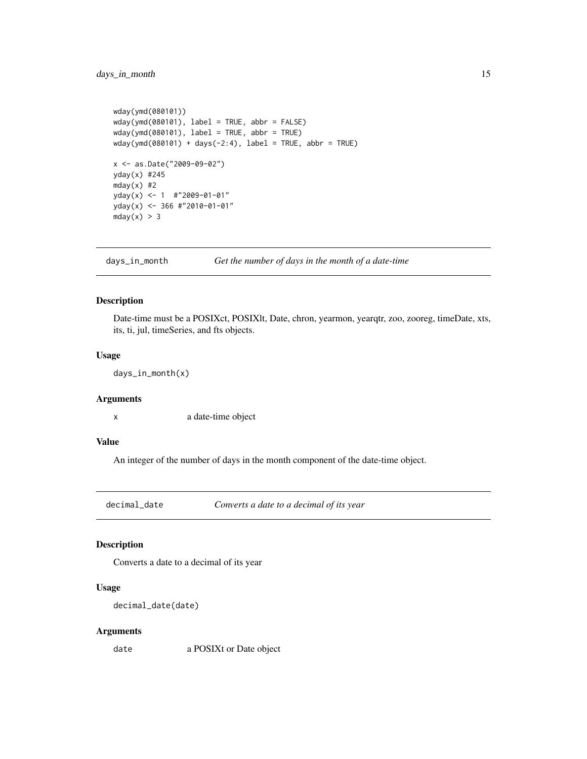```
wday(ymd(080101))
wday(ymd(080101), label = TRUE, abbr = FALSE)
wday(ymd(080101), label = TRUE, abbr = TRUE)
wday(ymd(080101) + days(-2:4), label = TRUE, abbr = TRUE)
x <- as.Date("2009-09-02")
yday(x) #245
mday(x) #2
yday(x) <- 1 #"2009-01-01"
yday(x) <- 366 #"2010-01-01"
mday(x) > 3
```
days\_in\_month *Get the number of days in the month of a date-time*

### Description

Date-time must be a POSIXct, POSIXlt, Date, chron, yearmon, yearqtr, zoo, zooreg, timeDate, xts, its, ti, jul, timeSeries, and fts objects.

#### Usage

days\_in\_month(x)

#### Arguments

x a date-time object

### Value

An integer of the number of days in the month component of the date-time object.

decimal\_date *Converts a date to a decimal of its year*

### Description

Converts a date to a decimal of its year

#### Usage

```
decimal_date(date)
```
#### Arguments

date a POSIXt or Date object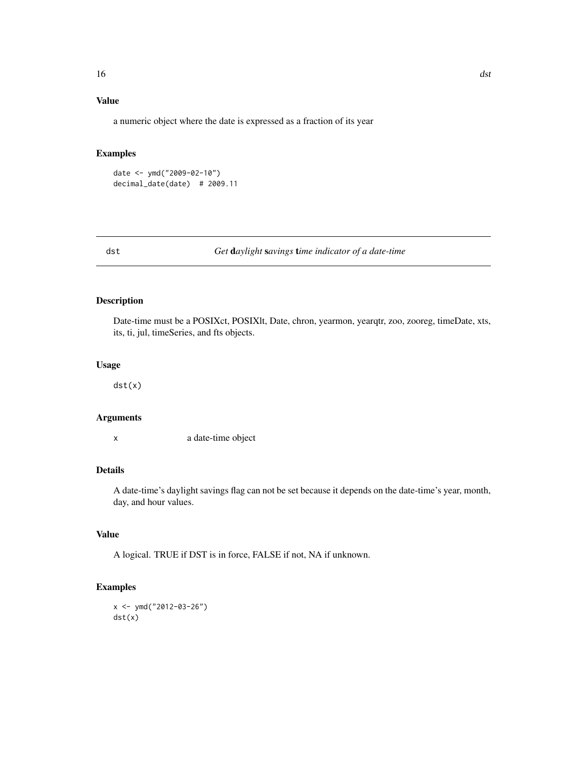### <span id="page-15-0"></span>Value

a numeric object where the date is expressed as a fraction of its year

### Examples

```
date <- ymd("2009-02-10")
decimal_date(date) # 2009.11
```
#### dst *Get* d*aylight* s*avings* t*ime indicator of a date-time*

### Description

Date-time must be a POSIXct, POSIXlt, Date, chron, yearmon, yearqtr, zoo, zooreg, timeDate, xts, its, ti, jul, timeSeries, and fts objects.

### Usage

dst(x)

### Arguments

x a date-time object

### Details

A date-time's daylight savings flag can not be set because it depends on the date-time's year, month, day, and hour values.

### Value

A logical. TRUE if DST is in force, FALSE if not, NA if unknown.

```
x < - ymd("2012-03-26")
dst(x)
```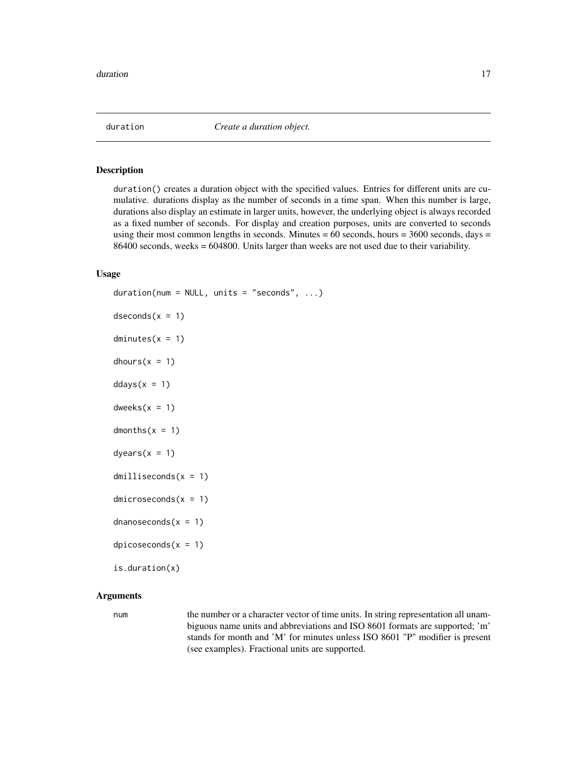<span id="page-16-2"></span><span id="page-16-1"></span><span id="page-16-0"></span>

duration() creates a duration object with the specified values. Entries for different units are cumulative. durations display as the number of seconds in a time span. When this number is large, durations also display an estimate in larger units, however, the underlying object is always recorded as a fixed number of seconds. For display and creation purposes, units are converted to seconds using their most common lengths in seconds. Minutes  $= 60$  seconds, hours  $= 3600$  seconds, days  $=$ 86400 seconds, weeks = 604800. Units larger than weeks are not used due to their variability.

### Usage

```
duration(num = NULL, units = "seconds", ...)desconds(x = 1)dimutes(x = 1)dhours(x = 1)ddays(x = 1)dweeks(x = 1)dmonths(x = 1)
dyears(x = 1)dmilliseconds(x = 1)
dmicroseconds(x = 1)
dnanoseconds(x = 1)dpicoseconds(x = 1)is.duration(x)
```
### Arguments

num the number or a character vector of time units. In string representation all unambiguous name units and abbreviations and ISO 8601 formats are supported; 'm' stands for month and 'M' for minutes unless ISO 8601 "P" modifier is present (see examples). Fractional units are supported.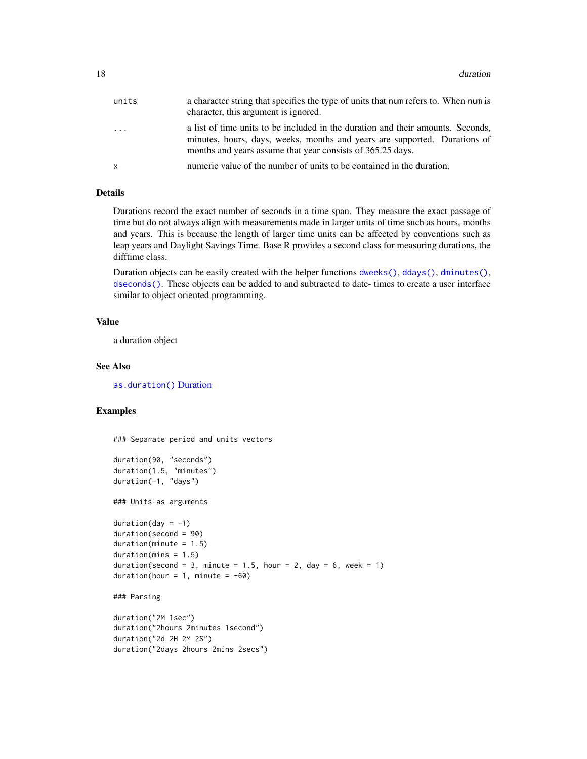| units    | a character string that specifies the type of units that num refers to. When num is<br>character, this argument is ignored.                                                                                                |
|----------|----------------------------------------------------------------------------------------------------------------------------------------------------------------------------------------------------------------------------|
| $\cdots$ | a list of time units to be included in the duration and their amounts. Seconds,<br>minutes, hours, days, weeks, months and years are supported. Durations of<br>months and years assume that year consists of 365.25 days. |
| x        | numeric value of the number of units to be contained in the duration.                                                                                                                                                      |

### Details

Durations record the exact number of seconds in a time span. They measure the exact passage of time but do not always align with measurements made in larger units of time such as hours, months and years. This is because the length of larger time units can be affected by conventions such as leap years and Daylight Savings Time. Base R provides a second class for measuring durations, the difftime class.

Duration objects can be easily created with the helper functions [dweeks\(\)](#page-16-2), [ddays\(\)](#page-16-2), [dminutes\(\)](#page-16-2), [dseconds\(\)](#page-16-2). These objects can be added to and subtracted to date- times to create a user interface similar to object oriented programming.

### Value

a duration object

#### See Also

[as.duration\(\)](#page-3-1) [Duration](#page-18-1)

### Examples

### Separate period and units vectors duration(90, "seconds") duration(1.5, "minutes") duration(-1, "days") ### Units as arguments  $duration/day = -1)$ duration(second = 90)  $duration(minute = 1.5)$  $duration(mins = 1.5)$ duration(second = 3, minute = 1.5, hour = 2, day = 6, week = 1) duration(hour =  $1$ , minute =  $-60$ )

```
### Parsing
```

```
duration("2M 1sec")
duration("2hours 2minutes 1second")
duration("2d 2H 2M 2S")
duration("2days 2hours 2mins 2secs")
```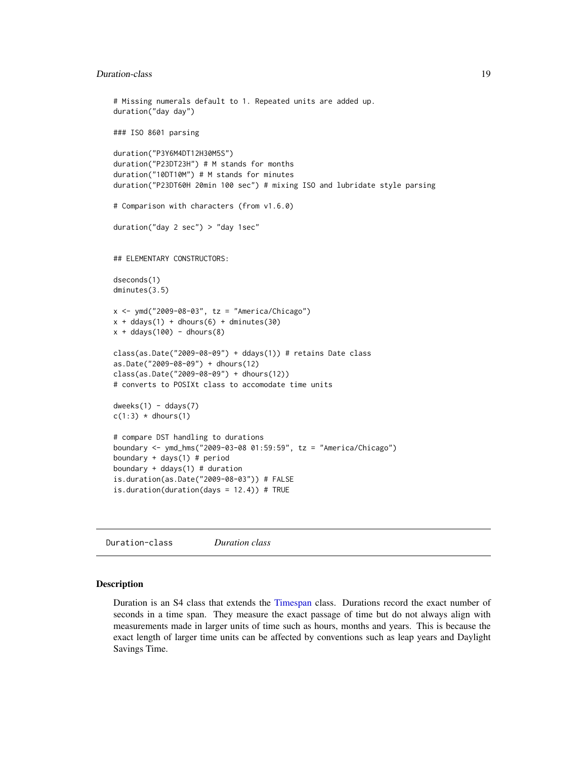### <span id="page-18-0"></span>Duration-class 19

```
# Missing numerals default to 1. Repeated units are added up.
duration("day day")
### ISO 8601 parsing
duration("P3Y6M4DT12H30M5S")
duration("P23DT23H") # M stands for months
duration("10DT10M") # M stands for minutes
duration("P23DT60H 20min 100 sec") # mixing ISO and lubridate style parsing
# Comparison with characters (from v1.6.0)
duration("day 2 sec") > "day 1sec"
## ELEMENTARY CONSTRUCTORS:
dseconds(1)
dminutes(3.5)
x <- ymd("2009-08-03", tz = "America/Chicago")
x + ddays(1) + dhours(6) + dminus(30)x + ddays(100) - dhours(8)
class(as.Date("2009-08-09") + ddays(1)) # retains Date class
as.Date("2009-08-09") + dhours(12)
class(as.Date("2009-08-09") + dhours(12))
# converts to POSIXt class to accomodate time units
dweeks(1) - ddays(7)c(1:3) * dhours(1)
# compare DST handling to durations
boundary <- ymd_hms("2009-03-08 01:59:59", tz = "America/Chicago")
boundary + days(1) # period
boundary + ddays(1) # duration
is.duration(as.Date("2009-08-03")) # FALSE
is.duration(duration(days = 12.4)) # TRUE
```
<span id="page-18-1"></span>Duration-class *Duration class*

#### Description

Duration is an S4 class that extends the [Timespan](#page-0-0) class. Durations record the exact number of seconds in a time span. They measure the exact passage of time but do not always align with measurements made in larger units of time such as hours, months and years. This is because the exact length of larger time units can be affected by conventions such as leap years and Daylight Savings Time.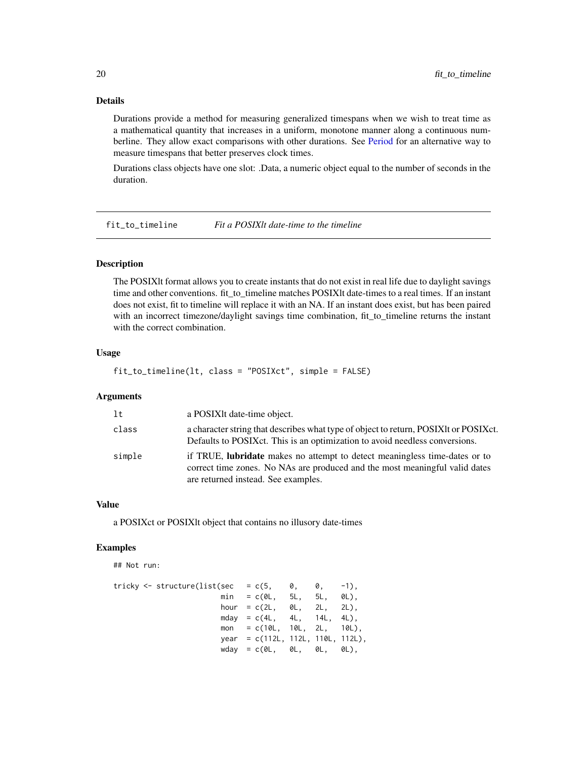### Details

Durations provide a method for measuring generalized timespans when we wish to treat time as a mathematical quantity that increases in a uniform, monotone manner along a continuous numberline. They allow exact comparisons with other durations. See [Period](#page-0-0) for an alternative way to measure timespans that better preserves clock times.

Durations class objects have one slot: .Data, a numeric object equal to the number of seconds in the duration.

fit\_to\_timeline *Fit a POSIXlt date-time to the timeline*

### Description

The POSIXlt format allows you to create instants that do not exist in real life due to daylight savings time and other conventions. fit\_to\_timeline matches POSIXIt date-times to a real times. If an instant does not exist, fit to timeline will replace it with an NA. If an instant does exist, but has been paired with an incorrect timezone/daylight savings time combination, fit\_to\_timeline returns the instant with the correct combination.

### Usage

fit\_to\_timeline(lt, class = "POSIXct", simple = FALSE)

#### Arguments

| 1t     | a POSIXIt date-time object.                                                                                                                                                                             |
|--------|---------------------------------------------------------------------------------------------------------------------------------------------------------------------------------------------------------|
| class  | a character string that describes what type of object to return, POSIXIt or POSIX et.<br>Defaults to POSIX ct. This is an optimization to avoid needless conversions.                                   |
| simple | if TRUE, <b>lubridate</b> makes no attempt to detect meaningless time-dates or to<br>correct time zones. No NAs are produced and the most meaningful valid dates<br>are returned instead. See examples. |

#### Value

a POSIXct or POSIXlt object that contains no illusory date-times

#### Examples

## Not run:

| tricky <- structure(list(sec   = c(5,    0,    0, |                                      |  | $-1$ . |
|---------------------------------------------------|--------------------------------------|--|--------|
|                                                   | $min = c(0L, 5L, 5L, 0L),$           |  |        |
|                                                   | hour = $c(2L, 0L, 2L, 2L)$ .         |  |        |
|                                                   | mday = $c(4L, 4L, 14L, 4L)$ ,        |  |        |
|                                                   | $mon = c(10L, 10L, 2L, 10L).$        |  |        |
|                                                   | year = $c(112L, 112L, 110L, 112L)$ , |  |        |
|                                                   | $wday = c(0L, 0L, 0L, 0L)$           |  |        |

<span id="page-19-0"></span>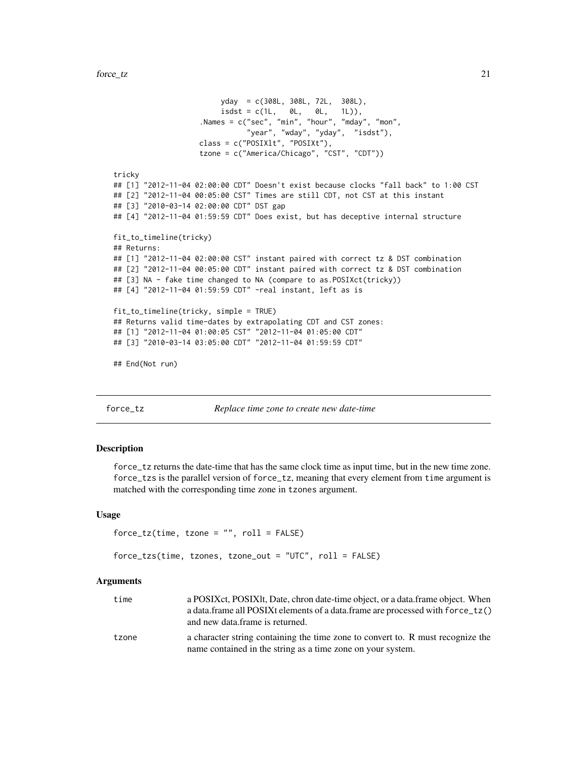```
yday = c(308L, 308L, 72L, 308L),
                         isdst = c(1L, 0L, 0L, 1L)),
                    .Names = c("sec", "min", "hour", "mday", "mon",
                               "year", "wday", "yday", "isdst"),
                    class = c("POSIXlt", "POSIXt"),
                    tzone = c("America/Chicago", "CST", "CDT"))
tricky
## [1] "2012-11-04 02:00:00 CDT" Doesn't exist because clocks "fall back" to 1:00 CST
## [2] "2012-11-04 00:05:00 CST" Times are still CDT, not CST at this instant
## [3] "2010-03-14 02:00:00 CDT" DST gap
## [4] "2012-11-04 01:59:59 CDT" Does exist, but has deceptive internal structure
fit_to_timeline(tricky)
## Returns:
## [1] "2012-11-04 02:00:00 CST" instant paired with correct tz & DST combination
## [2] "2012-11-04 00:05:00 CDT" instant paired with correct tz & DST combination
## [3] NA - fake time changed to NA (compare to as.POSIXct(tricky))
## [4] "2012-11-04 01:59:59 CDT" -real instant, left as is
fit_to_timeline(tricky, simple = TRUE)
## Returns valid time-dates by extrapolating CDT and CST zones:
## [1] "2012-11-04 01:00:05 CST" "2012-11-04 01:05:00 CDT"
## [3] "2010-03-14 03:05:00 CDT" "2012-11-04 01:59:59 CDT"
## End(Not run)
```
force\_tz *Replace time zone to create new date-time*

#### Description

force\_tz returns the date-time that has the same clock time as input time, but in the new time zone. force\_tzs is the parallel version of force\_tz, meaning that every element from time argument is matched with the corresponding time zone in tzones argument.

#### Usage

```
force_tz(time, tzone = "", roll = FALSE)
```

```
force_tzs(time, tzones, tzone_out = "UTC", roll = FALSE)
```
#### Arguments

| time  | a POSIX et, POSIX lt, Date, chron date-time object, or a data frame object. When<br>a data.frame all POSIXt elements of a data.frame are processed with force_tz()<br>and new data frame is returned. |
|-------|-------------------------------------------------------------------------------------------------------------------------------------------------------------------------------------------------------|
| tzone | a character string containing the time zone to convert to. R must recognize the<br>name contained in the string as a time zone on your system.                                                        |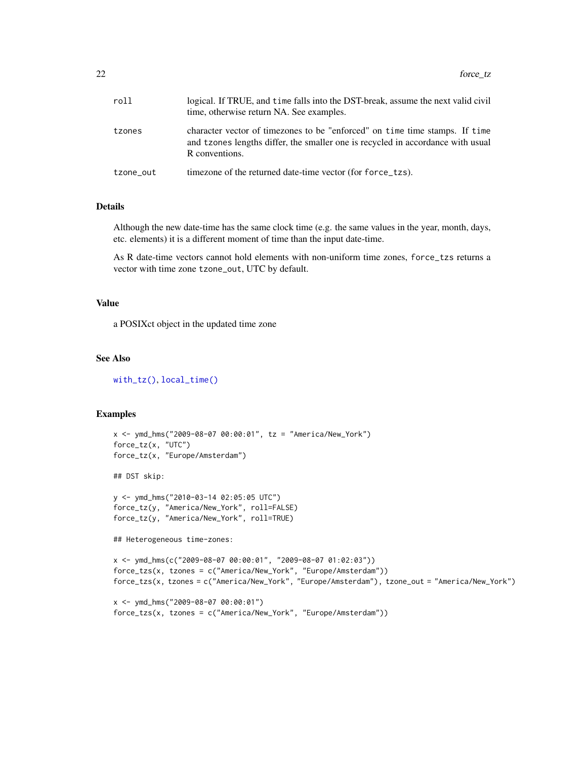| roll      | logical. If TRUE, and time falls into the DST-break, assume the next valid civil<br>time, otherwise return NA. See examples.                                                     |
|-----------|----------------------------------------------------------------------------------------------------------------------------------------------------------------------------------|
| tzones    | character vector of timezones to be "enforced" on time time stamps. If time<br>and tzones lengths differ, the smaller one is recycled in accordance with usual<br>R conventions. |
| tzone_out | timezone of the returned date-time vector (for force_tzs).                                                                                                                       |

### Details

Although the new date-time has the same clock time (e.g. the same values in the year, month, days, etc. elements) it is a different moment of time than the input date-time.

As R date-time vectors cannot hold elements with non-uniform time zones, force\_tzs returns a vector with time zone tzone\_out, UTC by default.

#### Value

a POSIXct object in the updated time zone

### See Also

[with\\_tz\(\)](#page-61-1), [local\\_time\(\)](#page-33-1)

```
x <- ymd_hms("2009-08-07 00:00:01", tz = "America/New_York")
force_tz(x, "UTC")
force_tz(x, "Europe/Amsterdam")
## DST skip:
y <- ymd_hms("2010-03-14 02:05:05 UTC")
force_tz(y, "America/New_York", roll=FALSE)
force_tz(y, "America/New_York", roll=TRUE)
## Heterogeneous time-zones:
x <- ymd_hms(c("2009-08-07 00:00:01", "2009-08-07 01:02:03"))
force_tzs(x, tzones = c("America/New_York", "Europe/Amsterdam"))
force_tzs(x, tzones = c("America/New_York", "Europe/Amsterdam"), tzone_out = "America/New_York")
x <- ymd_hms("2009-08-07 00:00:01")
force_tzs(x, tzones = c("America/New_York", "Europe/Amsterdam"))
```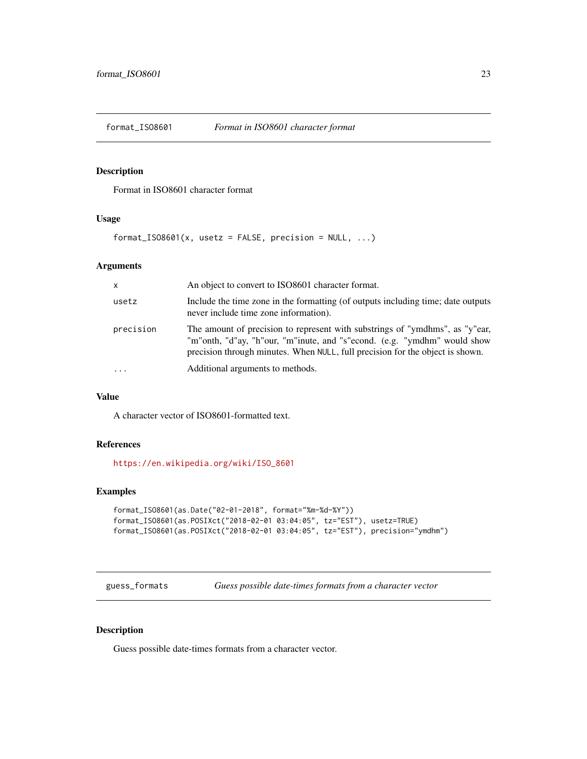<span id="page-22-0"></span>

Format in ISO8601 character format

### Usage

 $format_IS08601(x, *usetz* = FALSE, precision = NULL, ...)$ 

#### Arguments

| $\mathsf{x}$ | An object to convert to ISO8601 character format.                                                                                                                                                                                         |
|--------------|-------------------------------------------------------------------------------------------------------------------------------------------------------------------------------------------------------------------------------------------|
| usetz        | Include the time zone in the formatting (of outputs including time; date outputs<br>never include time zone information).                                                                                                                 |
| precision    | The amount of precision to represent with substrings of "ymdhms", as "y"ear,<br>"m"onth, "d"ay, "h"our, "m"inute, and "s"econd. (e.g. "ymdhm" would show<br>precision through minutes. When NULL, full precision for the object is shown. |
| $\ddotsc$    | Additional arguments to methods.                                                                                                                                                                                                          |

#### Value

A character vector of ISO8601-formatted text.

### References

[https://en.wikipedia.org/wiki/ISO\\_8601](https://en.wikipedia.org/wiki/ISO_8601)

### Examples

```
format_ISO8601(as.Date("02-01-2018", format="%m-%d-%Y"))
format_ISO8601(as.POSIXct("2018-02-01 03:04:05", tz="EST"), usetz=TRUE)
format_ISO8601(as.POSIXct("2018-02-01 03:04:05", tz="EST"), precision="ymdhm")
```
guess\_formats *Guess possible date-times formats from a character vector*

#### Description

Guess possible date-times formats from a character vector.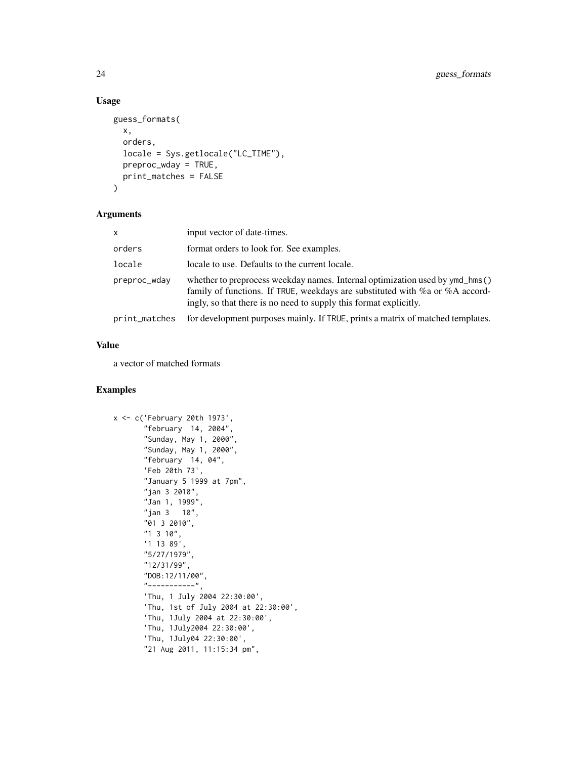### Usage

```
guess_formats(
  x,
  orders,
  locale = Sys.getlocale("LC_TIME"),
 preproc_wday = TRUE,
 print_matches = FALSE
)
```
#### Arguments

| $\times$      | input vector of date-times.                                                                                                                                                                                                               |
|---------------|-------------------------------------------------------------------------------------------------------------------------------------------------------------------------------------------------------------------------------------------|
| orders        | format orders to look for. See examples.                                                                                                                                                                                                  |
| locale        | locale to use. Defaults to the current locale.                                                                                                                                                                                            |
| preproc_wday  | whether to preprocess weekday names. Internal optimization used by ymd_hms()<br>family of functions. If TRUE, weekdays are substituted with $\%$ a or $\%$ A accord-<br>ingly, so that there is no need to supply this format explicitly. |
| print_matches | for development purposes mainly. If TRUE, prints a matrix of matched templates.                                                                                                                                                           |

### Value

a vector of matched formats

```
x <- c('February 20th 1973',
       "february 14, 2004",
       "Sunday, May 1, 2000",
       "Sunday, May 1, 2000",
       "february 14, 04",
       'Feb 20th 73',
       "January 5 1999 at 7pm",
       "jan 3 2010",
       "Jan 1, 1999",
       "jan 3 10",
       "01 3 2010",
       "1 3 10",
       '1 13 89',
       "5/27/1979",
       "12/31/99",
       "DOB:12/11/00",
       "-----------",
       'Thu, 1 July 2004 22:30:00',
       'Thu, 1st of July 2004 at 22:30:00',
       'Thu, 1July 2004 at 22:30:00',
       'Thu, 1July2004 22:30:00',
       'Thu, 1July04 22:30:00',
       "21 Aug 2011, 11:15:34 pm",
```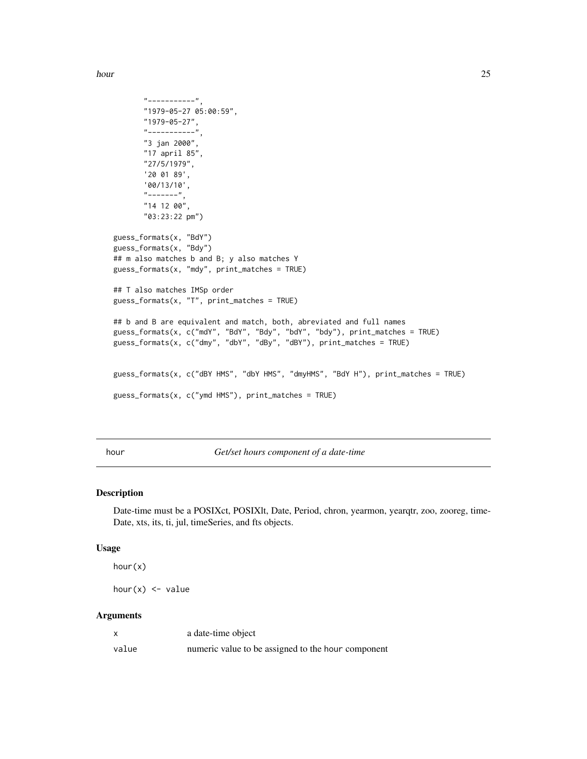<span id="page-24-0"></span>hour 25

```
"-----------",
       "1979-05-27 05:00:59",
       "1979-05-27",
       "-----"3 jan 2000",
      "17 april 85",
      "27/5/1979",
      '20 01 89',
      '00/13/10',
      "------""14 12 00",
      "03:23:22 pm")
guess_formats(x, "BdY")
guess_formats(x, "Bdy")
## m also matches b and B; y also matches Y
guess_formats(x, "mdy", print_matches = TRUE)
## T also matches IMSp order
guess_formats(x, "T", print_matches = TRUE)
## b and B are equivalent and match, both, abreviated and full names
guess_formats(x, c("mdY", "BdY", "Bdy", "bdY", "bdy"), print_matches = TRUE)
guess_formats(x, c("dmy", "dbY", "dBy", "dBY"), print_matches = TRUE)
guess_formats(x, c("dBY HMS", "dbY HMS", "dmyHMS", "BdY H"), print_matches = TRUE)
guess_formats(x, c("ymd HMS"), print_matches = TRUE)
```
hour *Get/set hours component of a date-time*

#### Description

Date-time must be a POSIXct, POSIXlt, Date, Period, chron, yearmon, yearqtr, zoo, zooreg, time-Date, xts, its, ti, jul, timeSeries, and fts objects.

#### Usage

hour(x)

hour $(x)$  <- value

#### **Arguments**

|       | a date-time object                                 |
|-------|----------------------------------------------------|
| value | numeric value to be assigned to the hour component |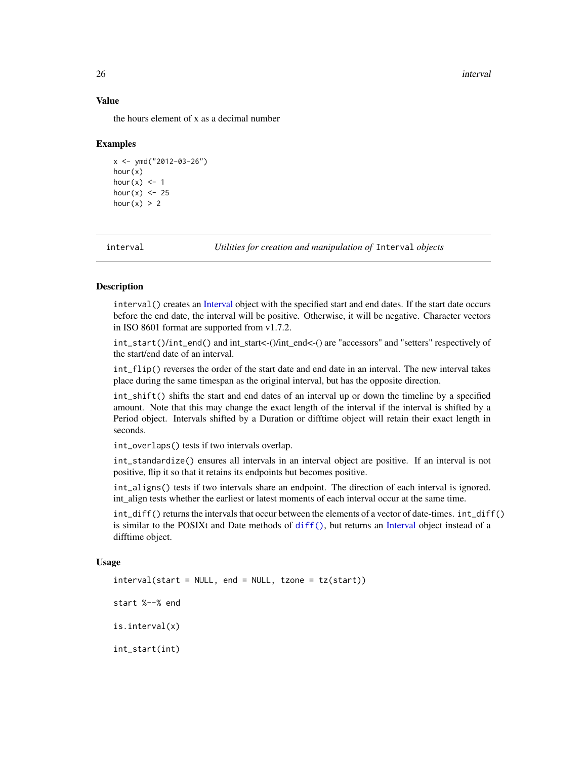#### 26 interval and the contract of the contract of the contract of the contract of the contract of the contract of the contract of the contract of the contract of the contract of the contract of the contract of the contract o

#### Value

the hours element of x as a decimal number

#### Examples

```
x \le - ymd("2012-03-26")
hour(x)
hour(x) <- 1
hour(x) <- 25
hour(x) > 2
```
<span id="page-25-1"></span>interval *Utilities for creation and manipulation of* Interval *objects*

#### <span id="page-25-2"></span>Description

interval() creates an [Interval](#page-28-2) object with the specified start and end dates. If the start date occurs before the end date, the interval will be positive. Otherwise, it will be negative. Character vectors in ISO 8601 format are supported from v1.7.2.

int\_start()/int\_end() and int\_start<-()/int\_end<-() are "accessors" and "setters" respectively of the start/end date of an interval.

int\_flip() reverses the order of the start date and end date in an interval. The new interval takes place during the same timespan as the original interval, but has the opposite direction.

int\_shift() shifts the start and end dates of an interval up or down the timeline by a specified amount. Note that this may change the exact length of the interval if the interval is shifted by a Period object. Intervals shifted by a Duration or difftime object will retain their exact length in seconds.

int\_overlaps() tests if two intervals overlap.

int\_standardize() ensures all intervals in an interval object are positive. If an interval is not positive, flip it so that it retains its endpoints but becomes positive.

int\_aligns() tests if two intervals share an endpoint. The direction of each interval is ignored. int align tests whether the earliest or latest moments of each interval occur at the same time.

int\_diff() returns the intervals that occur between the elements of a vector of date-times. int\_diff() is similar to the POSIXt and Date methods of [diff\(\)](#page-0-0), but returns an [Interval](#page-28-2) object instead of a difftime object.

#### Usage

 $interval(start = NULL, end = NULL, trace = tz(start)$ start %--% end is.interval(x) int\_start(int)

<span id="page-25-0"></span>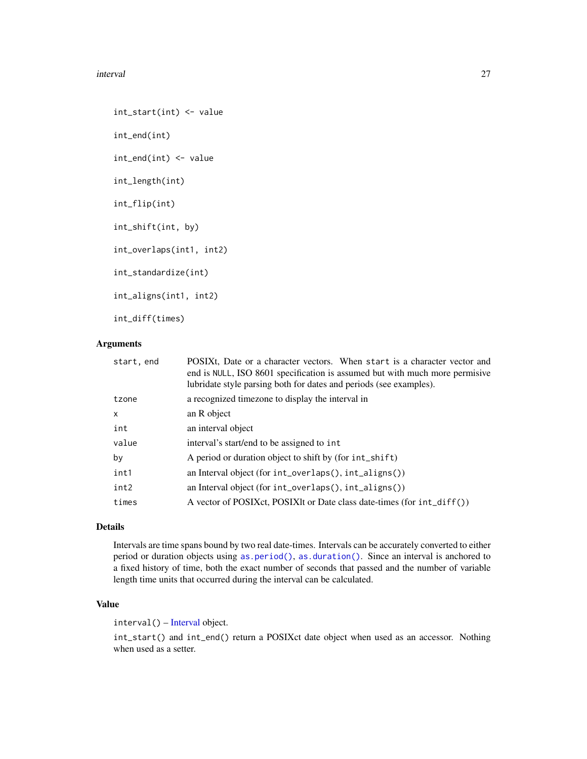#### interval 27

int\_start(int) <- value int\_end(int) int\_end(int) <- value int\_length(int) int\_flip(int) int\_shift(int, by) int\_overlaps(int1, int2) int\_standardize(int) int\_aligns(int1, int2) int\_diff(times)

#### Arguments

| start, end | POSIXt, Date or a character vectors. When start is a character vector and<br>end is NULL, ISO 8601 specification is assumed but with much more permisive<br>lubridate style parsing both for dates and periods (see examples). |  |  |
|------------|--------------------------------------------------------------------------------------------------------------------------------------------------------------------------------------------------------------------------------|--|--|
| tzone      | a recognized timezone to display the interval in                                                                                                                                                                               |  |  |
| x          | an R object                                                                                                                                                                                                                    |  |  |
| int        | an interval object                                                                                                                                                                                                             |  |  |
| value      | interval's start/end to be assigned to int                                                                                                                                                                                     |  |  |
| by         | A period or duration object to shift by (for int_shift)                                                                                                                                                                        |  |  |
| int1       | an Interval object (for int_overlaps(), int_aligns())                                                                                                                                                                          |  |  |
| int2       | an Interval object (for int_overlaps(), int_aligns())                                                                                                                                                                          |  |  |
| times      | A vector of POSIXct, POSIXIt or Date class date-times (for int_diff())                                                                                                                                                         |  |  |
|            |                                                                                                                                                                                                                                |  |  |

### Details

Intervals are time spans bound by two real date-times. Intervals can be accurately converted to either period or duration objects using [as.period\(\)](#page-5-1), [as.duration\(\)](#page-3-1). Since an interval is anchored to a fixed history of time, both the exact number of seconds that passed and the number of variable length time units that occurred during the interval can be calculated.

### Value

interval() – [Interval](#page-28-2) object.

int\_start() and int\_end() return a POSIXct date object when used as an accessor. Nothing when used as a setter.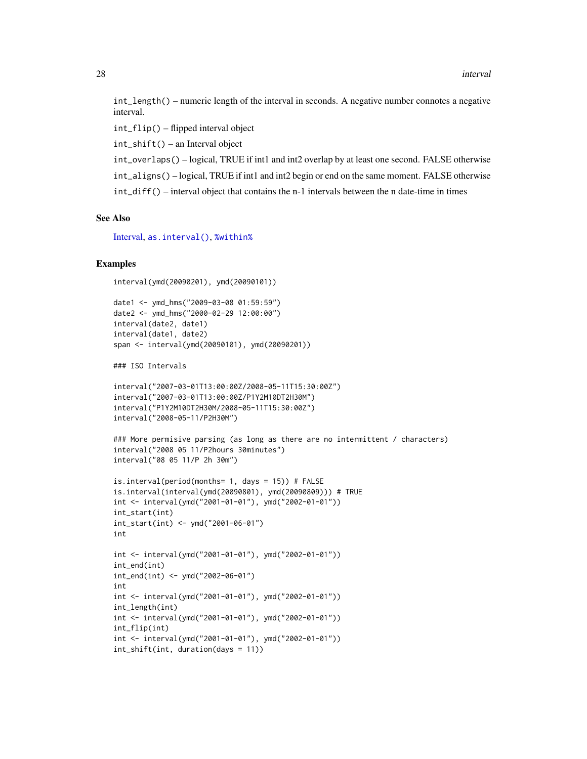int\_length() – numeric length of the interval in seconds. A negative number connotes a negative interval.

int\_flip() – flipped interval object

int\_shift() – an Interval object

int\_overlaps() – logical, TRUE if int1 and int2 overlap by at least one second. FALSE otherwise int\_aligns() – logical, TRUE if int1 and int2 begin or end on the same moment. FALSE otherwise int\_diff() – interval object that contains the n-1 intervals between the n date-time in times

#### See Also

[Interval,](#page-28-2) [as.interval\(\)](#page-4-1), [%within%](#page-71-1)

#### Examples

```
interval(ymd(20090201), ymd(20090101))
```

```
date1 <- ymd_hms("2009-03-08 01:59:59")
date2 <- ymd_hms("2000-02-29 12:00:00")
interval(date2, date1)
interval(date1, date2)
span <- interval(ymd(20090101), ymd(20090201))
```
### ISO Intervals

```
interval("2007-03-01T13:00:00Z/2008-05-11T15:30:00Z")
interval("2007-03-01T13:00:00Z/P1Y2M10DT2H30M")
interval("P1Y2M10DT2H30M/2008-05-11T15:30:00Z")
interval("2008-05-11/P2H30M")
```

```
### More permisive parsing (as long as there are no intermittent / characters)
interval("2008 05 11/P2hours 30minutes")
interval("08 05 11/P 2h 30m")
```

```
is.interval(period(months= 1, days = 15)) # FALSE
is.interval(interval(ymd(20090801), ymd(20090809))) # TRUE
int <- interval(ymd("2001-01-01"), ymd("2002-01-01"))
int_start(int)
int_start(int) <- ymd("2001-06-01")
int
```

```
int <- interval(ymd("2001-01-01"), ymd("2002-01-01"))
int_end(int)
int_end(int) <- ymd("2002-06-01")
int
int <- interval(ymd("2001-01-01"), ymd("2002-01-01"))
int_length(int)
int <- interval(ymd("2001-01-01"), ymd("2002-01-01"))
int_flip(int)
int <- interval(ymd("2001-01-01"), ymd("2002-01-01"))
int_shift(int, duration(days = 11))
```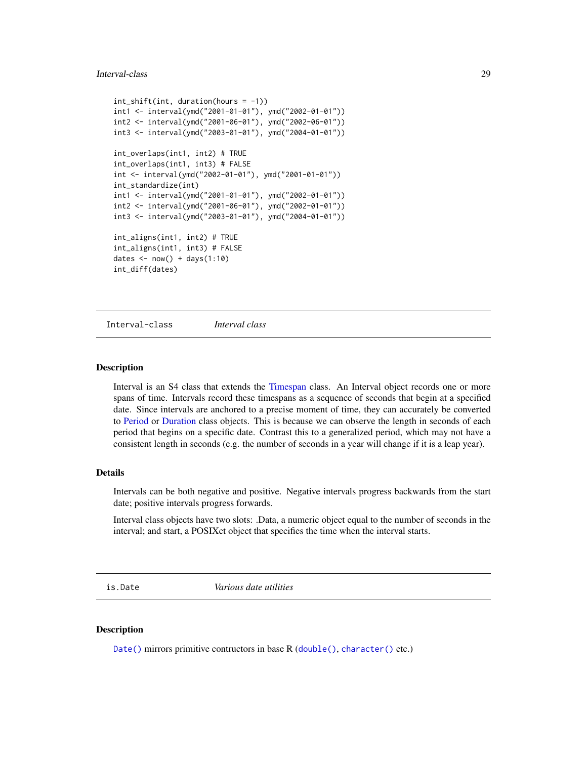#### <span id="page-28-0"></span>Interval-class 29

```
int_{shift(int, duration(hours = -1))}int1 <- interval(ymd("2001-01-01"), ymd("2002-01-01"))
int2 <- interval(ymd("2001-06-01"), ymd("2002-06-01"))
int3 <- interval(ymd("2003-01-01"), ymd("2004-01-01"))
int_overlaps(int1, int2) # TRUE
int_overlaps(int1, int3) # FALSE
int <- interval(ymd("2002-01-01"), ymd("2001-01-01"))
int_standardize(int)
int1 <- interval(ymd("2001-01-01"), ymd("2002-01-01"))
int2 <- interval(ymd("2001-06-01"), ymd("2002-01-01"))
int3 <- interval(ymd("2003-01-01"), ymd("2004-01-01"))
int_aligns(int1, int2) # TRUE
int_aligns(int1, int3) # FALSE
dates \leq - now() + days(1:10)
int_diff(dates)
```
<span id="page-28-2"></span>Interval-class *Interval class*

#### Description

Interval is an S4 class that extends the [Timespan](#page-0-0) class. An Interval object records one or more spans of time. Intervals record these timespans as a sequence of seconds that begin at a specified date. Since intervals are anchored to a precise moment of time, they can accurately be converted to [Period](#page-0-0) or [Duration](#page-18-1) class objects. This is because we can observe the length in seconds of each period that begins on a specific date. Contrast this to a generalized period, which may not have a consistent length in seconds (e.g. the number of seconds in a year will change if it is a leap year).

#### Details

Intervals can be both negative and positive. Negative intervals progress backwards from the start date; positive intervals progress forwards.

Interval class objects have two slots: .Data, a numeric object equal to the number of seconds in the interval; and start, a POSIXct object that specifies the time when the interval starts.

<span id="page-28-3"></span>is.Date *Various date utilities*

#### <span id="page-28-1"></span>Description

[Date\(\)](#page-28-1) mirrors primitive contructors in base R ([double\(\)](#page-0-0), [character\(\)](#page-0-0) etc.)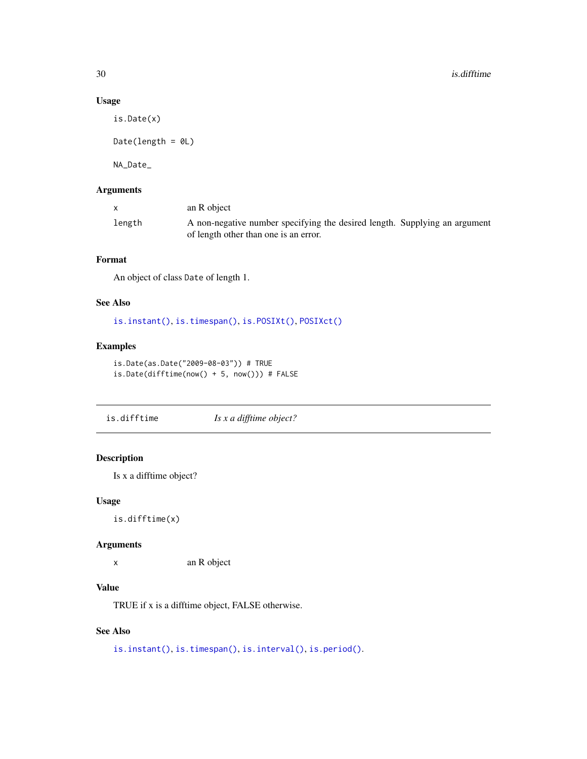### Usage

is.Date(x)

Date(length =  $@L$ )

NA\_Date\_

### Arguments

|        | an R object                                                                |  |
|--------|----------------------------------------------------------------------------|--|
| length | A non-negative number specifying the desired length. Supplying an argument |  |
|        | of length other than one is an error.                                      |  |

### Format

An object of class Date of length 1.

### See Also

[is.instant\(\)](#page-30-1), [is.timespan\(\)](#page-32-1), [is.POSIXt\(\)](#page-31-1), [POSIXct\(\)](#page-31-2)

#### Examples

```
is.Date(as.Date("2009-08-03")) # TRUE
is.Date(difftime(now() + 5, now())) # FALSE
```
<span id="page-29-1"></span>is.difftime *Is x a difftime object?*

### Description

Is x a difftime object?

### Usage

is.difftime(x)

#### Arguments

x an R object

### Value

TRUE if x is a difftime object, FALSE otherwise.

### See Also

[is.instant\(\)](#page-30-1), [is.timespan\(\)](#page-32-1), [is.interval\(\)](#page-25-2), [is.period\(\)](#page-45-2).

<span id="page-29-0"></span>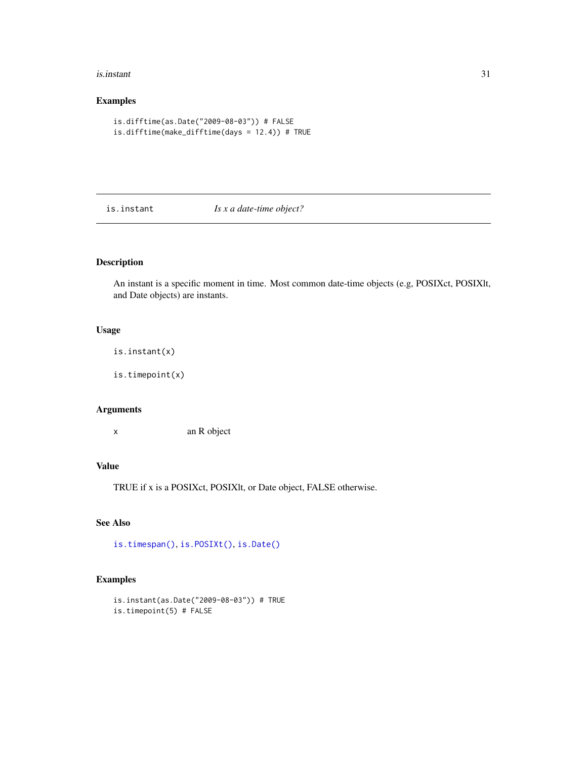#### <span id="page-30-0"></span>is.instant 31

### Examples

```
is.difftime(as.Date("2009-08-03")) # FALSE
is.difftime(make_difftime(days = 12.4)) # TRUE
```
<span id="page-30-1"></span>is.instant *Is x a date-time object?*

### Description

An instant is a specific moment in time. Most common date-time objects (e.g, POSIXct, POSIXlt, and Date objects) are instants.

### Usage

is.instant(x)

is.timepoint(x)

#### Arguments

x an R object

### Value

TRUE if x is a POSIXct, POSIXlt, or Date object, FALSE otherwise.

### See Also

[is.timespan\(\)](#page-32-1), [is.POSIXt\(\)](#page-31-1), [is.Date\(\)](#page-28-3)

```
is.instant(as.Date("2009-08-03")) # TRUE
is.timepoint(5) # FALSE
```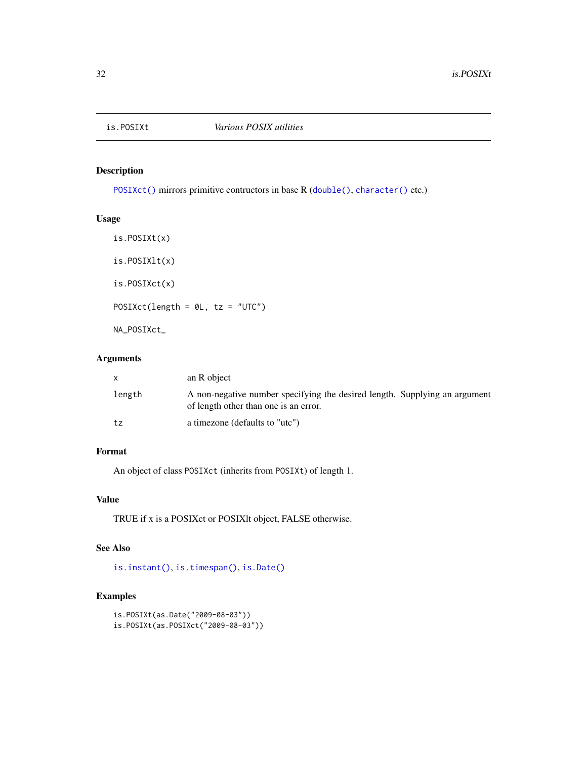<span id="page-31-2"></span><span id="page-31-1"></span><span id="page-31-0"></span>

[POSIXct\(\)](#page-31-2) mirrors primitive contructors in base R ([double\(\)](#page-0-0), [character\(\)](#page-0-0) etc.)

### Usage

```
is.POSIXt(x)
is.POSIXlt(x)
is.POSIXct(x)
POSIXct(length = \theta L, tz = "UTC")
NA_POSIXct_
```
### Arguments

| X.     | an R object                                                                                                         |
|--------|---------------------------------------------------------------------------------------------------------------------|
| length | A non-negative number specifying the desired length. Supplying an argument<br>of length other than one is an error. |
| tz     | a timezone (defaults to "utc")                                                                                      |

### Format

An object of class POSIXct (inherits from POSIXt) of length 1.

### Value

TRUE if x is a POSIXct or POSIXlt object, FALSE otherwise.

### See Also

[is.instant\(\)](#page-30-1), [is.timespan\(\)](#page-32-1), [is.Date\(\)](#page-28-3)

```
is.POSIXt(as.Date("2009-08-03"))
is.POSIXt(as.POSIXct("2009-08-03"))
```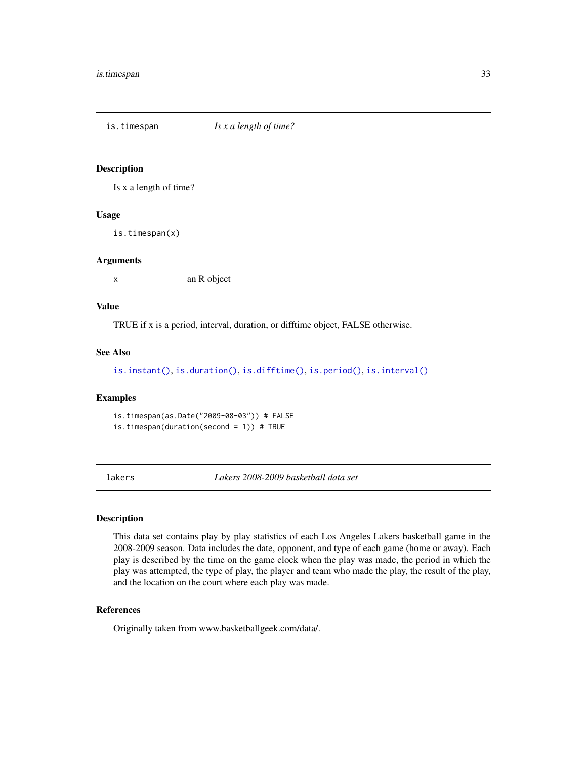<span id="page-32-1"></span><span id="page-32-0"></span>is.timespan *Is x a length of time?*

### Description

Is x a length of time?

#### Usage

is.timespan(x)

#### Arguments

x an R object

### Value

TRUE if x is a period, interval, duration, or difftime object, FALSE otherwise.

#### See Also

[is.instant\(\)](#page-30-1), [is.duration\(\)](#page-16-2), [is.difftime\(\)](#page-29-1), [is.period\(\)](#page-45-2), [is.interval\(\)](#page-25-2)

#### Examples

is.timespan(as.Date("2009-08-03")) # FALSE is.timespan(duration(second = 1)) # TRUE

lakers *Lakers 2008-2009 basketball data set*

### Description

This data set contains play by play statistics of each Los Angeles Lakers basketball game in the 2008-2009 season. Data includes the date, opponent, and type of each game (home or away). Each play is described by the time on the game clock when the play was made, the period in which the play was attempted, the type of play, the player and team who made the play, the result of the play, and the location on the court where each play was made.

#### References

Originally taken from www.basketballgeek.com/data/.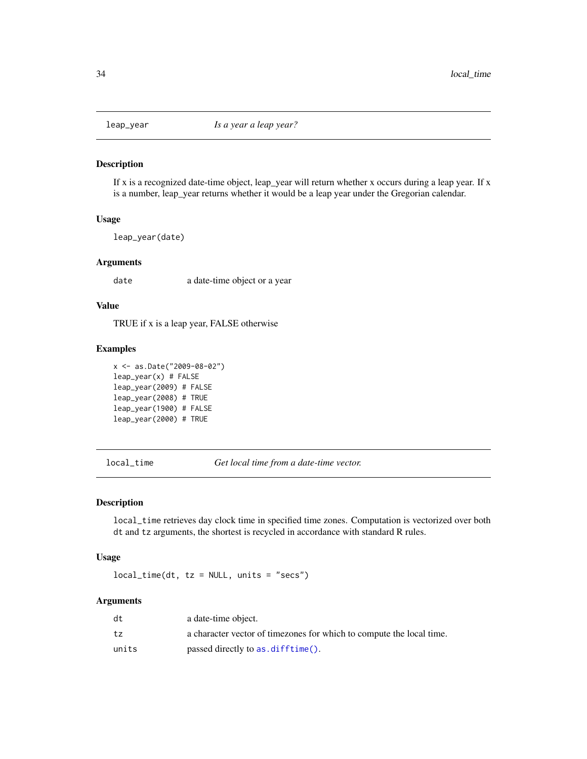<span id="page-33-0"></span>

If x is a recognized date-time object, leap\_year will return whether x occurs during a leap year. If x is a number, leap\_year returns whether it would be a leap year under the Gregorian calendar.

#### Usage

leap\_year(date)

#### **Arguments**

date a date-time object or a year

### Value

TRUE if x is a leap year, FALSE otherwise

### Examples

```
x <- as.Date("2009-08-02")
leap\_year(x) # FALSEleap_year(2009) # FALSE
leap_year(2008) # TRUE
leap_year(1900) # FALSE
leap_year(2000) # TRUE
```
<span id="page-33-1"></span>local\_time *Get local time from a date-time vector.*

#### Description

local\_time retrieves day clock time in specified time zones. Computation is vectorized over both dt and tz arguments, the shortest is recycled in accordance with standard R rules.

#### Usage

 $local_time(dt, tz = NULL, units = "secs")$ 

### Arguments

| dt    | a date-time object.                                                  |
|-------|----------------------------------------------------------------------|
| tz    | a character vector of timezones for which to compute the local time. |
| units | passed directly to as difftime().                                    |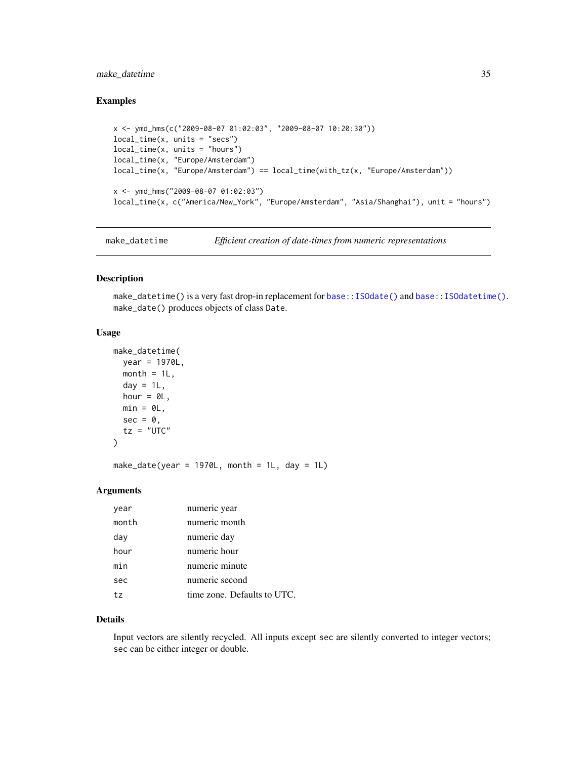### <span id="page-34-0"></span>make\_datetime 35

### Examples

```
x <- ymd_hms(c("2009-08-07 01:02:03", "2009-08-07 10:20:30"))
local_time(x, units = "secs")local_time(x, units = "hours")
local_time(x, "Europe/Amsterdam")
local_time(x, "Europe/Amsterdam") == local_time(with_tz(x, "Europe/Amsterdam"))
x <- ymd_hms("2009-08-07 01:02:03")
local_time(x, c("America/New_York", "Europe/Amsterdam", "Asia/Shanghai"), unit = "hours")
```
make\_datetime *Efficient creation of date-times from numeric representations*

### Description

make\_datetime() is a very fast drop-in replacement for [base::ISOdate\(\)](#page-0-0) and [base::ISOdatetime\(\)](#page-0-0). make\_date() produces objects of class Date.

### Usage

```
make_datetime(
 year = 1970L,
 month = 1L,
 day = 1L,
 hour = 0L,
 min = 0L,
  sec = 0,
  tz = "UTC"\lambda
```
make\_date(year = 1970L, month = 1L, day = 1L)

### Arguments

| year  | numeric year                |
|-------|-----------------------------|
| month | numeric month               |
| day   | numeric day                 |
| hour  | numeric hour                |
| min   | numeric minute              |
| sec   | numeric second              |
| t.z   | time zone. Defaults to UTC. |

#### Details

Input vectors are silently recycled. All inputs except sec are silently converted to integer vectors; sec can be either integer or double.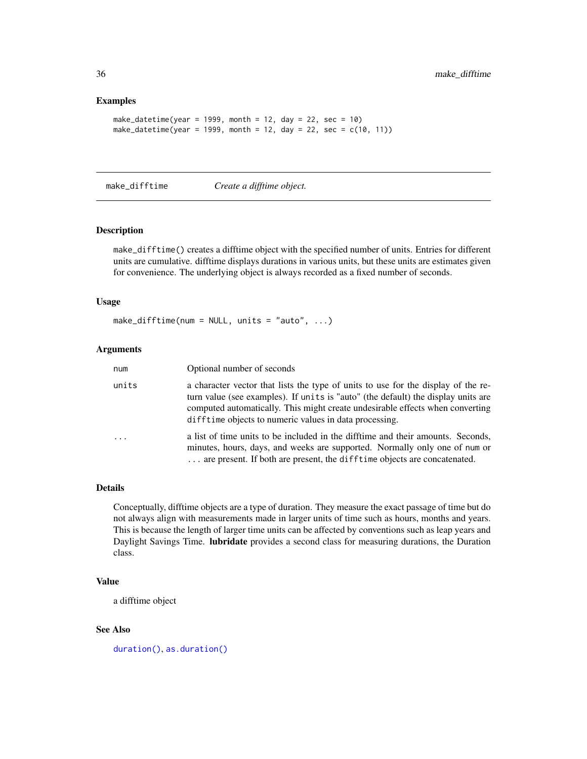#### Examples

```
make_datetime(year = 1999, month = 12, day = 22, sec = 10)
make_datetime(year = 1999, month = 12, day = 22, sec = c(10, 11))
```
make\_difftime *Create a difftime object.*

#### Description

make\_difftime() creates a difftime object with the specified number of units. Entries for different units are cumulative. difftime displays durations in various units, but these units are estimates given for convenience. The underlying object is always recorded as a fixed number of seconds.

#### Usage

make\_difftime(num = NULL, units = "auto",  $\ldots$ )

#### Arguments

| num   | Optional number of seconds                                                                                                                                                                                                                                                                                        |
|-------|-------------------------------------------------------------------------------------------------------------------------------------------------------------------------------------------------------------------------------------------------------------------------------------------------------------------|
| units | a character vector that lists the type of units to use for the display of the re-<br>turn value (see examples). If units is "auto" (the default) the display units are<br>computed automatically. This might create undesirable effects when converting<br>difftime objects to numeric values in data processing. |
| .     | a list of time units to be included in the difftime and their amounts. Seconds,<br>minutes, hours, days, and weeks are supported. Normally only one of num or<br>are present. If both are present, the difftime objects are concatenated.                                                                         |

#### Details

Conceptually, difftime objects are a type of duration. They measure the exact passage of time but do not always align with measurements made in larger units of time such as hours, months and years. This is because the length of larger time units can be affected by conventions such as leap years and Daylight Savings Time. lubridate provides a second class for measuring durations, the Duration class.

#### Value

a difftime object

### See Also

[duration\(\)](#page-16-1), [as.duration\(\)](#page-3-1)

<span id="page-35-0"></span>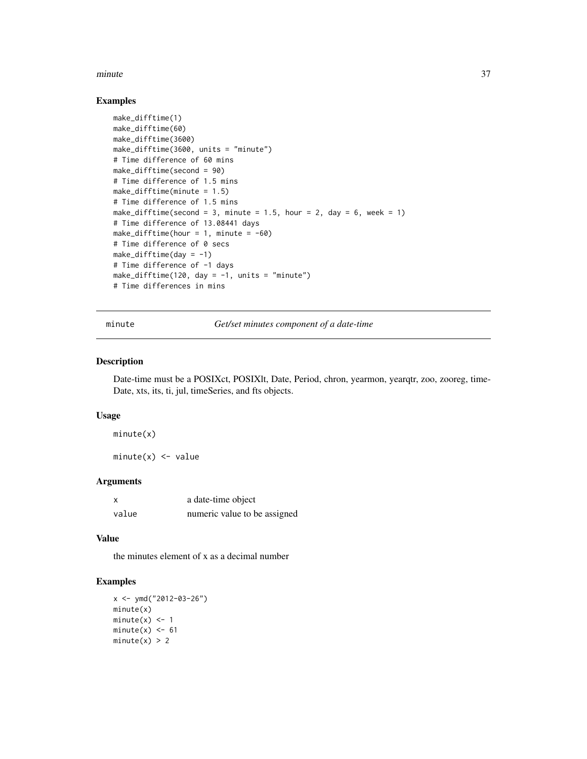#### minute 37

## Examples

```
make_difftime(1)
make_difftime(60)
make_difftime(3600)
make_difftime(3600, units = "minute")
# Time difference of 60 mins
make_difftime(second = 90)
# Time difference of 1.5 mins
make_difftime(minute = 1.5)
# Time difference of 1.5 mins
make_difftime(second = 3, minute = 1.5, hour = 2, day = 6, week = 1)
# Time difference of 13.08441 days
make_difftime(hour = 1, minute = -60)
# Time difference of 0 secs
make\_difftime/day = -1)# Time difference of -1 days
make_difftime(120, day = -1, units = "minute")
# Time differences in mins
```
minute *Get/set minutes component of a date-time*

## Description

Date-time must be a POSIXct, POSIXlt, Date, Period, chron, yearmon, yearqtr, zoo, zooreg, time-Date, xts, its, ti, jul, timeSeries, and fts objects.

## Usage

minute(x)

 $minute(x) < - value$ 

# Arguments

| $\boldsymbol{\mathsf{x}}$ | a date-time object           |
|---------------------------|------------------------------|
| value                     | numeric value to be assigned |

#### Value

the minutes element of x as a decimal number

```
x < - ymd("2012-03-26")
minute(x)
minute(x) < -1minute(x) <- 61
minute(x) > 2
```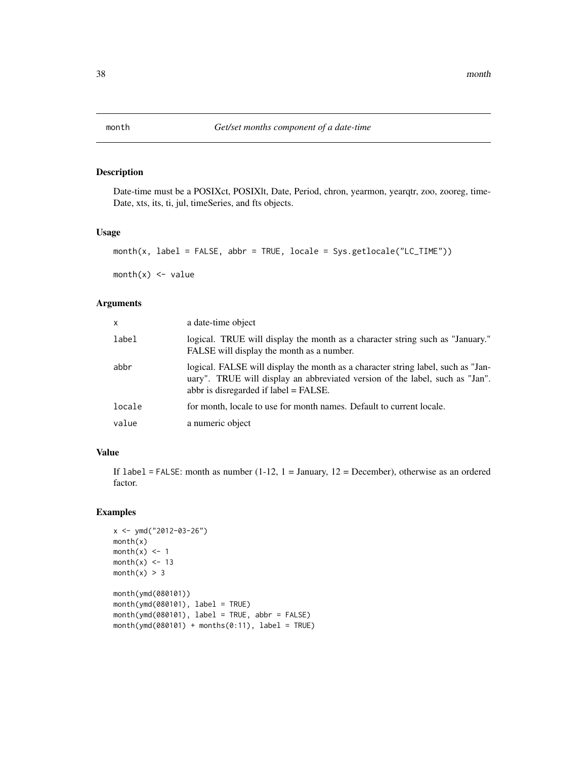Date-time must be a POSIXct, POSIXlt, Date, Period, chron, yearmon, yearqtr, zoo, zooreg, time-Date, xts, its, ti, jul, timeSeries, and fts objects.

# Usage

month(x, label = FALSE, abbr = TRUE, locale = Sys.getlocale("LC\_TIME"))

 $month(x) \leq value$ 

## Arguments

| X      | a date-time object                                                                                                                                                                                           |
|--------|--------------------------------------------------------------------------------------------------------------------------------------------------------------------------------------------------------------|
| label  | logical. TRUE will display the month as a character string such as "January."<br>FALSE will display the month as a number.                                                                                   |
| abbr   | logical. FALSE will display the month as a character string label, such as "Jan-<br>uary". TRUE will display an abbreviated version of the label, such as "Jan".<br>abbr is disregarded if $label = FALSE$ . |
| locale | for month, locale to use for month names. Default to current locale.                                                                                                                                         |
| value  | a numeric object                                                                                                                                                                                             |

# Value

If label = FALSE: month as number  $(1-12, 1)$  = January,  $12$  = December), otherwise as an ordered factor.

```
x < - ymd("2012-03-26")
month(x)
month(x) <- 1
month(x) < -13month(x) > 3month(ymd(080101))
month(ymd(080101), label = TRUE)month(ymd(080101), label = TRUE, abbr = FALSE)
month(ymd(080101) + months(0:11), label = TRUE)
```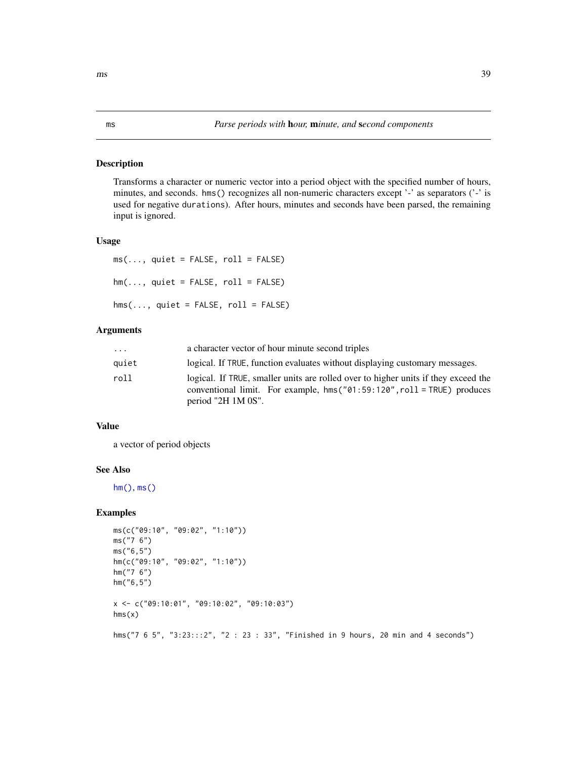<span id="page-38-1"></span><span id="page-38-0"></span>Transforms a character or numeric vector into a period object with the specified number of hours, minutes, and seconds. hms() recognizes all non-numeric characters except '-' as separators ('-' is used for negative durations). After hours, minutes and seconds have been parsed, the remaining input is ignored.

## Usage

```
ms(..., quiet = FALSE, roll = FALSE)hm(\ldots, quiet = FALSE, roll = FALSE)
hms(..., quiet = FALSE, roll = FALSE)
```
# Arguments

| $\ddots$ | a character vector of hour minute second triples                                                                                                                                       |
|----------|----------------------------------------------------------------------------------------------------------------------------------------------------------------------------------------|
| quiet    | logical. If TRUE, function evaluates without displaying customary messages.                                                                                                            |
| roll     | logical. If TRUE, smaller units are rolled over to higher units if they exceed the<br>conventional limit. For example, hms $("01:59:120", roll = TRUE)$ produces<br>period "2H 1M 0S". |

# Value

a vector of period objects

# See Also

[hm\(\)](#page-38-0), [ms\(\)](#page-38-1)

# Examples

```
ms(c("09:10", "09:02", "1:10"))
ms("7 6")
ms("6,5")
hm(c("09:10", "09:02", "1:10"))
hm("7 6")
hm("6,5")
x <- c("09:10:01", "09:10:02", "09:10:03")
hms(x)
```
hms("7 6 5", "3:23:::2", "2 : 23 : 33", "Finished in 9 hours, 20 min and 4 seconds")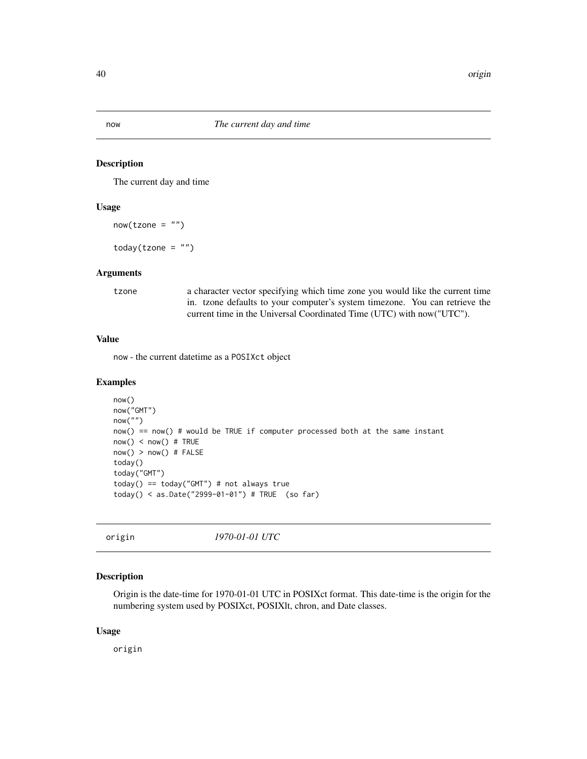now *The current day and time*

## Description

The current day and time

## Usage

 $now(tzone = "")$ 

 $today(tzone = "")$ 

### Arguments

tzone a character vector specifying which time zone you would like the current time in. tzone defaults to your computer's system timezone. You can retrieve the current time in the Universal Coordinated Time (UTC) with now("UTC").

#### Value

now - the current datetime as a POSIXct object

## Examples

```
now()
now("GMT")
now("")
now() == now() # would be TRUE if computer processed both at the same instant
now() < now() # TRUE
now() > now() # FALSEtoday()
today("GMT")
today() == today("GMT") # not always truetoday() < as.Date("2999-01-01") # TRUE (so far)
```
origin *1970-01-01 UTC*

#### Description

Origin is the date-time for 1970-01-01 UTC in POSIXct format. This date-time is the origin for the numbering system used by POSIXct, POSIXlt, chron, and Date classes.

## Usage

origin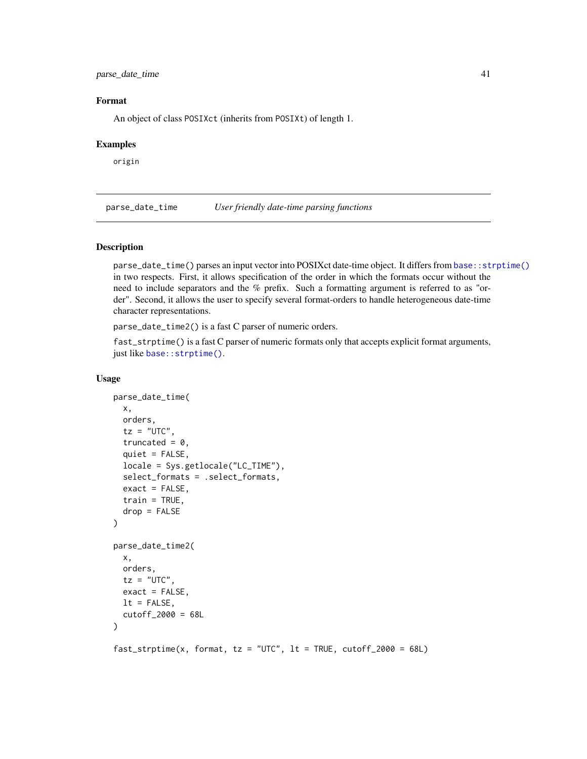parse\_date\_time 41

## Format

An object of class POSIXct (inherits from POSIXt) of length 1.

## Examples

origin

<span id="page-40-0"></span>parse\_date\_time *User friendly date-time parsing functions*

## Description

parse\_date\_time() parses an input vector into POSIXct date-time object. It differs from [base::strptime\(\)](#page-0-0) in two respects. First, it allows specification of the order in which the formats occur without the need to include separators and the % prefix. Such a formatting argument is referred to as "order". Second, it allows the user to specify several format-orders to handle heterogeneous date-time character representations.

parse\_date\_time2() is a fast C parser of numeric orders.

fast\_strptime() is a fast C parser of numeric formats only that accepts explicit format arguments, just like base:: strptime().

```
parse_date_time(
 x,
 orders,
  tz = "UTC",truncated = 0,
  quiet = FALSE,
  locale = Sys.getlocale("LC_TIME"),
  select_formats = .select_formats,
  exact = FALSE,train = TRUE,
 drop = FALSE
)
parse_date_time2(
  x,
 orders,
  tz = "UTC",exact = FALSE,
 lt = FALSE,
  cutoff_2000 = 68L)
fast\_striptime(x, format, tz = "UTC", lt = TRUE, cutoff_2000 = 68L)
```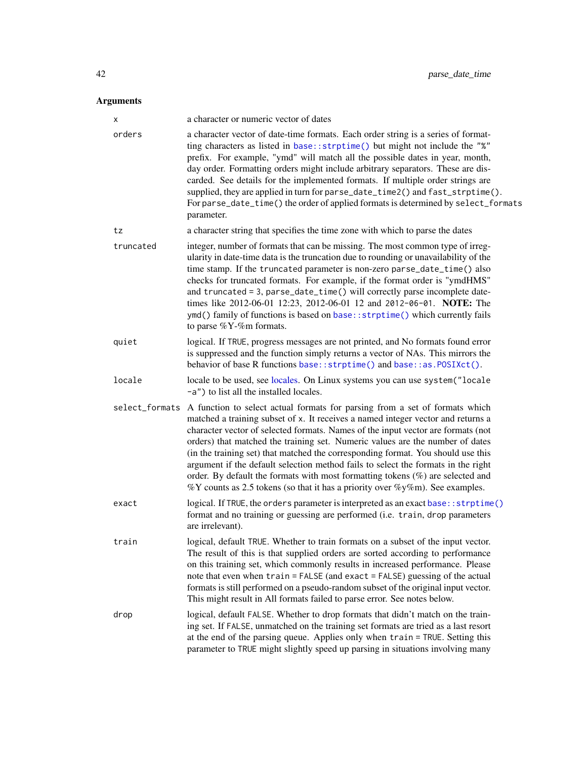# Arguments

| X              | a character or numeric vector of dates                                                                                                                                                                                                                                                                                                                                                                                                                                                                                                                                                                                                                                                          |
|----------------|-------------------------------------------------------------------------------------------------------------------------------------------------------------------------------------------------------------------------------------------------------------------------------------------------------------------------------------------------------------------------------------------------------------------------------------------------------------------------------------------------------------------------------------------------------------------------------------------------------------------------------------------------------------------------------------------------|
| orders         | a character vector of date-time formats. Each order string is a series of format-<br>ting characters as listed in base:: strptime() but might not include the "%"<br>prefix. For example, "ymd" will match all the possible dates in year, month,<br>day order. Formatting orders might include arbitrary separators. These are dis-<br>carded. See details for the implemented formats. If multiple order strings are<br>supplied, they are applied in turn for parse_date_time2() and fast_strptime().<br>For parse_date_time() the order of applied formats is determined by select_formats<br>parameter.                                                                                    |
| tz             | a character string that specifies the time zone with which to parse the dates                                                                                                                                                                                                                                                                                                                                                                                                                                                                                                                                                                                                                   |
| truncated      | integer, number of formats that can be missing. The most common type of irreg-<br>ularity in date-time data is the truncation due to rounding or unavailability of the<br>time stamp. If the truncated parameter is non-zero parse_date_time() also<br>checks for truncated formats. For example, if the format order is "ymdHMS"<br>and truncated = 3, parse_date_time() will correctly parse incomplete date-<br>times like 2012-06-01 12:23, 2012-06-01 12 and 2012-06-01. NOTE: The<br>ymd() family of functions is based on base:: strptime() which currently fails<br>to parse %Y-%m formats.                                                                                             |
| quiet          | logical. If TRUE, progress messages are not printed, and No formats found error<br>is suppressed and the function simply returns a vector of NAs. This mirrors the<br>behavior of base R functions base::strptime() and base::as.POSIXct().                                                                                                                                                                                                                                                                                                                                                                                                                                                     |
| locale         | locale to be used, see locales. On Linux systems you can use system ("locale"<br>-a") to list all the installed locales.                                                                                                                                                                                                                                                                                                                                                                                                                                                                                                                                                                        |
| select_formats | A function to select actual formats for parsing from a set of formats which<br>matched a training subset of x. It receives a named integer vector and returns a<br>character vector of selected formats. Names of the input vector are formats (not<br>orders) that matched the training set. Numeric values are the number of dates<br>(in the training set) that matched the corresponding format. You should use this<br>argument if the default selection method fails to select the formats in the right<br>order. By default the formats with most formatting tokens $(\%)$ are selected and<br>$\%$ Y counts as 2.5 tokens (so that it has a priority over $\%$ y $\%$ m). See examples. |
| exact          | logical. If TRUE, the orders parameter is interpreted as an exact base:: strptime()<br>format and no training or guessing are performed (i.e. train, drop parameters<br>are irrelevant).                                                                                                                                                                                                                                                                                                                                                                                                                                                                                                        |
| train          | logical, default TRUE. Whether to train formats on a subset of the input vector.<br>The result of this is that supplied orders are sorted according to performance<br>on this training set, which commonly results in increased performance. Please<br>note that even when train = FALSE (and exact = FALSE) guessing of the actual<br>formats is still performed on a pseudo-random subset of the original input vector.<br>This might result in All formats failed to parse error. See notes below.                                                                                                                                                                                           |
| drop           | logical, default FALSE. Whether to drop formats that didn't match on the train-<br>ing set. If FALSE, unmatched on the training set formats are tried as a last resort<br>at the end of the parsing queue. Applies only when train = TRUE. Setting this<br>parameter to TRUE might slightly speed up parsing in situations involving many                                                                                                                                                                                                                                                                                                                                                       |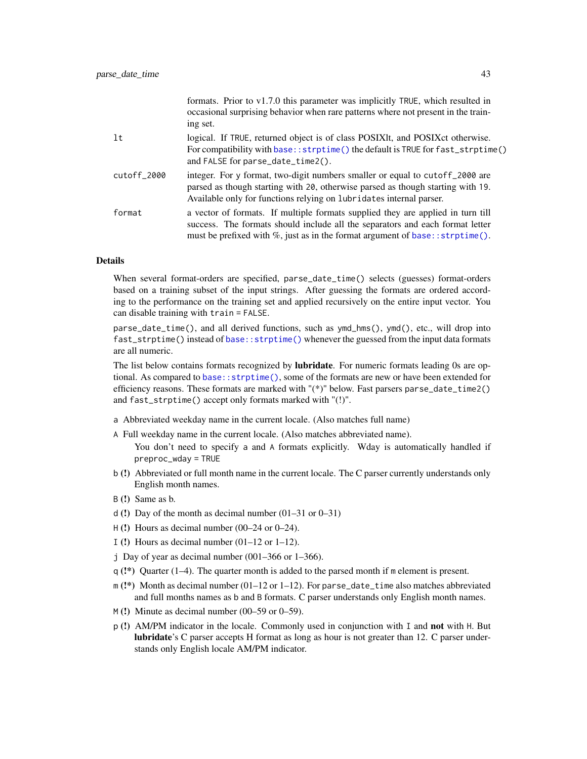|             | formats. Prior to $v1.7.0$ this parameter was implicitly TRUE, which resulted in<br>occasional surprising behavior when rare patterns where not present in the train-<br>ing set.                                                                      |
|-------------|--------------------------------------------------------------------------------------------------------------------------------------------------------------------------------------------------------------------------------------------------------|
| lt          | logical. If TRUE, returned object is of class POSIXIt, and POSIX et otherwise.<br>For compatibility with base:: strptime() the default is TRUE for fast_strptime()<br>and FALSE for parse_date_time2().                                                |
| cutoff_2000 | integer. For y format, two-digit numbers smaller or equal to cutoff 2000 are<br>parsed as though starting with 20, otherwise parsed as though starting with 19.<br>Available only for functions relying on lubridates internal parser.                 |
| format      | a vector of formats. If multiple formats supplied they are applied in turn till<br>success. The formats should include all the separators and each format letter<br>must be prefixed with $\%$ , just as in the format argument of base: : strptime(). |

#### Details

When several format-orders are specified, parse\_date\_time() selects (guesses) format-orders based on a training subset of the input strings. After guessing the formats are ordered according to the performance on the training set and applied recursively on the entire input vector. You can disable training with train = FALSE.

parse\_date\_time(), and all derived functions, such as ymd\_hms(), ymd(), etc., will drop into fast\_strptime() instead of [base::strptime\(\)](#page-0-0) whenever the guessed from the input data formats are all numeric.

The list below contains formats recognized by **lubridate**. For numeric formats leading 0s are optional. As compared to [base::strptime\(\)](#page-0-0), some of the formats are new or have been extended for efficiency reasons. These formats are marked with "(\*)" below. Fast parsers parse\_date\_time2() and fast\_strptime() accept only formats marked with "(!)".

- a Abbreviated weekday name in the current locale. (Also matches full name)
- A Full weekday name in the current locale. (Also matches abbreviated name).

You don't need to specify a and A formats explicitly. Wday is automatically handled if preproc\_wday = TRUE

- b (!) Abbreviated or full month name in the current locale. The C parser currently understands only English month names.
- B (!) Same as b.
- d (!) Day of the month as decimal number (01–31 or 0–31)
- $H(!)$  Hours as decimal number (00–24 or 0–24).
- I (!) Hours as decimal number  $(01-12 \text{ or } 1-12)$ .
- j Day of year as decimal number  $(001–366)$  or  $1–366$ ).
- $q$  (!\*) Quarter (1–4). The quarter month is added to the parsed month if m element is present.
- $m$  (!\*) Month as decimal number (01–12 or 1–12). For parse\_date\_time also matches abbreviated and full months names as b and B formats. C parser understands only English month names.
- $M(!)$  Minute as decimal number (00–59 or 0–59).
- p (!) AM/PM indicator in the locale. Commonly used in conjunction with I and not with H. But lubridate's C parser accepts H format as long as hour is not greater than 12. C parser understands only English locale AM/PM indicator.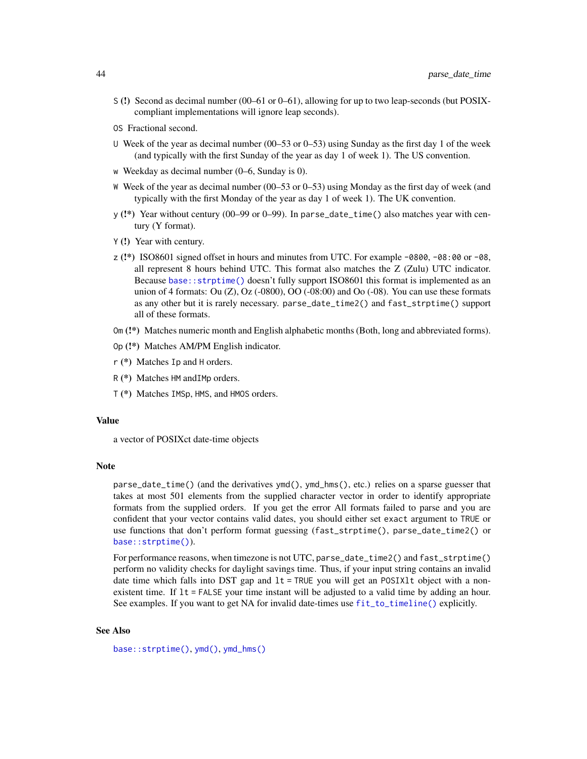- S (!) Second as decimal number (00–61 or 0–61), allowing for up to two leap-seconds (but POSIXcompliant implementations will ignore leap seconds).
- OS Fractional second.
- U Week of the year as decimal number (00–53 or 0–53) using Sunday as the first day 1 of the week (and typically with the first Sunday of the year as day 1 of week 1). The US convention.
- w Weekday as decimal number (0–6, Sunday is 0).
- W Week of the year as decimal number (00–53 or 0–53) using Monday as the first day of week (and typically with the first Monday of the year as day 1 of week 1). The UK convention.
- y (!\*) Year without century (00–99 or 0–99). In parse\_date\_time() also matches year with century (Y format).
- Y (!) Year with century.
- $z$  (!\*) ISO8601 signed offset in hours and minutes from UTC. For example -0800, -08:00 or -08, all represent 8 hours behind UTC. This format also matches the Z (Zulu) UTC indicator. Because [base::strptime\(\)](#page-0-0) doesn't fully support ISO8601 this format is implemented as an union of 4 formats: Ou  $(Z)$ , Oz (-0800), OO (-08:00) and Oo (-08). You can use these formats as any other but it is rarely necessary. parse\_date\_time2() and fast\_strptime() support all of these formats.
- Om (!\*) Matches numeric month and English alphabetic months (Both, long and abbreviated forms).
- Op (!\*) Matches AM/PM English indicator.
- r (\*) Matches Ip and H orders.
- R (\*) Matches HM andIMp orders.
- T (\*) Matches IMSp, HMS, and HMOS orders.

# Value

a vector of POSIXct date-time objects

#### **Note**

parse\_date\_time() (and the derivatives ymd(), ymd\_hms(), etc.) relies on a sparse guesser that takes at most 501 elements from the supplied character vector in order to identify appropriate formats from the supplied orders. If you get the error All formats failed to parse and you are confident that your vector contains valid dates, you should either set exact argument to TRUE or use functions that don't perform format guessing (fast\_strptime(), parse\_date\_time2() or [base::strptime\(\)](#page-0-0)).

For performance reasons, when timezone is not UTC, parse\_date\_time2() and fast\_strptime() perform no validity checks for daylight savings time. Thus, if your input string contains an invalid date time which falls into DST gap and  $lt = TRUE$  you will get an POSIX1t object with a nonexistent time. If lt = FALSE your time instant will be adjusted to a valid time by adding an hour. See examples. If you want to get NA for invalid date-times use [fit\\_to\\_timeline\(\)](#page-19-0) explicitly.

## See Also

[base::strptime\(\)](#page-0-0), [ymd\(\)](#page-63-0), [ymd\\_hms\(\)](#page-65-0)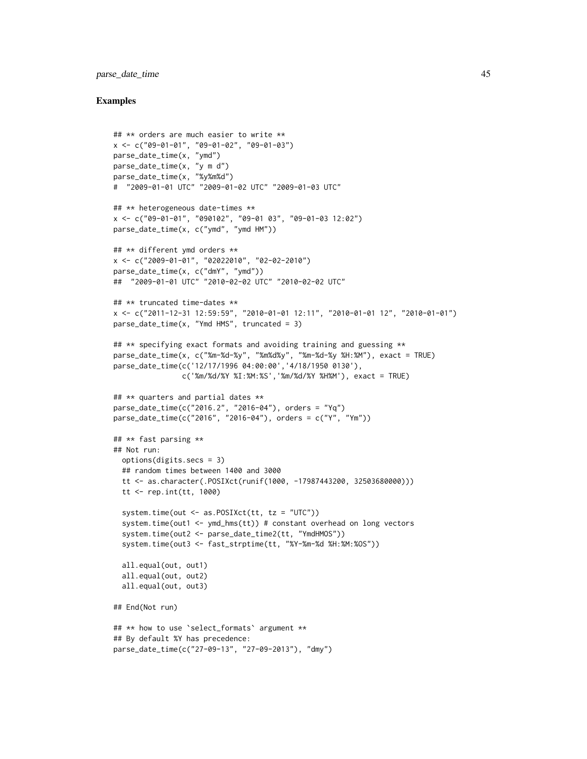# parse\_date\_time 45

```
## ** orders are much easier to write **
x <- c("09-01-01", "09-01-02", "09-01-03")
parse_date_time(x, "ymd")
parse_date_time(x, "y m d")
parse_date_time(x, "%y%m%d")
# "2009-01-01 UTC" "2009-01-02 UTC" "2009-01-03 UTC"
## ** heterogeneous date-times **
x <- c("09-01-01", "090102", "09-01 03", "09-01-03 12:02")
parse_date_time(x, c("ymd", "ymd HM"))
## ** different ymd orders **
x <- c("2009-01-01", "02022010", "02-02-2010")
parse_date_time(x, c("dmY", "ymd"))
## "2009-01-01 UTC" "2010-02-02 UTC" "2010-02-02 UTC"
## ** truncated time-dates **
x <- c("2011-12-31 12:59:59", "2010-01-01 12:11", "2010-01-01 12", "2010-01-01")
parse_date_time(x, "Ymd HMS", truncated = 3)
## ** specifying exact formats and avoiding training and guessing **
parse_date_time(x, c("%m-%d-%y", "%m%d%y", "%m-%d-%y %H:%M"), exact = TRUE)
parse_date_time(c('12/17/1996 04:00:00','4/18/1950 0130'),
                c('%m/%d/%Y %I:%M:%S','%m/%d/%Y %H%M'), exact = TRUE)
## ** quarters and partial dates **
parse_date_time(c("2016.2", "2016-04"), orders = "Yq")
parse_date_time(c("2016", "2016-04"), orders = c("Y", "Ym"))
## ** fast parsing **
## Not run:
  options(digits.secs = 3)
  ## random times between 1400 and 3000
  tt <- as.character(.POSIXct(runif(1000, -17987443200, 32503680000)))
  tt <- rep.int(tt, 1000)
  system.time(out <- as.POSIXct(tt, tz = "UTC"))
  system.time(out1 <- ymd_hms(tt)) # constant overhead on long vectors
  system.time(out2 <- parse_date_time2(tt, "YmdHMOS"))
  system.time(out3 <- fast_strptime(tt, "%Y-%m-%d %H:%M:%OS"))
  all.equal(out, out1)
  all.equal(out, out2)
  all.equal(out, out3)
## End(Not run)
## ** how to use `select_formats` argument **
## By default %Y has precedence:
parse_date_time(c("27-09-13", "27-09-2013"), "dmy")
```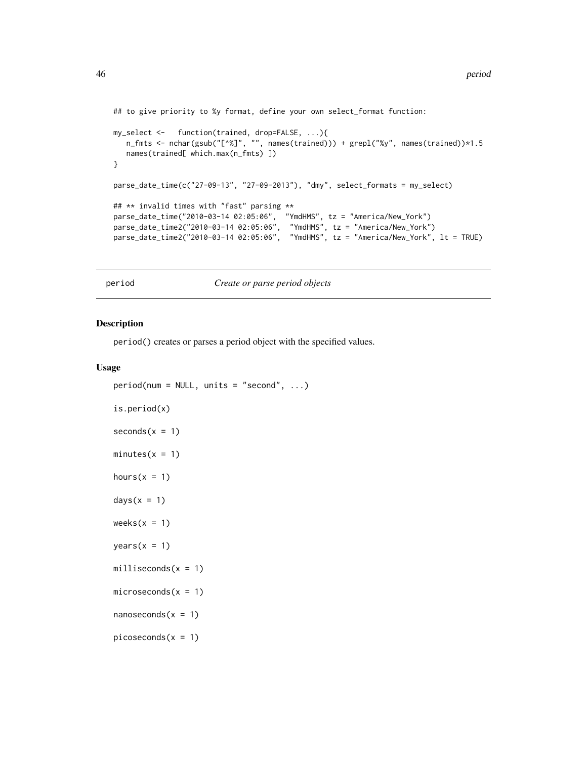```
## to give priority to %y format, define your own select_format function:
my_select <- function(trained, drop=FALSE, ...){
  n_fmts <- nchar(gsub("[^%]", "", names(trained))) + grepl("%y", names(trained))*1.5
   names(trained[ which.max(n_fmts) ])
}
parse_date_time(c("27-09-13", "27-09-2013"), "dmy", select_formats = my_select)
## ** invalid times with "fast" parsing **
parse_date_time("2010-03-14 02:05:06", "YmdHMS", tz = "America/New_York")
parse_date_time2("2010-03-14 02:05:06", "YmdHMS", tz = "America/New_York")
parse_date_time2("2010-03-14 02:05:06", "YmdHMS", tz = "America/New_York", lt = TRUE)
```
period *Create or parse period objects*

#### <span id="page-45-1"></span>Description

period() creates or parses a period object with the specified values.

```
period(num = NULL, units = "second", ...)is.period(x)
seconds(x = 1)minutes(x = 1)
hours(x = 1)days(x = 1)weeks(x = 1)
years(x = 1)milliseconds(x = 1)
microseconds(x = 1)
nanoseconds(x = 1)picoseconds(x = 1)
```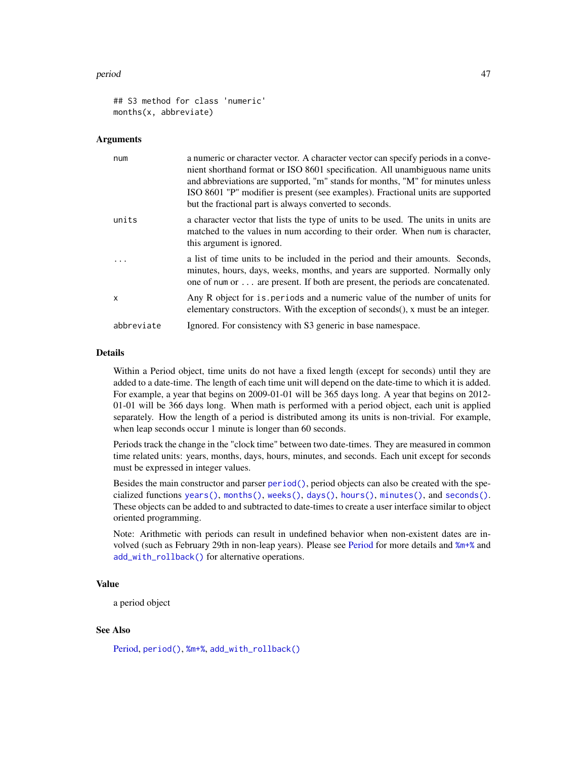#### period 47

```
## S3 method for class 'numeric'
months(x, abbreviate)
```
#### Arguments

| num        | a numeric or character vector. A character vector can specify periods in a conve-<br>nient shorthand format or ISO 8601 specification. All unambiguous name units<br>and abbreviations are supported, "m" stands for months, "M" for minutes unless<br>ISO 8601 "P" modifier is present (see examples). Fractional units are supported<br>but the fractional part is always converted to seconds. |
|------------|---------------------------------------------------------------------------------------------------------------------------------------------------------------------------------------------------------------------------------------------------------------------------------------------------------------------------------------------------------------------------------------------------|
| units      | a character vector that lists the type of units to be used. The units in units are<br>matched to the values in num according to their order. When num is character,<br>this argument is ignored.                                                                                                                                                                                                  |
| $\cdot$    | a list of time units to be included in the period and their amounts. Seconds,<br>minutes, hours, days, weeks, months, and years are supported. Normally only<br>one of num or  are present. If both are present, the periods are concatenated.                                                                                                                                                    |
| X          | Any R object for is periods and a numeric value of the number of units for<br>elementary constructors. With the exception of seconds(), x must be an integer.                                                                                                                                                                                                                                     |
| abbreviate | Ignored. For consistency with S3 generic in base namespace.                                                                                                                                                                                                                                                                                                                                       |

# **Details**

Within a Period object, time units do not have a fixed length (except for seconds) until they are added to a date-time. The length of each time unit will depend on the date-time to which it is added. For example, a year that begins on 2009-01-01 will be 365 days long. A year that begins on 2012- 01-01 will be 366 days long. When math is performed with a period object, each unit is applied separately. How the length of a period is distributed among its units is non-trivial. For example, when leap seconds occur 1 minute is longer than 60 seconds.

Periods track the change in the "clock time" between two date-times. They are measured in common time related units: years, months, days, hours, minutes, and seconds. Each unit except for seconds must be expressed in integer values.

Besides the main constructor and parser [period\(\)](#page-45-0), period objects can also be created with the specialized functions [years\(\)](#page-45-1), [months\(\)](#page-0-0), [weeks\(\)](#page-45-1), [days\(\)](#page-45-1), [hours\(\)](#page-45-1), [minutes\(\)](#page-45-1), and [seconds\(\)](#page-45-1). These objects can be added to and subtracted to date-times to create a user interface similar to object oriented programming.

Note: Arithmetic with periods can result in undefined behavior when non-existent dates are involved (such as February 29th in non-leap years). Please see [Period](#page-0-0) for more details and [%m+%](#page-69-0) and [add\\_with\\_rollback\(\)](#page-69-1) for alternative operations.

## Value

a period object

## See Also

[Period,](#page-0-0) [period\(\)](#page-45-0), [%m+%](#page-69-0), [add\\_with\\_rollback\(\)](#page-69-1)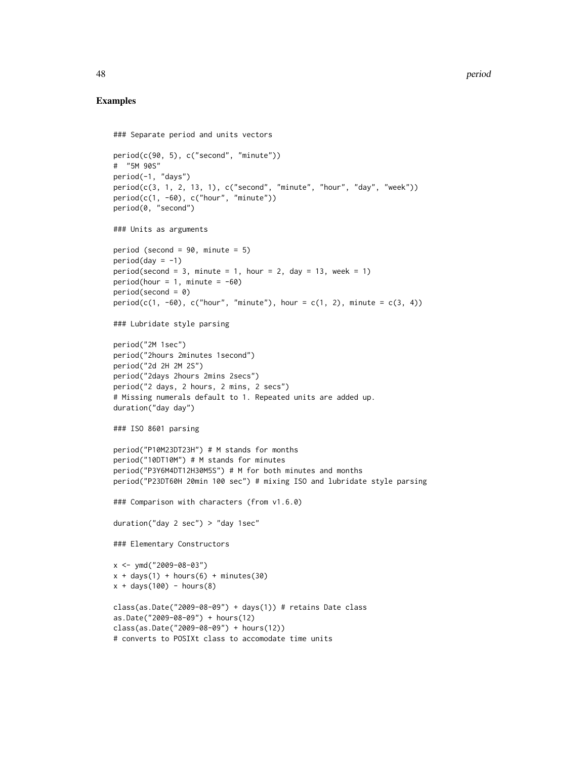```
### Separate period and units vectors
period(c(90, 5), c("second", "minute"))
# "5M 90S"
period(-1, "days")
period(c(3, 1, 2, 13, 1), c("second", "minute", "hour", "day", "week"))
period(c(1, -60), c("hour", "minute"))
period(0, "second")
### Units as arguments
period (second = 90, minute = 5)
period (day = -1)period(second = 3, minute = 1, hour = 2, day = 13, week = 1)
period(hour = 1, minute = -60)period(second = 0)
period(c(1, -60), c("hour", "minute"), hour = c(1, 2), minute = c(3, 4))### Lubridate style parsing
period("2M 1sec")
period("2hours 2minutes 1second")
period("2d 2H 2M 2S")
period("2days 2hours 2mins 2secs")
period("2 days, 2 hours, 2 mins, 2 secs")
# Missing numerals default to 1. Repeated units are added up.
duration("day day")
### ISO 8601 parsing
period("P10M23DT23H") # M stands for months
period("10DT10M") # M stands for minutes
period("P3Y6M4DT12H30M5S") # M for both minutes and months
period("P23DT60H 20min 100 sec") # mixing ISO and lubridate style parsing
### Comparison with characters (from v1.6.0)
duration("day 2 sec") > "day 1sec"
### Elementary Constructors
x <- ymd("2009-08-03")
x + days(1) + hours(6) + minutes(30)x + days(100) - hours(8)class(as.Date("2009-08-09") + days(1)) # retains Date classas.Date("2009-08-09") + hours(12)
class(as.Date("2009-08-09") + hours(12))
# converts to POSIXt class to accomodate time units
```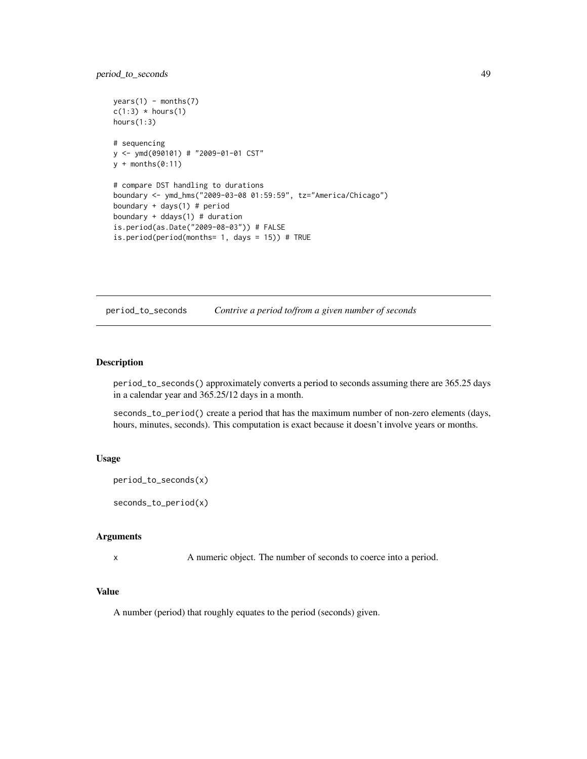# period\_to\_seconds 49

```
years(1) - months(7)c(1:3) * hours(1)hours(1:3)
# sequencing
y <- ymd(090101) # "2009-01-01 CST"
y + \text{months}(0:11)# compare DST handling to durations
boundary <- ymd_hms("2009-03-08 01:59:59", tz="America/Chicago")
boundary + days(1) # period
boundary + ddays(1) # duration
is.period(as.Date("2009-08-03")) # FALSE
is.period(period(months= 1, days = 15)) # TRUE
```
period\_to\_seconds *Contrive a period to/from a given number of seconds*

# Description

period\_to\_seconds() approximately converts a period to seconds assuming there are 365.25 days in a calendar year and 365.25/12 days in a month.

seconds\_to\_period() create a period that has the maximum number of non-zero elements (days, hours, minutes, seconds). This computation is exact because it doesn't involve years or months.

# Usage

```
period_to_seconds(x)
```
seconds\_to\_period(x)

# Arguments

x A numeric object. The number of seconds to coerce into a period.

# Value

A number (period) that roughly equates to the period (seconds) given.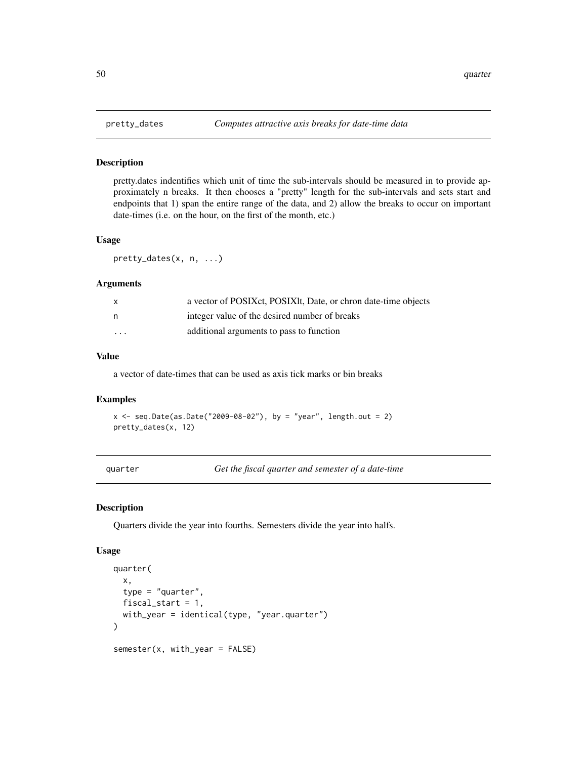pretty.dates indentifies which unit of time the sub-intervals should be measured in to provide approximately n breaks. It then chooses a "pretty" length for the sub-intervals and sets start and endpoints that 1) span the entire range of the data, and 2) allow the breaks to occur on important date-times (i.e. on the hour, on the first of the month, etc.)

#### Usage

pretty\_dates(x, n, ...)

## Arguments

| $\mathsf{x}$            | a vector of POSIXct, POSIXlt, Date, or chron date-time objects |
|-------------------------|----------------------------------------------------------------|
| n.                      | integer value of the desired number of breaks                  |
| $\cdot$ $\cdot$ $\cdot$ | additional arguments to pass to function                       |

#### Value

a vector of date-times that can be used as axis tick marks or bin breaks

## Examples

 $x \leq -$  seq.Date(as.Date("2009-08-02"), by = "year", length.out = 2) pretty\_dates(x, 12)

quarter *Get the fiscal quarter and semester of a date-time*

#### Description

Quarters divide the year into fourths. Semesters divide the year into halfs.

```
quarter(
  x,
  type = "quarter",
 fiscal_start = 1,
 with_year = identical(type, "year.quarter")
)
semester(x, with_year = FALSE)
```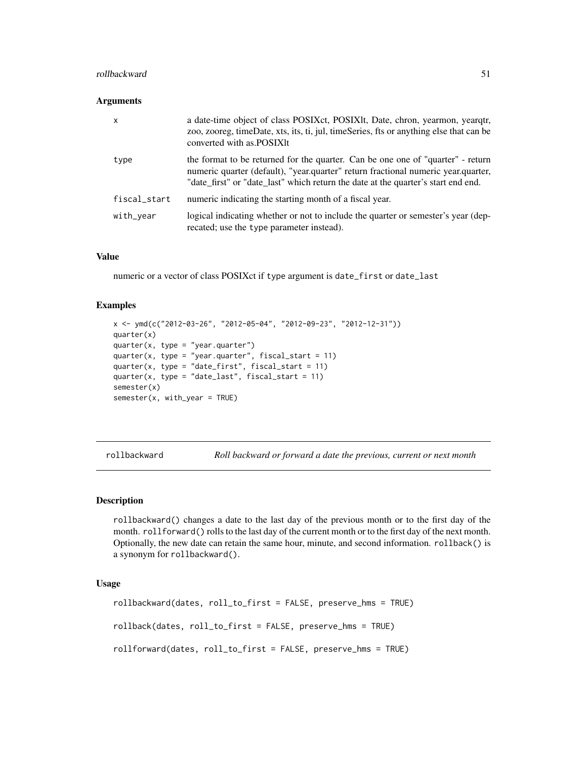#### rollbackward 51

### **Arguments**

| $\boldsymbol{\mathsf{x}}$ | a date-time object of class POSIXct, POSIXlt, Date, chron, yearmon, yearqtr,<br>zoo, zooreg, timeDate, xts, its, ti, jul, timeSeries, fts or anything else that can be<br>converted with as POSIXIt                                                       |
|---------------------------|-----------------------------------------------------------------------------------------------------------------------------------------------------------------------------------------------------------------------------------------------------------|
| type                      | the format to be returned for the quarter. Can be one one of "quarter" - return<br>numeric quarter (default), "year.quarter" return fractional numeric year.quarter,<br>"date_first" or "date_last" which return the date at the quarter's start end end. |
| fiscal_start              | numeric indicating the starting month of a fiscal year.                                                                                                                                                                                                   |
| with_year                 | logical indicating whether or not to include the quarter or semester's year (dep-<br>recated; use the type parameter instead).                                                                                                                            |

## Value

numeric or a vector of class POSIXct if type argument is date\_first or date\_last

## Examples

```
x <- ymd(c("2012-03-26", "2012-05-04", "2012-09-23", "2012-12-31"))
quarter(x)
quarter(x, type = "year.quarter")quarter(x, type = "year.quarter", fiscal_start = 11)
quarter(x, type = "date_first", fiscal_start = 11)quarter(x, type = "date_last", fiscal_start = 11)
semester(x)
semester(x, with_year = TRUE)
```
rollbackward *Roll backward or forward a date the previous, current or next month*

## <span id="page-50-0"></span>**Description**

rollbackward() changes a date to the last day of the previous month or to the first day of the month. rollforward() rolls to the last day of the current month or to the first day of the next month. Optionally, the new date can retain the same hour, minute, and second information. rollback() is a synonym for rollbackward().

```
rollbackward(dates, roll_to_first = FALSE, preserve_hms = TRUE)
rollback(dates, roll_to_first = FALSE, preserve_hms = TRUE)
rollforward(dates, roll_to_first = FALSE, preserve_hms = TRUE)
```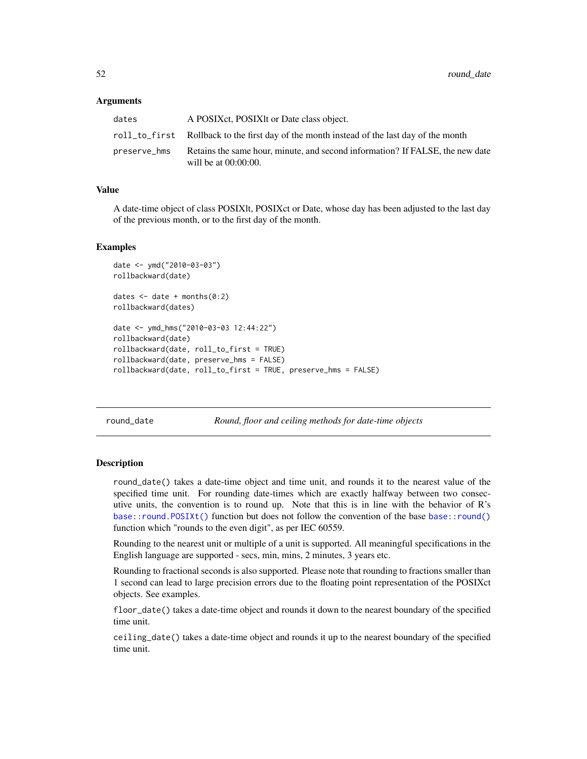#### **Arguments**

| dates        | A POSIX et, POSIX lt or Date class object.                                                               |
|--------------|----------------------------------------------------------------------------------------------------------|
|              | roll_to_first Rollback to the first day of the month instead of the last day of the month                |
| preserve hms | Retains the same hour, minute, and second information? If FALSE, the new date<br>will be at $00:00:00$ . |

## Value

A date-time object of class POSIXlt, POSIXct or Date, whose day has been adjusted to the last day of the previous month, or to the first day of the month.

#### Examples

```
date <- ymd("2010-03-03")
rollbackward(date)
dates \leq date + months(0:2)
rollbackward(dates)
date <- ymd_hms("2010-03-03 12:44:22")
rollbackward(date)
rollbackward(date, roll_to_first = TRUE)
rollbackward(date, preserve_hms = FALSE)
rollbackward(date, roll_to_first = TRUE, preserve_hms = FALSE)
```
round\_date *Round, floor and ceiling methods for date-time objects*

## **Description**

round\_date() takes a date-time object and time unit, and rounds it to the nearest value of the specified time unit. For rounding date-times which are exactly halfway between two consecutive units, the convention is to round up. Note that this is in line with the behavior of R's [base::round.POSIXt\(\)](#page-0-0) function but does not follow the convention of the base [base::round\(\)](#page-0-0) function which "rounds to the even digit", as per IEC 60559.

Rounding to the nearest unit or multiple of a unit is supported. All meaningful specifications in the English language are supported - secs, min, mins, 2 minutes, 3 years etc.

Rounding to fractional seconds is also supported. Please note that rounding to fractions smaller than 1 second can lead to large precision errors due to the floating point representation of the POSIXct objects. See examples.

floor\_date() takes a date-time object and rounds it down to the nearest boundary of the specified time unit.

ceiling\_date() takes a date-time object and rounds it up to the nearest boundary of the specified time unit.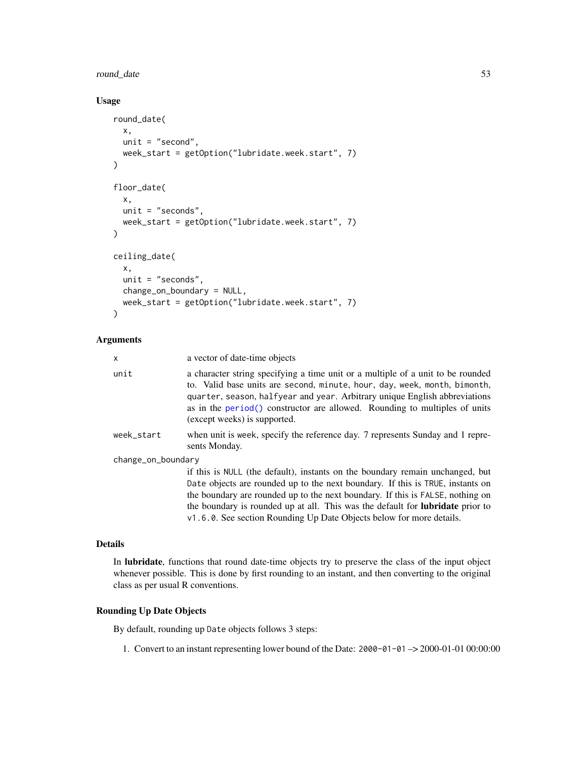# round\_date 53

# Usage

```
round_date(
 x,
 unit = "second",
 week_start = getOption("lubridate.week.start", 7)
\lambdafloor_date(
 x,
 unit = "seconds",
 week_start = getOption("lubridate.week.start", 7)
\lambdaceiling_date(
  x,
 unit = "seconds",
 change_on_boundary = NULL,
 week_start = getOption("lubridate.week.start", 7)
)
```
# Arguments

| X                  | a vector of date-time objects                                                                                                                                                                                                                                                                                                                                                                                      |
|--------------------|--------------------------------------------------------------------------------------------------------------------------------------------------------------------------------------------------------------------------------------------------------------------------------------------------------------------------------------------------------------------------------------------------------------------|
| unit               | a character string specifying a time unit or a multiple of a unit to be rounded<br>to. Valid base units are second, minute, hour, day, week, month, bimonth,<br>quarter, season, halfyear and year. Arbitrary unique English abbreviations<br>as in the period() constructor are allowed. Rounding to multiples of units<br>(except weeks) is supported.                                                           |
| week start         | when unit is week, specify the reference day. 7 represents Sunday and 1 repre-<br>sents Monday.                                                                                                                                                                                                                                                                                                                    |
| change_on_boundary |                                                                                                                                                                                                                                                                                                                                                                                                                    |
|                    | if this is NULL (the default), instants on the boundary remain unchanged, but<br>Date objects are rounded up to the next boundary. If this is TRUE, instants on<br>the boundary are rounded up to the next boundary. If this is FALSE, nothing on<br>the boundary is rounded up at all. This was the default for <b>lubridate</b> prior to<br>v1.6.0. See section Rounding Up Date Objects below for more details. |

# Details

In lubridate, functions that round date-time objects try to preserve the class of the input object whenever possible. This is done by first rounding to an instant, and then converting to the original class as per usual R conventions.

# Rounding Up Date Objects

By default, rounding up Date objects follows 3 steps:

1. Convert to an instant representing lower bound of the Date: 2000-01-01 –> 2000-01-01 00:00:00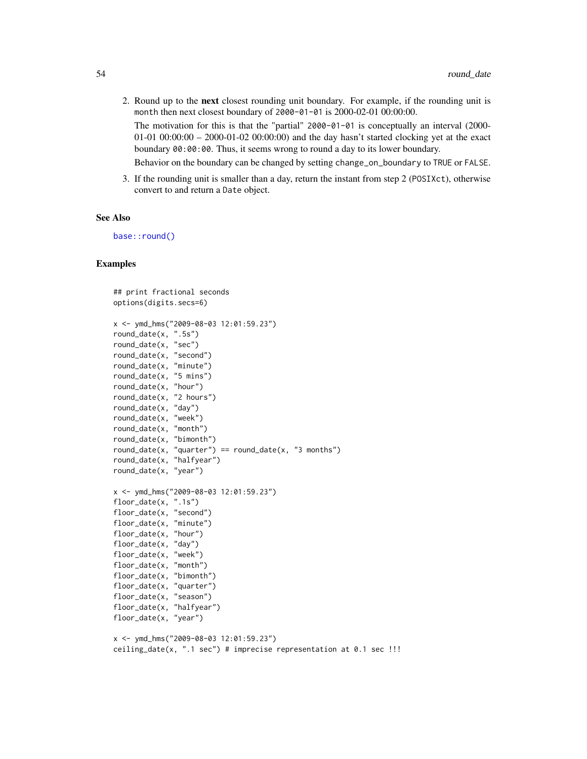2. Round up to the next closest rounding unit boundary. For example, if the rounding unit is month then next closest boundary of 2000-01-01 is 2000-02-01 00:00:00. The motivation for this is that the "partial" 2000-01-01 is conceptually an interval (2000- 01-01 00:00:00 – 2000-01-02 00:00:00) and the day hasn't started clocking yet at the exact boundary 00:00:00. Thus, it seems wrong to round a day to its lower boundary.

Behavior on the boundary can be changed by setting change\_on\_boundary to TRUE or FALSE.

3. If the rounding unit is smaller than a day, return the instant from step 2 (POSIXct), otherwise convert to and return a Date object.

#### See Also

[base::round\(\)](#page-0-0)

```
## print fractional seconds
options(digits.secs=6)
x <- ymd_hms("2009-08-03 12:01:59.23")
round_date(x, ".5s")
round_date(x, "sec")
round_date(x, "second")
round_date(x, "minute")
round_date(x, "5 mins")
round_date(x, "hour")
round_date(x, "2 hours")
round_date(x, "day")
round_date(x, "week")
round_date(x, "month")
round_date(x, "bimonth")
round_date(x, "quarter") == round_date(x, "3 months")
round_date(x, "halfyear")
round_date(x, "year")
x <- ymd_hms("2009-08-03 12:01:59.23")
floor_date(x, ".1s")
floor_date(x, "second")
floor_date(x, "minute")
floor_date(x, "hour")
floor_date(x, "day")
floor_date(x, "week")
floor_date(x, "month")
floor_date(x, "bimonth")
floor_date(x, "quarter")
floor_date(x, "season")
floor_date(x, "halfyear")
floor_date(x, "year")
x <- ymd_hms("2009-08-03 12:01:59.23")
ceiling_date(x, ".1 sec") # imprecise representation at 0.1 sec !!!
```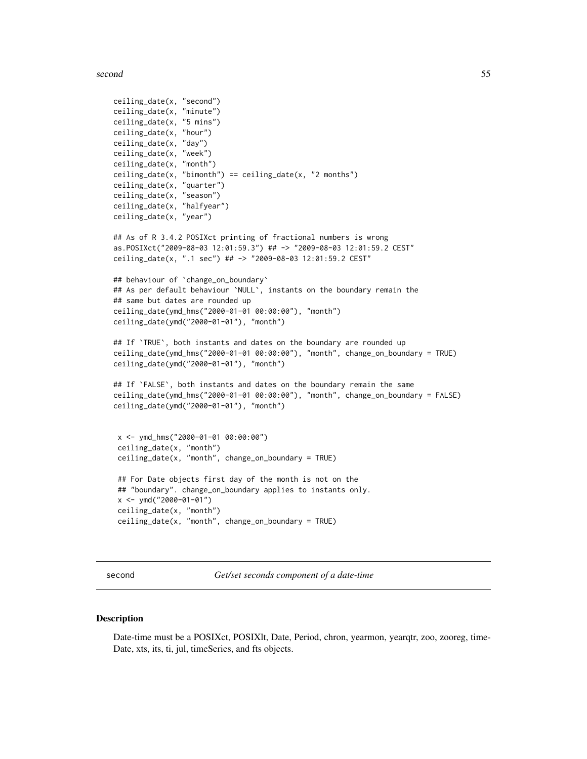second 55

```
ceiling_date(x, "second")
ceiling_date(x, "minute")
ceiling_date(x, "5 mins")
ceiling_date(x, "hour")
ceiling_date(x, "day")
ceiling_date(x, "week")
ceiling_date(x, "month")
ceiling_date(x, "bimonth") == ceiling_date(x, "2 months")
ceiling_date(x, "quarter")
ceiling_date(x, "season")
ceiling_date(x, "halfyear")
ceiling_date(x, "year")
## As of R 3.4.2 POSIXct printing of fractional numbers is wrong
as.POSIXct("2009-08-03 12:01:59.3") ## -> "2009-08-03 12:01:59.2 CEST"
ceiling_date(x, ".1 sec") ## -> "2009-08-03 12:01:59.2 CEST"
## behaviour of `change_on_boundary`
## As per default behaviour `NULL`, instants on the boundary remain the
## same but dates are rounded up
ceiling_date(ymd_hms("2000-01-01 00:00:00"), "month")
ceiling_date(ymd("2000-01-01"), "month")
## If 'TRUE', both instants and dates on the boundary are rounded up
ceiling_date(ymd_hms("2000-01-01 00:00:00"), "month", change_on_boundary = TRUE)
ceiling_date(ymd("2000-01-01"), "month")
## If `FALSE`, both instants and dates on the boundary remain the same
ceiling_date(ymd_hms("2000-01-01 00:00:00"), "month", change_on_boundary = FALSE)
ceiling_date(ymd("2000-01-01"), "month")
 x <- ymd_hms("2000-01-01 00:00:00")
 ceiling_date(x, "month")
 ceiling_date(x, "month", change_on_boundary = TRUE)
 ## For Date objects first day of the month is not on the
 ## "boundary". change_on_boundary applies to instants only.
 x <- ymd("2000-01-01")
 ceiling_date(x, "month")
 ceiling_date(x, "month", change_on_boundary = TRUE)
```
second *Get/set seconds component of a date-time*

#### Description

Date-time must be a POSIXct, POSIXlt, Date, Period, chron, yearmon, yearqtr, zoo, zooreg, time-Date, xts, its, ti, jul, timeSeries, and fts objects.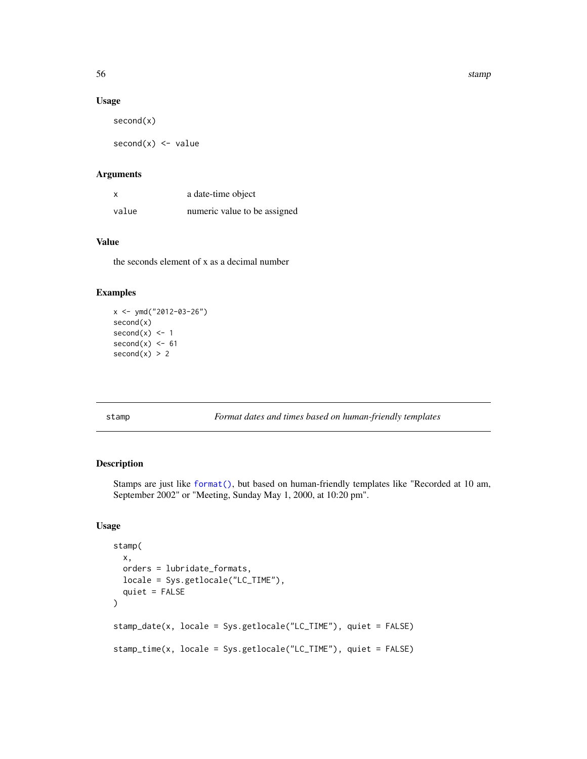56 stamps and the stamps of the stamps of the stamps of the stamps of the stamps of the stamps of the stamps of the stamps of the stamps of the stamps of the stamps of the stamps of the stamps of the stamps of the stamps o

## Usage

second(x)

 $second(x) < -$  value

# Arguments

| X     | a date-time object           |
|-------|------------------------------|
| value | numeric value to be assigned |

# Value

the seconds element of x as a decimal number

## Examples

```
x \le - ymd("2012-03-26")
second(x)
second(x) <- 1
second(x) < -61second(x) > 2
```
stamp *Format dates and times based on human-friendly templates*

# <span id="page-55-0"></span>Description

Stamps are just like [format\(\)](#page-0-0), but based on human-friendly templates like "Recorded at 10 am, September 2002" or "Meeting, Sunday May 1, 2000, at 10:20 pm".

```
stamp(
 x,
 orders = lubridate_formats,
 locale = Sys.getlocale("LC_TIME"),
 quiet = FALSE
)
stamp_date(x, locale = Sys.getlocale("LC_TIME"), quiet = FALSE)
stamp_time(x, locale = Sys.getlocale("LC_TIME"), quiet = FALSE)
```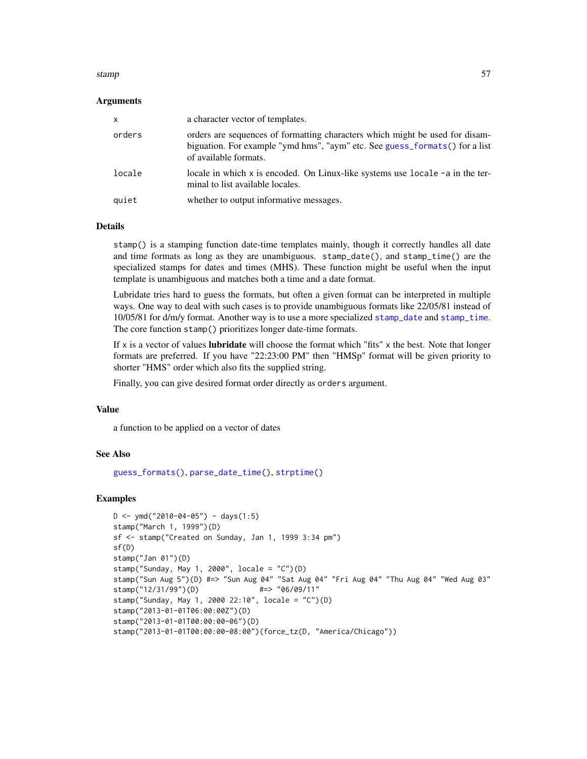#### stamp 57

## Arguments

| $\mathsf{x}$ | a character vector of templates.                                                                                                                                                     |
|--------------|--------------------------------------------------------------------------------------------------------------------------------------------------------------------------------------|
| orders       | orders are sequences of formatting characters which might be used for disam-<br>biguation. For example "ymd hms", "aym" etc. See guess_formats() for a list<br>of available formats. |
| locale       | locale in which x is encoded. On Linux-like systems use locale $-a$ in the ter-<br>minal to list available locales.                                                                  |
| quiet        | whether to output informative messages.                                                                                                                                              |

## Details

stamp() is a stamping function date-time templates mainly, though it correctly handles all date and time formats as long as they are unambiguous. stamp\_date(), and stamp\_time() are the specialized stamps for dates and times (MHS). These function might be useful when the input template is unambiguous and matches both a time and a date format.

Lubridate tries hard to guess the formats, but often a given format can be interpreted in multiple ways. One way to deal with such cases is to provide unambiguous formats like 22/05/81 instead of 10/05/81 for d/m/y format. Another way is to use a more specialized [stamp\\_date](#page-55-0) and [stamp\\_time](#page-55-0). The core function stamp() prioritizes longer date-time formats.

If  $x$  is a vector of values **lubridate** will choose the format which "fits"  $x$  the best. Note that longer formats are preferred. If you have "22:23:00 PM" then "HMSp" format will be given priority to shorter "HMS" order which also fits the supplied string.

Finally, you can give desired format order directly as orders argument.

### Value

a function to be applied on a vector of dates

# See Also

[guess\\_formats\(\)](#page-22-0), [parse\\_date\\_time\(\)](#page-40-0), [strptime\(\)](#page-0-0)

```
D \le - ymd("2010-04-05") - days(1:5)
stamp("March 1, 1999")(D)
sf <- stamp("Created on Sunday, Jan 1, 1999 3:34 pm")
sf(D)
stamp("Jan 01")(D)
stamp("Sunday, May 1, 2000", locale = "C")(D)
stamp("Sun Aug 5")(D) #=> "Sun Aug 04" "Sat Aug 04" "Fri Aug 04" "Thu Aug 04" "Wed Aug 03"
stamp("12/31/99")(D) #=> "06/09/11"
stamp("Sunday, May 1, 2000 22:10", locale = "C")(D)
stamp("2013-01-01T06:00:00Z")(D)
stamp("2013-01-01T00:00:00-06")(D)
stamp("2013-01-01T00:00:00-08:00")(force_tz(D, "America/Chicago"))
```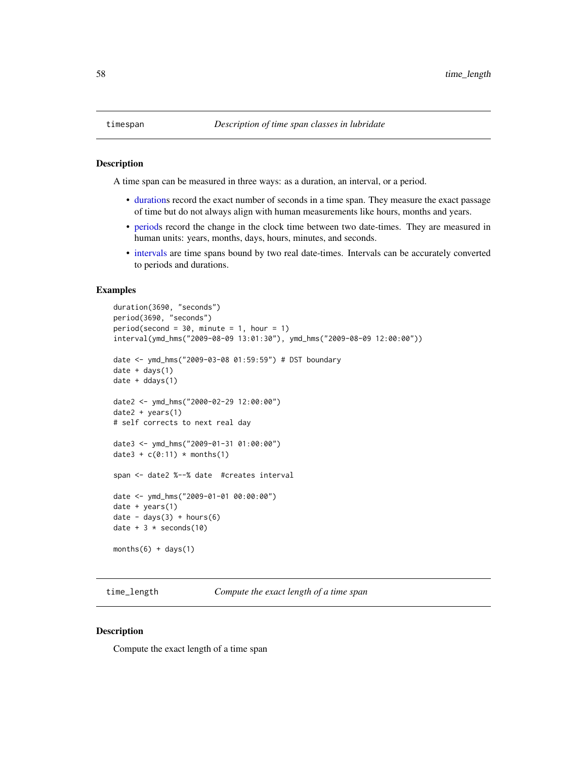<span id="page-57-0"></span>A time span can be measured in three ways: as a duration, an interval, or a period.

- [durations](#page-16-0) record the exact number of seconds in a time span. They measure the exact passage of time but do not always align with human measurements like hours, months and years.
- [periods](#page-45-0) record the change in the clock time between two date-times. They are measured in human units: years, months, days, hours, minutes, and seconds.
- [intervals](#page-28-0) are time spans bound by two real date-times. Intervals can be accurately converted to periods and durations.

# Examples

```
duration(3690, "seconds")
period(3690, "seconds")
period(second = 30, minute = 1, hour = 1)
interval(ymd_hms("2009-08-09 13:01:30"), ymd_hms("2009-08-09 12:00:00"))
date <- ymd_hms("2009-03-08 01:59:59") # DST boundary
date + days(1)
date + ddays(1)
date2 <- ymd_hms("2000-02-29 12:00:00")
date2 + years(1)
# self corrects to next real day
date3 <- ymd_hms("2009-01-31 01:00:00")
date3 + c(0:11) * months(1)
span <- date2 %--% date #creates interval
date <- ymd_hms("2009-01-01 00:00:00")
date + years(1)
date - days(3) + hours(6)date + 3 * seconds(10)
months(6) + days(1)
```
time\_length *Compute the exact length of a time span*

## Description

Compute the exact length of a time span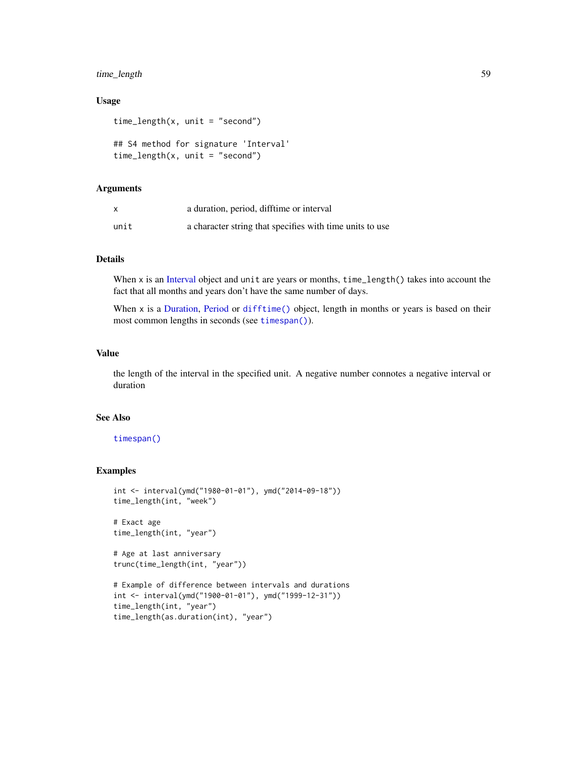# time\_length 59

## Usage

```
time_length(x, unit = "second")
```

```
## S4 method for signature 'Interval'
time_length(x, unit = "second")
```
## Arguments

|      | a duration, period, difftime or interval                 |
|------|----------------------------------------------------------|
| unit | a character string that specifies with time units to use |

# Details

When x is an [Interval](#page-28-1) object and unit are years or months, time\_length() takes into account the fact that all months and years don't have the same number of days.

When x is a [Duration,](#page-18-0) [Period](#page-0-0) or [difftime\(\)](#page-0-0) object, length in months or years is based on their most common lengths in seconds (see [timespan\(\)](#page-57-0)).

# Value

the length of the interval in the specified unit. A negative number connotes a negative interval or duration

## See Also

# [timespan\(\)](#page-57-0)

# Examples

```
int <- interval(ymd("1980-01-01"), ymd("2014-09-18"))
time_length(int, "week")
# Exact age
```

```
time_length(int, "year")
```
# Age at last anniversary trunc(time\_length(int, "year"))

```
# Example of difference between intervals and durations
int <- interval(ymd("1900-01-01"), ymd("1999-12-31"))
time_length(int, "year")
time_length(as.duration(int), "year")
```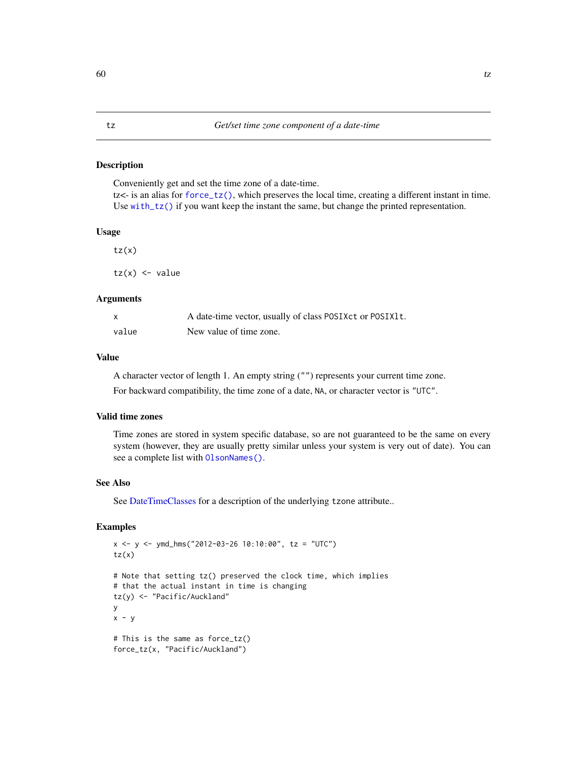Conveniently get and set the time zone of a date-time.  $tz$  is an alias for force<sub>tz</sub>(), which preserves the local time, creating a different instant in time. Use [with\\_tz\(\)](#page-61-0) if you want keep the instant the same, but change the printed representation.

## Usage

 $tz(x)$  $tz(x)$  <- value

## Arguments

| $\mathsf{x}$ | A date-time vector, usually of class POSIXct or POSIX1t. |
|--------------|----------------------------------------------------------|
| value        | New value of time zone.                                  |

## Value

A character vector of length 1. An empty string ("") represents your current time zone. For backward compatibility, the time zone of a date, NA, or character vector is "UTC".

## Valid time zones

Time zones are stored in system specific database, so are not guaranteed to be the same on every system (however, they are usually pretty similar unless your system is very out of date). You can see a complete list with [OlsonNames\(\)](#page-0-0).

## See Also

See [DateTimeClasses](#page-0-0) for a description of the underlying tzone attribute..

```
x \le -y \le -y md_hms("2012-03-26 10:10:00", tz = "UTC")
tz(x)# Note that setting tz() preserved the clock time, which implies
# that the actual instant in time is changing
tz(y) <- "Pacific/Auckland"
y
x - y# This is the same as force_tz()
force_tz(x, "Pacific/Auckland")
```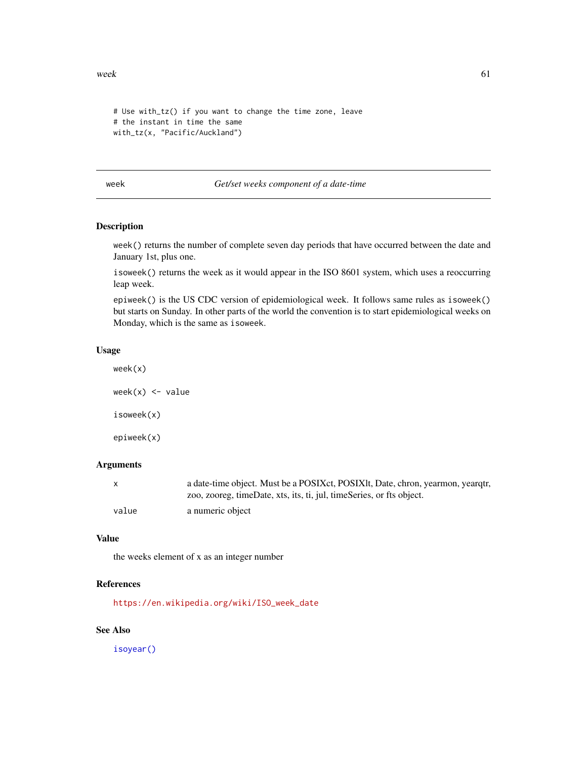$wee$ k 61

```
# Use with_tz() if you want to change the time zone, leave
# the instant in time the same
with_tz(x, "Pacific/Auckland")
```
#### week *Get/set weeks component of a date-time*

# Description

week() returns the number of complete seven day periods that have occurred between the date and January 1st, plus one.

isoweek() returns the week as it would appear in the ISO 8601 system, which uses a reoccurring leap week.

epiweek() is the US CDC version of epidemiological week. It follows same rules as isoweek() but starts on Sunday. In other parts of the world the convention is to start epidemiological weeks on Monday, which is the same as isoweek.

### Usage

week(x)

 $week(x) < - value$ isoweek(x) epiweek(x)

## **Arguments**

| $\mathsf{X}$ | a date-time object. Must be a POSIXct, POSIXIt, Date, chron, yearmon, yearqtr, |
|--------------|--------------------------------------------------------------------------------|
|              | zoo, zooreg, timeDate, xts, its, ti, jul, timeSeries, or fts object.           |
| value        | a numeric object                                                               |

## Value

the weeks element of x as an integer number

## References

[https://en.wikipedia.org/wiki/ISO\\_week\\_date](https://en.wikipedia.org/wiki/ISO_week_date)

## See Also

[isoyear\(\)](#page-62-0)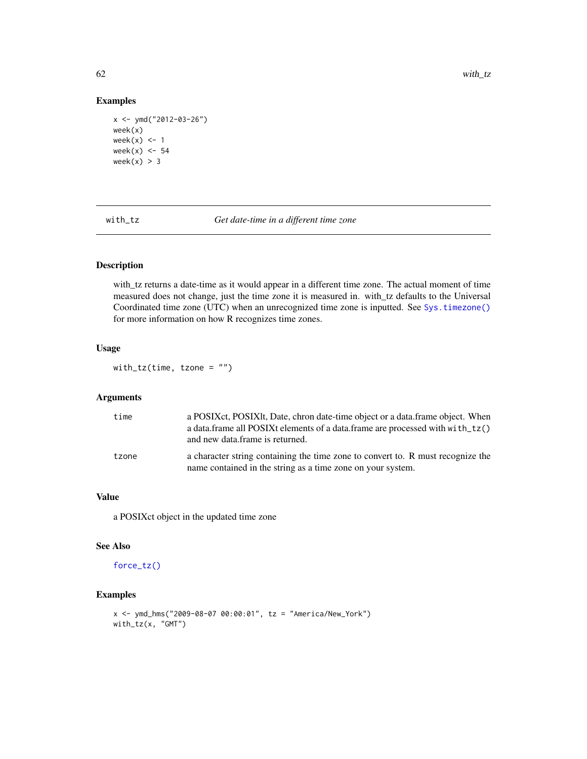# Examples

```
x <- ymd("2012-03-26")
week(x)
week(x) <- 1
week(x) <- 54
week(x) > 3
```
with\_tz *Get date-time in a different time zone*

# Description

with\_tz returns a date-time as it would appear in a different time zone. The actual moment of time measured does not change, just the time zone it is measured in. with\_tz defaults to the Universal Coordinated time zone (UTC) when an unrecognized time zone is inputted. See [Sys.timezone\(\)](#page-0-0) for more information on how R recognizes time zones.

# Usage

with\_tz(time, tzone = "")

## Arguments

| time  | a POSIX et, POSIX lt, Date, chron date-time object or a data. frame object. When<br>a data.frame all POSIXt elements of a data.frame are processed with with _tz()<br>and new data frame is returned. |
|-------|-------------------------------------------------------------------------------------------------------------------------------------------------------------------------------------------------------|
| tzone | a character string containing the time zone to convert to. R must recognize the<br>name contained in the string as a time zone on your system.                                                        |

## Value

a POSIXct object in the updated time zone

## See Also

[force\\_tz\(\)](#page-20-0)

```
x <- ymd_hms("2009-08-07 00:00:01", tz = "America/New_York")
with_tz(x, "GMT")
```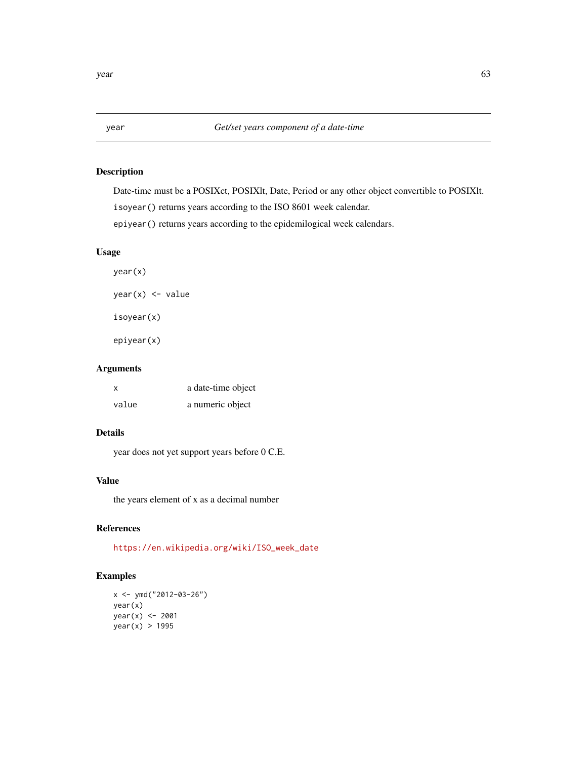<span id="page-62-0"></span>

Date-time must be a POSIXct, POSIXlt, Date, Period or any other object convertible to POSIXlt.

isoyear() returns years according to the ISO 8601 week calendar.

epiyear() returns years according to the epidemilogical week calendars.

# Usage

year(x) year(x) <- value isoyear(x) epiyear(x)

# Arguments

| X     | a date-time object |
|-------|--------------------|
| value | a numeric object   |

# Details

year does not yet support years before 0 C.E.

# Value

the years element of x as a decimal number

# References

[https://en.wikipedia.org/wiki/ISO\\_week\\_date](https://en.wikipedia.org/wiki/ISO_week_date)

```
x <- ymd("2012-03-26")
year(x)
year(x) <- 2001
year(x) > 1995
```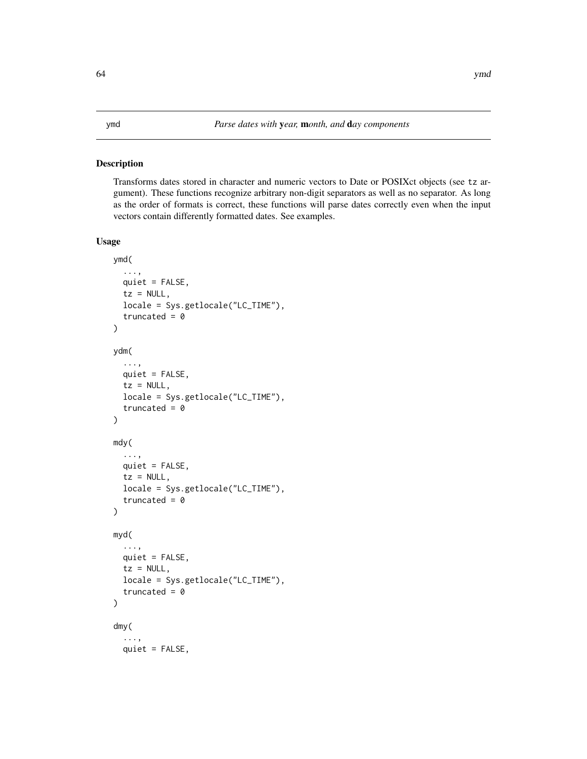<span id="page-63-0"></span>Transforms dates stored in character and numeric vectors to Date or POSIXct objects (see tz argument). These functions recognize arbitrary non-digit separators as well as no separator. As long as the order of formats is correct, these functions will parse dates correctly even when the input vectors contain differently formatted dates. See examples.

```
ymd(
  ...,
  quiet = FALSE,
  tz = NULL,locale = Sys.getlocale("LC_TIME"),
  truncated = 0\lambdaydm(
  ...,
  quiet = FALSE,tz = NULL,locale = Sys.getlocale("LC_TIME"),
  truncated = \theta)
mdy(
  ...,
 quiet = FALSE,tz = NULL,locale = Sys.getlocale("LC_TIME"),
  truncated = 0\mathcal{E}myd(
  ...,
 quiet = FALSE,
  tz = NULL,locale = Sys.getlocale("LC_TIME"),
  truncated = \theta)
dmy(
  ...,
 quiet = FALSE,
```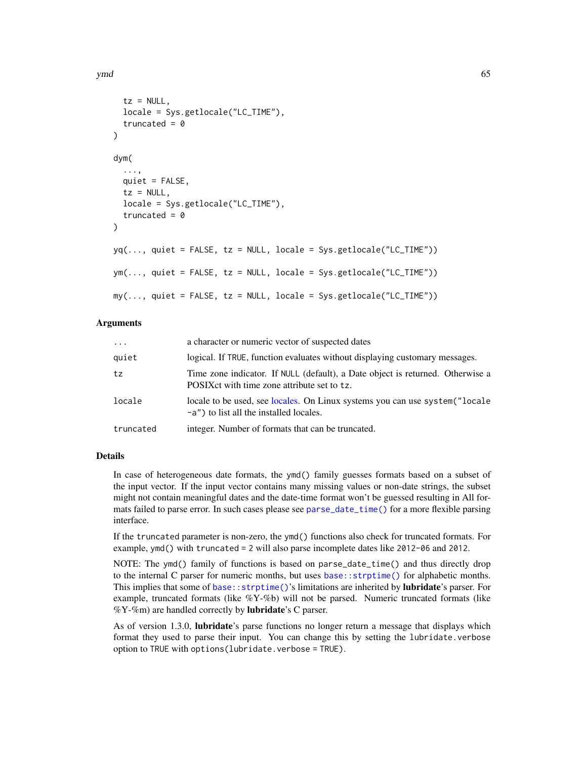```
tz = NULL,locale = Sys.getlocale("LC_TIME"),
  truncated = \theta\lambdadym(
  ...,
  quiet = FALSE,
  tz = NULL,locale = Sys.getlocale("LC_TIME"),
  truncated = \theta)
yq(..., quite = FALSE, tz = NULL, locale = Sys.get locale("LC_TIME"))ym(..., quiet = FALSE, tz = NULL, locale = Sys.getlocale("LC_TIME"))
my(..., quite = FALSE, tz = NULL, locale = Sys.get locale("LC_TIME"))
```
#### Arguments

| $\cdot \cdot \cdot$ | a character or numeric vector of suspected dates                                                                               |
|---------------------|--------------------------------------------------------------------------------------------------------------------------------|
| quiet               | logical. If TRUE, function evaluates without displaying customary messages.                                                    |
| tz                  | Time zone indicator. If NULL (default), a Date object is returned. Otherwise a<br>POSIX ct with time zone attribute set to tz. |
| locale              | locale to be used, see locales. On Linux systems you can use system ("locale"<br>-a") to list all the installed locales.       |
| truncated           | integer. Number of formats that can be truncated.                                                                              |

### Details

In case of heterogeneous date formats, the ymd() family guesses formats based on a subset of the input vector. If the input vector contains many missing values or non-date strings, the subset might not contain meaningful dates and the date-time format won't be guessed resulting in All formats failed to parse error. In such cases please see [parse\\_date\\_time\(\)](#page-40-0) for a more flexible parsing interface.

If the truncated parameter is non-zero, the ymd() functions also check for truncated formats. For example, ymd() with truncated = 2 will also parse incomplete dates like 2012-06 and 2012.

NOTE: The ymd() family of functions is based on parse\_date\_time() and thus directly drop to the internal C parser for numeric months, but uses [base::strptime\(\)](#page-0-0) for alphabetic months. This implies that some of base:: strptime()'s limitations are inherited by **lubridate**'s parser. For example, truncated formats (like  $\%Y-\%b$ ) will not be parsed. Numeric truncated formats (like %Y-%m) are handled correctly by **lubridate**'s C parser.

As of version 1.3.0, **lubridate**'s parse functions no longer return a message that displays which format they used to parse their input. You can change this by setting the lubridate.verbose option to TRUE with options(lubridate.verbose = TRUE).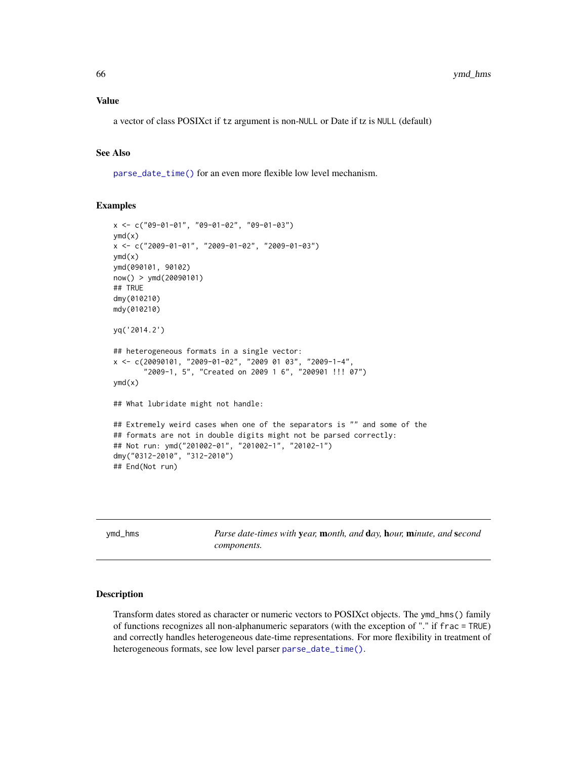a vector of class POSIXct if tz argument is non-NULL or Date if tz is NULL (default)

# See Also

[parse\\_date\\_time\(\)](#page-40-0) for an even more flexible low level mechanism.

## Examples

```
x <- c("09-01-01", "09-01-02", "09-01-03")
vmd(x)x <- c("2009-01-01", "2009-01-02", "2009-01-03")
ymd(x)ymd(090101, 90102)
now() > ymd(20090101)
## TRUE
dmy(010210)
mdy(010210)
yq('2014.2')
## heterogeneous formats in a single vector:
x <- c(20090101, "2009-01-02", "2009 01 03", "2009-1-4",
       "2009-1, 5", "Created on 2009 1 6", "200901 !!! 07")
ymd(x)
## What lubridate might not handle:
## Extremely weird cases when one of the separators is "" and some of the
## formats are not in double digits might not be parsed correctly:
## Not run: ymd("201002-01", "201002-1", "20102-1")
dmy("0312-2010", "312-2010")
## End(Not run)
```
<span id="page-65-0"></span>ymd\_hms *Parse date-times with* y*ear,* m*onth, and* d*ay,* h*our,* m*inute, and* s*econd components.*

#### Description

Transform dates stored as character or numeric vectors to POSIXct objects. The ymd\_hms() family of functions recognizes all non-alphanumeric separators (with the exception of "." if frac = TRUE) and correctly handles heterogeneous date-time representations. For more flexibility in treatment of heterogeneous formats, see low level parser [parse\\_date\\_time\(\)](#page-40-0).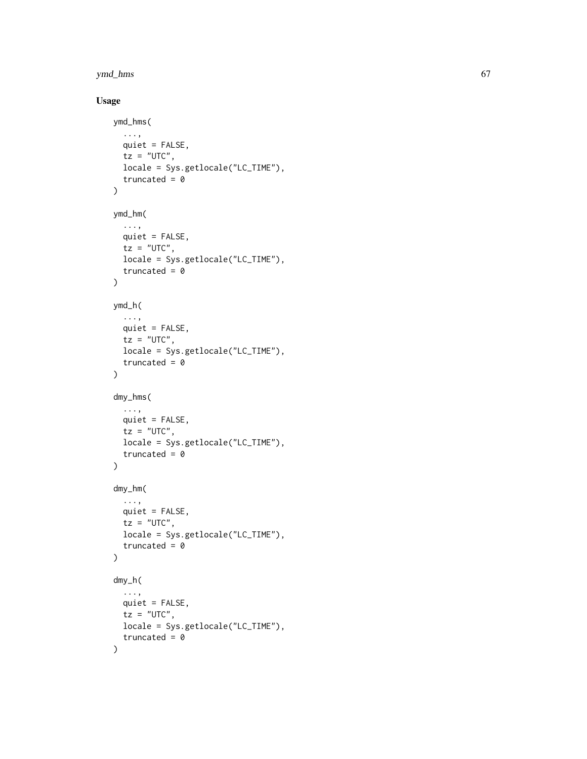## ymd\_hms 67

```
ymd_hms(
  ...,
  quiet = FALSE,
  tz = "UTC",locale = Sys.getlocale("LC_TIME"),
  truncated = \theta\mathcal{L}ymd_hm(
  ...,
  quiet = FALSE,
  tz = "UTC",locale = Sys.getlocale("LC_TIME"),
  truncated = \theta\mathcal{L}ymd_h(
  ...,
  quiet = FALSE,
  tz = "UTC",locale = Sys.getlocale("LC_TIME"),
  truncated = 0\mathcal{L}dmy_hms(
  ...,
  quiet = FALSE,
  tz = "UTC",locale = Sys.getlocale("LC_TIME"),
  truncated = \theta)
dmy_hm(
  ...,
  quiet = FALSE,
  tz = "UTC",locale = Sys.getlocale("LC_TIME"),
  truncated = \theta)
dmy_h(
  ...,
  quiet = FALSE,
  tz = "UTC",locale = Sys.getlocale("LC_TIME"),
  truncated = \theta\mathcal{L}
```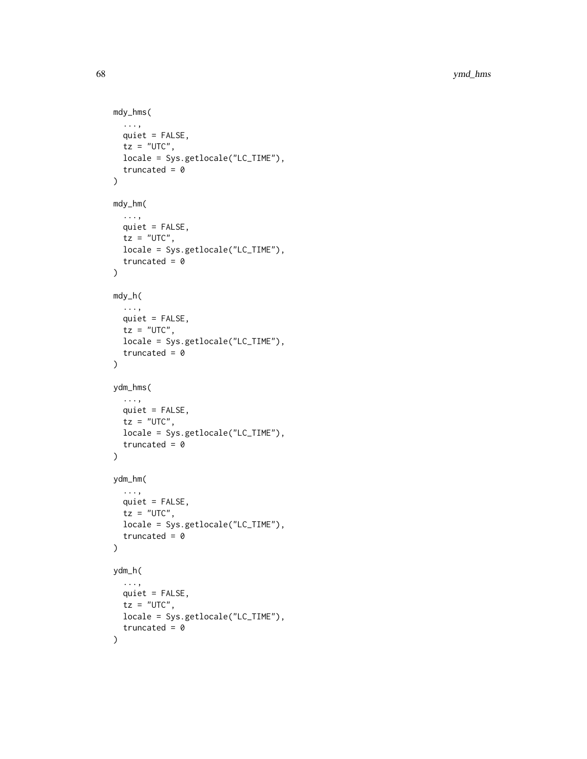```
mdy_hms(
  ...,
 quiet = FALSE,
 tz = "UTC",locale = Sys.getlocale("LC_TIME"),
 truncated = \theta\mathcal{L}mdy_hm(
  ...,
 quiet = FALSE,
 tz = "UTC",locale = Sys.getlocale("LC_TIME"),
 truncated = 0\mathcal{L}mdy_h(
 ...,
 quiet = FALSE,
 tz = "UTC",locale = Sys.getlocale("LC_TIME"),
 truncated = 0)
ydm_hms(
  ...,
 quiet = FALSE,
 tz = "UTC",locale = Sys.getlocale("LC_TIME"),
  truncated = \theta)
ydm_hm(
 ...,
 quiet = FALSE,
 tz = "UTC",locale = Sys.getlocale("LC_TIME"),
  truncated = \theta\mathcal{L}ydm_h(
  ...,
 quiet = FALSE,tz = "UTC",locale = Sys.getlocale("LC_TIME"),
  truncated = 0\mathcal{L}
```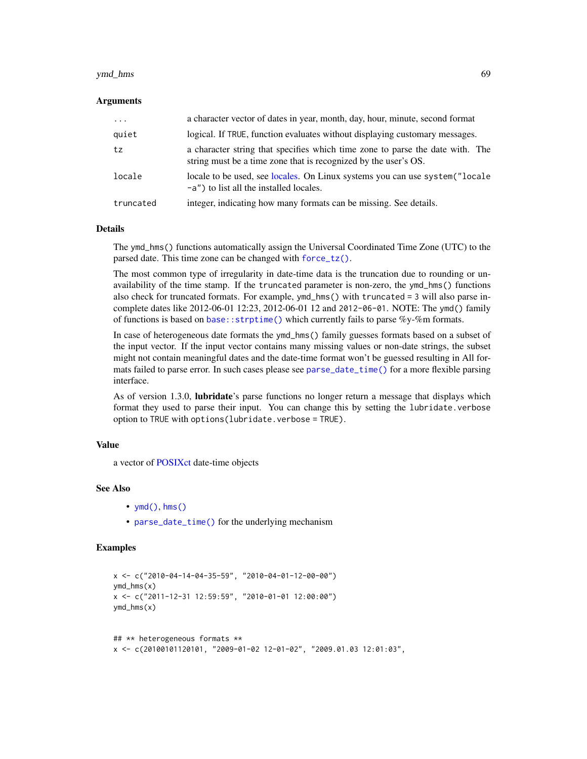#### ymd\_hms 69

### Arguments

| $\cdots$  | a character vector of dates in year, month, day, hour, minute, second format                                                                     |
|-----------|--------------------------------------------------------------------------------------------------------------------------------------------------|
| quiet     | logical. If TRUE, function evaluates without displaying customary messages.                                                                      |
| tz        | a character string that specifies which time zone to parse the date with. The<br>string must be a time zone that is recognized by the user's OS. |
| locale    | locale to be used, see locales. On Linux systems you can use system ("locale"<br>-a") to list all the installed locales.                         |
| truncated | integer, indicating how many formats can be missing. See details.                                                                                |

## **Details**

The ymd\_hms() functions automatically assign the Universal Coordinated Time Zone (UTC) to the parsed date. This time zone can be changed with [force\\_tz\(\)](#page-20-0).

The most common type of irregularity in date-time data is the truncation due to rounding or unavailability of the time stamp. If the truncated parameter is non-zero, the ymd\_hms() functions also check for truncated formats. For example, ymd\_hms() with truncated = 3 will also parse incomplete dates like 2012-06-01 12:23, 2012-06-01 12 and 2012-06-01. NOTE: The ymd() family of functions is based on [base::strptime\(\)](#page-0-0) which currently fails to parse  $\%y$ -%m formats.

In case of heterogeneous date formats the ymd\_hms() family guesses formats based on a subset of the input vector. If the input vector contains many missing values or non-date strings, the subset might not contain meaningful dates and the date-time format won't be guessed resulting in All formats failed to parse error. In such cases please see [parse\\_date\\_time\(\)](#page-40-0) for a more flexible parsing interface.

As of version 1.3.0, **lubridate**'s parse functions no longer return a message that displays which format they used to parse their input. You can change this by setting the lubridate.verbose option to TRUE with options(lubridate.verbose = TRUE).

## Value

a vector of [POSIXct](#page-31-0) date-time objects

## See Also

- $ymd($ ), [hms\(\)](#page-38-0)
- [parse\\_date\\_time\(\)](#page-40-0) for the underlying mechanism

```
x <- c("2010-04-14-04-35-59", "2010-04-01-12-00-00")
ymd_hms(x)
x <- c("2011-12-31 12:59:59", "2010-01-01 12:00:00")
ymd_hms(x)
## ** heterogeneous formats **
```

```
x <- c(20100101120101, "2009-01-02 12-01-02", "2009.01.03 12:01:03",
```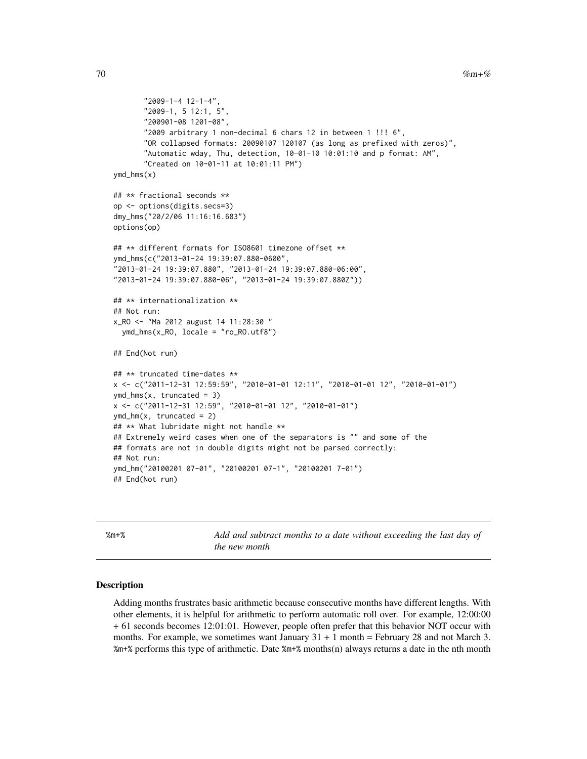```
"2009-1-4 12-1-4",
       "2009-1, 5 12:1, 5",
       "200901-08 1201-08",
       "2009 arbitrary 1 non-decimal 6 chars 12 in between 1 !!! 6",
      "OR collapsed formats: 20090107 120107 (as long as prefixed with zeros)",
      "Automatic wday, Thu, detection, 10-01-10 10:01:10 and p format: AM",
      "Created on 10-01-11 at 10:01:11 PM")
ymd_hms(x)
## ** fractional seconds **
op <- options(digits.secs=3)
dmy_hms("20/2/06 11:16:16.683")
options(op)
## ** different formats for ISO8601 timezone offset **
ymd_hms(c("2013-01-24 19:39:07.880-0600",
"2013-01-24 19:39:07.880", "2013-01-24 19:39:07.880-06:00",
"2013-01-24 19:39:07.880-06", "2013-01-24 19:39:07.880Z"))
## ** internationalization **
## Not run:
x_RO <- "Ma 2012 august 14 11:28:30 "
 ymd_hms(x_RO, locale = "ro_RO.utf8")
## End(Not run)
## ** truncated time-dates **
x <- c("2011-12-31 12:59:59", "2010-01-01 12:11", "2010-01-01 12", "2010-01-01")
ymd_hms(x, truncated = 3)x <- c("2011-12-31 12:59", "2010-01-01 12", "2010-01-01")
ymd_hm(x, truncated = 2)
## ** What lubridate might not handle **
## Extremely weird cases when one of the separators is "" and some of the
## formats are not in double digits might not be parsed correctly:
## Not run:
ymd_hm("20100201 07-01", "20100201 07-1", "20100201 7-01")
## End(Not run)
```
<span id="page-69-0"></span>

%m+% *Add and subtract months to a date without exceeding the last day of the new month*

#### <span id="page-69-1"></span>Description

Adding months frustrates basic arithmetic because consecutive months have different lengths. With other elements, it is helpful for arithmetic to perform automatic roll over. For example, 12:00:00 + 61 seconds becomes 12:01:01. However, people often prefer that this behavior NOT occur with months. For example, we sometimes want January  $31 + 1$  month = February 28 and not March 3. %m+% performs this type of arithmetic. Date %m+% months(n) always returns a date in the nth month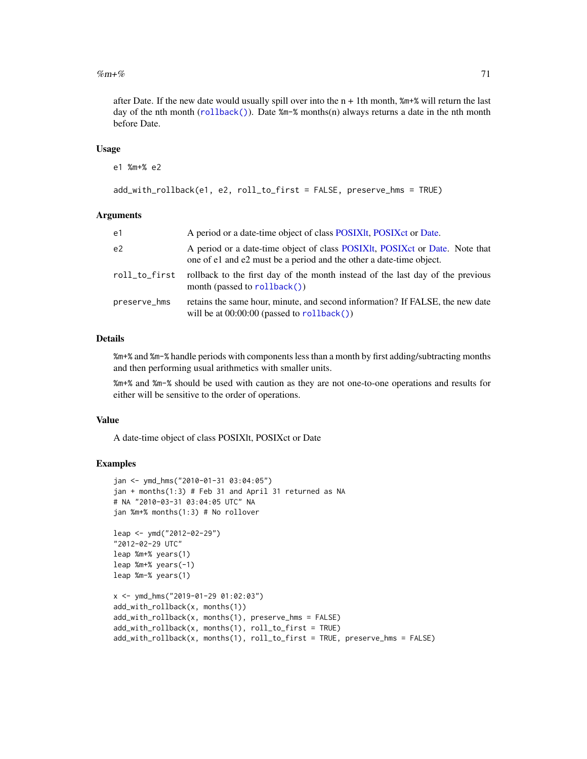#### $\%$ m+% 71

after Date. If the new date would usually spill over into the  $n + 1$ th month,  $m + 2$  will return the last day of the nth month ( $rollback()$ ). Date  $\text{\%m-}\%$  months(n) always returns a date in the nth month before Date.

## Usage

```
e1 %m+% e2
```

```
add_with_rollback(e1, e2, roll_to_first = FALSE, preserve_hms = TRUE)
```
# Arguments

| e1             | A period or a date-time object of class POSIXIt, POSIX et or Date.                                                                               |
|----------------|--------------------------------------------------------------------------------------------------------------------------------------------------|
| e <sub>2</sub> | A period or a date-time object of class POSIXIt, POSIX or Date. Note that<br>one of e1 and e2 must be a period and the other a date-time object. |
| roll_to_first  | rollback to the first day of the month instead of the last day of the previous<br>month (passed to $rollback()$ )                                |
| preserve_hms   | retains the same hour, minute, and second information? If FALSE, the new date<br>will be at $00:00:00$ (passed to $rollback()$ )                 |

## Details

%m+% and %m-% handle periods with components less than a month by first adding/subtracting months and then performing usual arithmetics with smaller units.

%m+% and %m-% should be used with caution as they are not one-to-one operations and results for either will be sensitive to the order of operations.

#### Value

A date-time object of class POSIXlt, POSIXct or Date

```
jan <- ymd_hms("2010-01-31 03:04:05")
jan + months(1:3) # Feb 31 and April 31 returned as NA
# NA "2010-03-31 03:04:05 UTC" NA
jan %m+% months(1:3) # No rollover
leap <- ymd("2012-02-29")
"2012-02-29 UTC"
leap %m+% years(1)
leap %m+% years(-1)
leap %m-% years(1)
x <- ymd_hms("2019-01-29 01:02:03")
add_with_rollback(x, months(1))
add_with_rollback(x, months(1), preserve_hms = FALSE)
add_with_rollback(x, months(1), roll_to_first = TRUE)
add_with_rollback(x, months(1), roll_to_first = TRUE, preserve_hms = FALSE)
```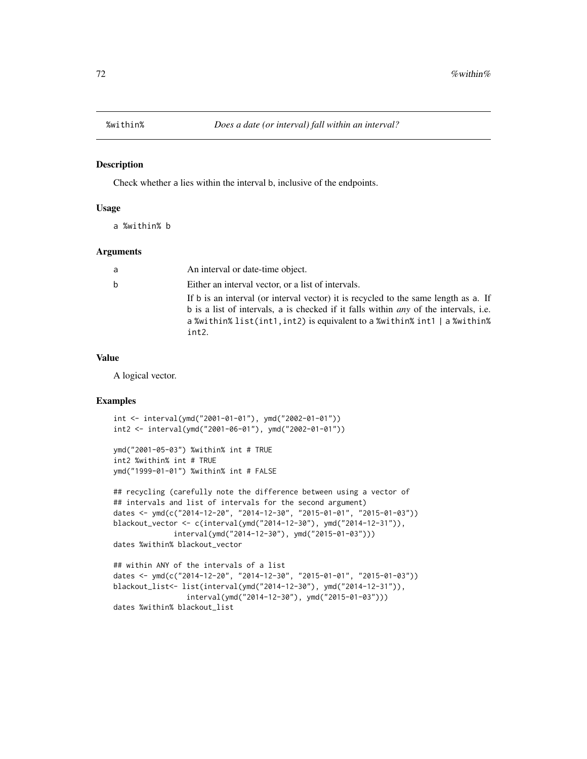Check whether a lies within the interval b, inclusive of the endpoints.

## Usage

a %within% b

## Arguments

| a  | An interval or date-time object.                                                                                                                                                                                                                                         |
|----|--------------------------------------------------------------------------------------------------------------------------------------------------------------------------------------------------------------------------------------------------------------------------|
| b. | Either an interval vector, or a list of intervals.                                                                                                                                                                                                                       |
|    | If b is an interval (or interval vector) it is recycled to the same length as a. If<br>b is a list of intervals, a is checked if it falls within <i>any</i> of the intervals, i.e.<br>a %within% list(int1, int2) is equivalent to a %within% int1   a %within%<br>int2. |

## Value

A logical vector.

```
int <- interval(ymd("2001-01-01"), ymd("2002-01-01"))
int2 <- interval(ymd("2001-06-01"), ymd("2002-01-01"))
```

```
ymd("2001-05-03") %within% int # TRUE
int2 %within% int # TRUE
ymd("1999-01-01") %within% int # FALSE
```

```
## recycling (carefully note the difference between using a vector of
## intervals and list of intervals for the second argument)
dates <- ymd(c("2014-12-20", "2014-12-30", "2015-01-01", "2015-01-03"))
blackout_vector <- c(interval(ymd("2014-12-30"), ymd("2014-12-31")),
              interval(ymd("2014-12-30"), ymd("2015-01-03")))
dates %within% blackout_vector
```

```
## within ANY of the intervals of a list
dates <- ymd(c("2014-12-20", "2014-12-30", "2015-01-01", "2015-01-03"))
blackout_list<- list(interval(ymd("2014-12-30"), ymd("2014-12-31")),
                interval(ymd("2014-12-30"), ymd("2015-01-03")))
dates %within% blackout_list
```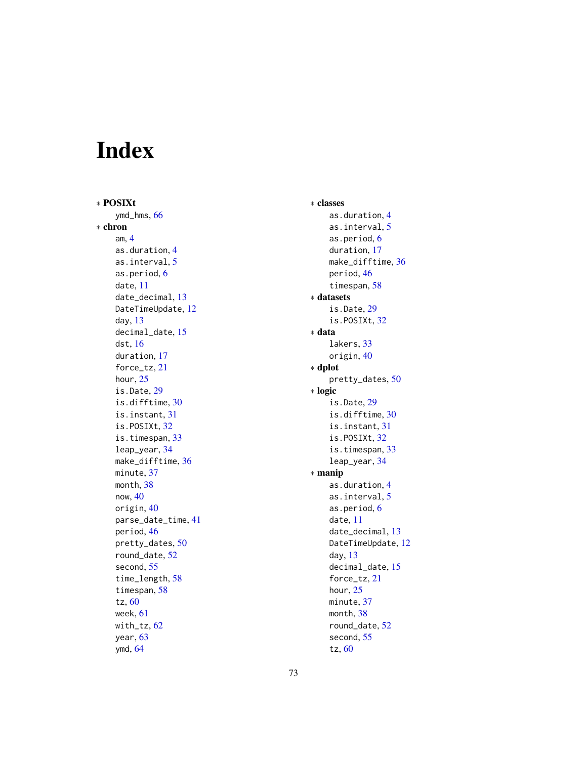# Index

∗ POSIXt ymd\_hms, [66](#page-65-0) ∗ chron am, [4](#page-3-0) as.duration, [4](#page-3-0) as.interval, [5](#page-4-0) as.period, [6](#page-5-0) date, [11](#page-10-0) date\_decimal, [13](#page-12-0) DateTimeUpdate, [12](#page-11-0) day, [13](#page-12-0) decimal\_date, [15](#page-14-0) dst, [16](#page-15-0) duration, [17](#page-16-0) force\_tz, [21](#page-20-0) hour, [25](#page-24-0) is.Date, [29](#page-28-0) is.difftime, [30](#page-29-0) is.instant, [31](#page-30-0) is.POSIXt, [32](#page-31-0) is.timespan, [33](#page-32-0) leap\_year, [34](#page-33-0) make\_difftime, [36](#page-35-0) minute, [37](#page-36-0) month, [38](#page-37-0) now, [40](#page-39-0) origin, [40](#page-39-0) parse\_date\_time, [41](#page-40-0) period, [46](#page-45-0) pretty\_dates, [50](#page-49-0) round\_date, [52](#page-51-0) second, [55](#page-54-0) time\_length, [58](#page-57-0) timespan, [58](#page-57-0) tz, [60](#page-59-0) week, [61](#page-60-0) with\_tz,  $62$ year, [63](#page-62-0) ymd, [64](#page-63-0)

∗ classes as.duration, [4](#page-3-0) as.interval, [5](#page-4-0) as.period, [6](#page-5-0) duration, [17](#page-16-0) make\_difftime, [36](#page-35-0) period, [46](#page-45-0) timespan, [58](#page-57-0) ∗ datasets is.Date, [29](#page-28-0) is.POSIXt, [32](#page-31-0) ∗ data lakers, [33](#page-32-0) origin, [40](#page-39-0) ∗ dplot pretty\_dates, [50](#page-49-0) ∗ logic is.Date, [29](#page-28-0) is.difftime, [30](#page-29-0) is.instant, [31](#page-30-0) is.POSIXt, [32](#page-31-0) is.timespan, [33](#page-32-0) leap\_year, [34](#page-33-0) ∗ manip as.duration, [4](#page-3-0) as.interval, [5](#page-4-0) as.period, [6](#page-5-0) date, [11](#page-10-0) date\_decimal, [13](#page-12-0) DateTimeUpdate, [12](#page-11-0) day, [13](#page-12-0) decimal\_date, [15](#page-14-0) force\_tz, [21](#page-20-0) hour, [25](#page-24-0) minute, [37](#page-36-0) month, [38](#page-37-0) round\_date, [52](#page-51-0) second, [55](#page-54-0) tz, [60](#page-59-0)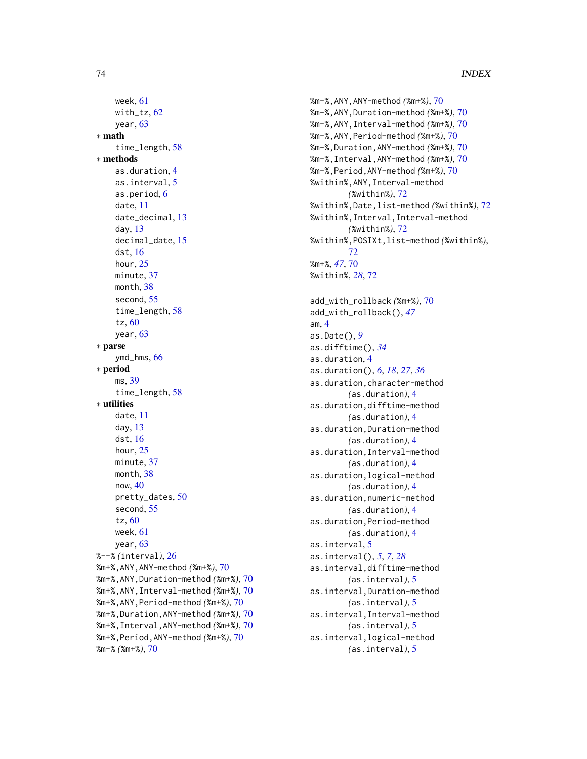```
week, 61
    with_tz,62year, 63
∗ math
    time_length, 58
∗ methods
    as.duration, 4
    as.interval, 5
    as.period, 6
    date, 11
    date_decimal, 13
    day, 13
    decimal_date, 15
    dst, 16
    hour, 25
    minute, 37
    month, 38
    second, 55
    time_length, 58
    tz, 60
    year, 63
∗ parse
    ymd_hms, 66
∗ period
    ms, 39
    time_length, 58
∗ utilities
    date, 11
    day, 13
    dst, 16
    hour, 25
    minute, 37
    month, 38
    now, 40
    pretty_dates, 50
    second, 55
    tz, 60
    week, 61
    year, 63
%--% (interval), 26
%m+%,ANY,ANY-method (%m+%), 70
%m+%,ANY,Duration-method (%m+%), 70
%m+%,ANY,Interval-method (%m+%), 70
%m+%,ANY,Period-method (%m+%), 70
%m+%,Duration,ANY-method (%m+%), 70
%m+%,Interval,ANY-method (%m+%), 70
%m+%,Period,ANY-method (%m+%), 70
%m-% (%m+%), 70
```

```
%m-%,ANY,ANY-method (%m+%), 70
%m-%,ANY,Duration-method (%m+%), 70
%m-%,ANY,Interval-method (%m+%), 70
%m-%,ANY,Period-method (%m+%), 70
%m-%,Duration,ANY-method (%m+%), 70
%m-%,Interval,ANY-method (%m+%), 70
%m-%,Period,ANY-method (%m+%), 70
%within%,ANY,Interval-method
        (%within%), 72
%within%,Date,list-method (%within%), 72
%within%,Interval,Interval-method
        (%within%), 72
%within%,POSIXt,list-method (%within%),
        72
%m+%, 47, 70
%within%, 28, 72
add_with_rollback (%m+%), 70
add_with_rollback(), 47
am, 4
as.Date(), 9
as.difftime(), 34
as.duration, 4
as.duration(), 6, 18, 27, 36
as.duration,character-method
        (as.duration), 4
as.duration,difftime-method
        (as.duration), 4
as.duration,Duration-method
        (as.duration), 4
as.duration,Interval-method
        (as.duration), 4
as.duration,logical-method
        (as.duration), 4
as.duration,numeric-method
        (as.duration), 4
as.duration,Period-method
        (as.duration), 4
as.interval, 5
as.interval(), 5, 7, 28
as.interval,difftime-method
        (as.interval), 5
as.interval,Duration-method
        (as.interval), 5
as.interval,Interval-method
        (as.interval), 5
as.interval,logical-method
        (as.interval), 5
```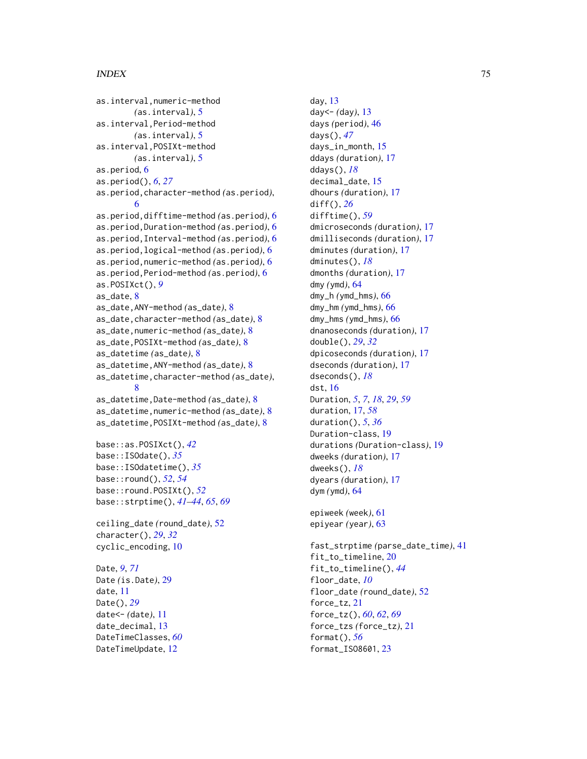## INDEX 75

```
as.interval,numeric-method
        (as.interval), 5
as.interval,Period-method
        (as.interval), 5
as.interval,POSIXt-method
        (as.interval), 5
as.period, 6
as.period(), 6, 27
as.period,character-method (as.period),
        6
as.period,difftime-method (as.period), 6
as.period,Duration-method (as.period), 6
as.period,Interval-method (as.period), 6
as.period,logical-method (as.period), 6
as.period,numeric-method (as.period), 6
as.period,Period-method (as.period), 6
as.POSIXct(), 9
as_date, 8
as_date,ANY-method (as_date), 8
as_date,character-method (as_date), 8
as_date,numeric-method (as_date), 8
as_date,POSIXt-method (as_date), 8
as_datetime (as_date), 8
as_datetime,ANY-method (as_date), 8
as_datetime,character-method (as_date),
        8
as_datetime,Date-method (as_date), 8
as_datetime,numeric-method (as_date), 8
as_datetime,POSIXt-method (as_date), 8
base::as.POSIXct(), 42
base::ISOdate(), 35
base::ISOdatetime(), 35
base::round(), 52, 54
base::round.POSIXt(), 52
base::strptime(), 41–44, 65, 69
ceiling_date (round_date), 52
character(), 29, 32
cyclic_encoding, 10
Date, 9, 71
Date (is.Date), 29
date, 11
Date(), 29
date<- (date), 11
date_decimal, 13
DateTimeClasses, 60
DateTimeUpdate, 12
```
day, [13](#page-12-0) day<- *(*day*)*, [13](#page-12-0) days *(*period*)*, [46](#page-45-0) days(), *[47](#page-46-0)* days\_in\_month, [15](#page-14-0) ddays *(*duration*)*, [17](#page-16-0) ddays(), *[18](#page-17-0)* decimal\_date, [15](#page-14-0) dhours *(*duration*)*, [17](#page-16-0) diff(), *[26](#page-25-0)* difftime(), *[59](#page-58-0)* dmicroseconds *(*duration*)*, [17](#page-16-0) dmilliseconds *(*duration*)*, [17](#page-16-0) dminutes *(*duration*)*, [17](#page-16-0) dminutes(), *[18](#page-17-0)* dmonths *(*duration*)*, [17](#page-16-0) dmy *(*ymd*)*, [64](#page-63-0) dmy\_h *(*ymd\_hms*)*, [66](#page-65-0) dmy\_hm *(*ymd\_hms*)*, [66](#page-65-0) dmy\_hms *(*ymd\_hms*)*, [66](#page-65-0) dnanoseconds *(*duration*)*, [17](#page-16-0) double(), *[29](#page-28-0)*, *[32](#page-31-0)* dpicoseconds *(*duration*)*, [17](#page-16-0) dseconds *(*duration*)*, [17](#page-16-0) dseconds(), *[18](#page-17-0)* dst, [16](#page-15-0) Duration, *[5](#page-4-0)*, *[7](#page-6-0)*, *[18](#page-17-0)*, *[29](#page-28-0)*, *[59](#page-58-0)* duration, [17,](#page-16-0) *[58](#page-57-0)* duration(), *[5](#page-4-0)*, *[36](#page-35-0)* Duration-class, [19](#page-18-0) durations *(*Duration-class*)*, [19](#page-18-0) dweeks *(*duration*)*, [17](#page-16-0) dweeks(), *[18](#page-17-0)* dyears *(*duration*)*, [17](#page-16-0) dym *(*ymd*)*, [64](#page-63-0) epiweek *(*week*)*, [61](#page-60-0) epiyear *(*year*)*, [63](#page-62-0) fast\_strptime *(*parse\_date\_time*)*, [41](#page-40-0) fit\_to\_timeline, [20](#page-19-0) fit\_to\_timeline(), *[44](#page-43-0)* floor\_date, *[10](#page-9-0)* floor\_date *(*round\_date*)*, [52](#page-51-0) force\_tz, [21](#page-20-0) force\_tz(), *[60](#page-59-0)*, *[62](#page-61-0)*, *[69](#page-68-0)*

force\_tzs *(*force\_tz*)*, [21](#page-20-0)

format(), *[56](#page-55-0)* format\_ISO8601, [23](#page-22-0)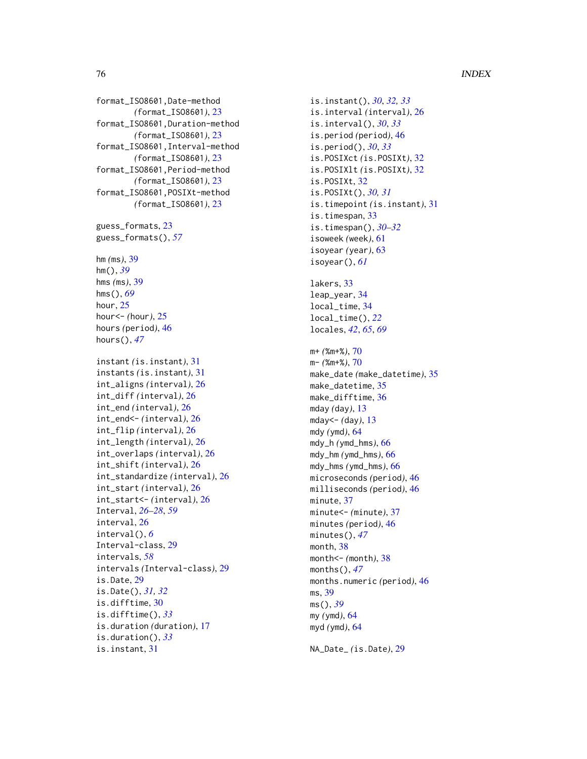# 76 INDEX

format\_ISO8601,Date-method *(*format\_ISO8601*)*, [23](#page-22-0) format\_ISO8601,Duration-method *(*format\_ISO8601*)*, [23](#page-22-0) format\_ISO8601,Interval-method *(*format\_ISO8601*)*, [23](#page-22-0) format\_ISO8601,Period-method *(*format\_ISO8601*)*, [23](#page-22-0) format\_ISO8601,POSIXt-method *(*format\_ISO8601*)*, [23](#page-22-0)

guess\_formats , [23](#page-22-0) guess\_formats() , *[57](#page-56-0)*

hm *(*ms *)* , [39](#page-38-0) hm() , *[39](#page-38-0)* hms *(*ms *)* , [39](#page-38-0) hms() , *[69](#page-68-0)* hour, [25](#page-24-0) hour<- *(*hour *)* , [25](#page-24-0) hours *(*period *)* , [46](#page-45-0) hours() , *[47](#page-46-0)*

instant *(*is.instant *)* , [31](#page-30-0) instants *(*is.instant *)* , [31](#page-30-0) int\_aligns *(*interval *)* , [26](#page-25-0) int\_diff *(*interval *)* , [26](#page-25-0) int\_end *(*interval *)* , [26](#page-25-0) int\_end<- *(*interval *)* , [26](#page-25-0) int\_flip *(*interval *)* , [26](#page-25-0) int\_length *(*interval *)* , [26](#page-25-0) int\_overlaps *(*interval *)* , [26](#page-25-0) int\_shift *(*interval *)* , [26](#page-25-0) int\_standardize *(*interval *)* , [26](#page-25-0) int\_start *(*interval *)* , [26](#page-25-0) int\_start<- *(*interval *)* , [26](#page-25-0) Interval , *[26](#page-25-0)[–28](#page-27-0)* , *[59](#page-58-0)* interval , [26](#page-25-0) interval() , *[6](#page-5-0)* Interval-class , [29](#page-28-0) intervals , *[58](#page-57-0)* intervals *(*Interval-class *)* , [29](#page-28-0) is.Date , [29](#page-28-0) is.Date() , *[31](#page-30-0) , [32](#page-31-0)* is.difftime , [30](#page-29-0) is.difftime() , *[33](#page-32-0)* is.duration *(*duration *)* , [17](#page-16-0) is.duration() , *[33](#page-32-0)* is.instant , [31](#page-30-0)

is.instant() , *[30](#page-29-0)* , *[32](#page-31-0) , [33](#page-32-0)* is.interval *(*interval *)* , [26](#page-25-0) is.interval() , *[30](#page-29-0)* , *[33](#page-32-0)* is.period *(*period *)* , [46](#page-45-0) is.period() , *[30](#page-29-0)* , *[33](#page-32-0)* is.POSIXct *(*is.POSIXt *)* , [32](#page-31-0) is.POSIXlt *(*is.POSIXt *)* , [32](#page-31-0) is.POSIXt , [32](#page-31-0) is.POSIXt() , *[30](#page-29-0) , [31](#page-30-0)* is.timepoint *(*is.instant *)* , [31](#page-30-0) is.timespan , [33](#page-32-0) is.timespan() , *[30](#page-29-0)[–32](#page-31-0)* isoweek *(*week *)* , [61](#page-60-0) isoyear *(*year *)* , [63](#page-62-0) isoyear() , *[61](#page-60-0)* lakers , [33](#page-32-0) leap\_year , [34](#page-33-0) local\_time , [34](#page-33-0) local\_time() , *[22](#page-21-0)* locales , *[42](#page-41-0)* , *[65](#page-64-0)* , *[69](#page-68-0)* m+ *(*%m+% *)* , [70](#page-69-0) m- *(*%m+% *)* , [70](#page-69-0) make\_date *(*make\_datetime *)* , [35](#page-34-0) make\_datetime, [35](#page-34-0) make\_difftime, [36](#page-35-0) mday *(*day *)* , [13](#page-12-0) mday<- *(*day *)* , [13](#page-12-0) mdy *(*ymd *)* , [64](#page-63-0) mdy\_h *(*ymd\_hms *)* , [66](#page-65-0) mdy\_hm *(*ymd\_hms *)* , [66](#page-65-0) mdy\_hms *(*ymd\_hms *)* , [66](#page-65-0) microseconds *(*period *)* , [46](#page-45-0) milliseconds *(*period *)* , [46](#page-45-0) minute, [37](#page-36-0) minute<- *(*minute *)* , [37](#page-36-0) minutes *(*period *)* , [46](#page-45-0) minutes() , *[47](#page-46-0)* month, [38](#page-37-0) month<- *(*month *)* , [38](#page-37-0) months() , *[47](#page-46-0)* months.numeric *(*period *)* , [46](#page-45-0) ms , [39](#page-38-0) ms() , *[39](#page-38-0)* my *(*ymd *)* , [64](#page-63-0) myd *(*ymd *)* , [64](#page-63-0)

NA\_Date\_ *(*is.Date *)* , [29](#page-28-0)